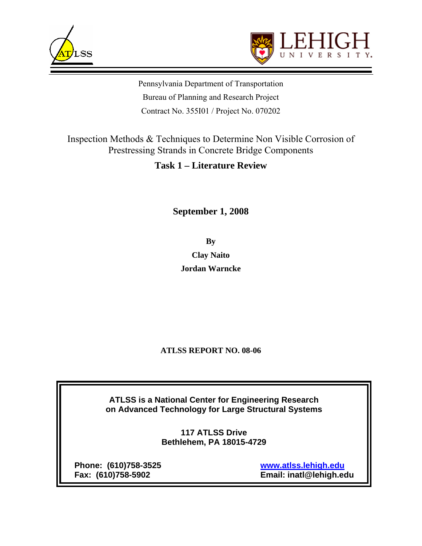



Pennsylvania Department of Transportation Bureau of Planning and Research Project Contract No. 355I01 / Project No. 070202

Inspection Methods & Techniques to Determine Non Visible Corrosion of Prestressing Strands in Concrete Bridge Components

# **Task 1 – Literature Review**

# **September 1, 2008**

**By Clay Naito Jordan Warncke** 

### **ATLSS REPORT NO. 08-06**

**ATLSS is a National Center for Engineering Research on Advanced Technology for Large Structural Systems**

> **117 ATLSS Drive Bethlehem, PA 18015-4729**

**Phone: (610)758-3525 www.atlss.lehigh.edu**

 **Fax: (610)758-5902 Email: inatl@lehigh.edu**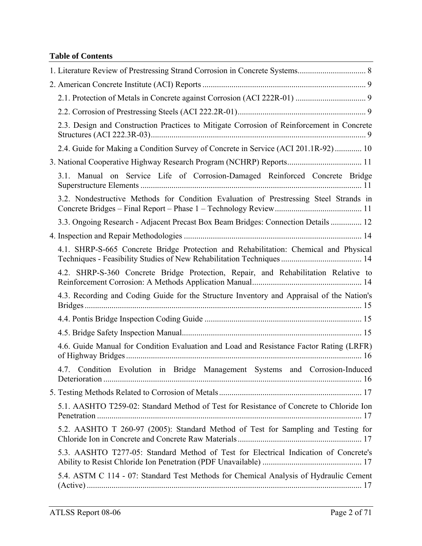# **Table of Contents**

| 2.3. Design and Construction Practices to Mitigate Corrosion of Reinforcement in Concrete                                                                     |
|---------------------------------------------------------------------------------------------------------------------------------------------------------------|
| 2.4. Guide for Making a Condition Survey of Concrete in Service (ACI 201.1R-92)  10                                                                           |
| 3. National Cooperative Highway Research Program (NCHRP) Reports 11                                                                                           |
| 3.1. Manual on Service Life of Corrosion-Damaged Reinforced Concrete Bridge                                                                                   |
| 3.2. Nondestructive Methods for Condition Evaluation of Prestressing Steel Strands in                                                                         |
| 3.3. Ongoing Research - Adjacent Precast Box Beam Bridges: Connection Details  12                                                                             |
|                                                                                                                                                               |
| 4.1. SHRP-S-665 Concrete Bridge Protection and Rehabilitation: Chemical and Physical<br>Techniques - Feasibility Studies of New Rehabilitation Techniques  14 |
| 4.2. SHRP-S-360 Concrete Bridge Protection, Repair, and Rehabilitation Relative to                                                                            |
| 4.3. Recording and Coding Guide for the Structure Inventory and Appraisal of the Nation's                                                                     |
|                                                                                                                                                               |
|                                                                                                                                                               |
| 4.6. Guide Manual for Condition Evaluation and Load and Resistance Factor Rating (LRFR)                                                                       |
| 4.7. Condition Evolution in Bridge Management Systems and Corrosion-Induced                                                                                   |
|                                                                                                                                                               |
| 5.1. AASHTO T259-02: Standard Method of Test for Resistance of Concrete to Chloride Ion                                                                       |
| 5.2. AASHTO T 260-97 (2005): Standard Method of Test for Sampling and Testing for                                                                             |
| 5.3. AASHTO T277-05: Standard Method of Test for Electrical Indication of Concrete's                                                                          |
| 5.4. ASTM C 114 - 07: Standard Test Methods for Chemical Analysis of Hydraulic Cement                                                                         |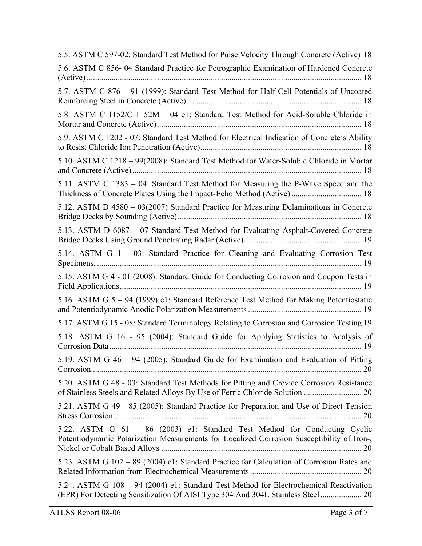5.5. ASTM C 597-02: Standard Test Method for Pulse Velocity Through Concrete (Active) 18 5.6. ASTM C 856- 04 Standard Practice for Petrographic Examination of Hardened Concrete (Active) ..................................................................................................................................... 18 5.7. ASTM C 876 – 91 (1999): Standard Test Method for Half-Cell Potentials of Uncoated Reinforcing Steel in Concrete (Active)..................................................................................... 18 5.8. ASTM C 1152/C 1152M – 04 e1: Standard Test Method for Acid-Soluble Chloride in Mortar and Concrete (Active)................................................................................................... 18 5.9. ASTM C 1202 - 07: Standard Test Method for Electrical Indication of Concrete's Ability to Resist Chloride Ion Penetration (Active).............................................................................. 18 5.10. ASTM C 1218 – 99(2008): Standard Test Method for Water-Soluble Chloride in Mortar and Concrete (Active)............................................................................................................... 18 5.11. ASTM C 1383 – 04: Standard Test Method for Measuring the P-Wave Speed and the Thickness of Concrete Plates Using the Impact-Echo Method (Active) .................................. 18 5.12. ASTM D 4580 – 03(2007) Standard Practice for Measuring Delaminations in Concrete Bridge Decks by Sounding (Active)......................................................................................... 18 5.13. ASTM D 6087 – 07 Standard Test Method for Evaluating Asphalt-Covered Concrete Bridge Decks Using Ground Penetrating Radar (Active)......................................................... 19 5.14. ASTM G 1 - 03: Standard Practice for Cleaning and Evaluating Corrosion Test Specimens. ................................................................................................................................ 19 5.15. ASTM G 4 - 01 (2008): Standard Guide for Conducting Corrosion and Coupon Tests in Field Applications..................................................................................................................... 19 5.16. ASTM G 5 – 94 (1999) e1: Standard Reference Test Method for Making Potentiostatic and Potentiodynamic Anodic Polarization Measurements ....................................................... 19 5.17. ASTM G 15 - 08: Standard Terminology Relating to Corrosion and Corrosion Testing 19 5.18. ASTM G 16 - 95 (2004): Standard Guide for Applying Statistics to Analysis of Corrosion Data.......................................................................................................................... 19 5.19. ASTM G 46 – 94 (2005): Standard Guide for Examination and Evaluation of Pitting Corrosion................................................................................................................................... 20 5.20. ASTM G 48 - 03: Standard Test Methods for Pitting and Crevice Corrosion Resistance of Stainless Steels and Related Alloys By Use of Ferric Chloride Solution ............................ 20 5.21. ASTM G 49 - 85 (2005): Standard Practice for Preparation and Use of Direct Tension Stress Corrosion........................................................................................................................ 20 5.22. ASTM G 61 – 86 (2003) e1: Standard Test Method for Conducting Cyclic Potentiodynamic Polarization Measurements for Localized Corrosion Susceptibility of Iron-, Nickel or Cobalt Based Alloys ................................................................................................. 20 5.23. ASTM G 102 – 89 (2004) e1: Standard Practice for Calculation of Corrosion Rates and Related Information from Electrochemical Measurements ...................................................... 20 5.24. ASTM G 108 – 94 (2004) e1: Standard Test Method for Electrochemical Reactivation (EPR) For Detecting Sensitization Of AISI Type 304 And 304L Stainless Steel.................... 20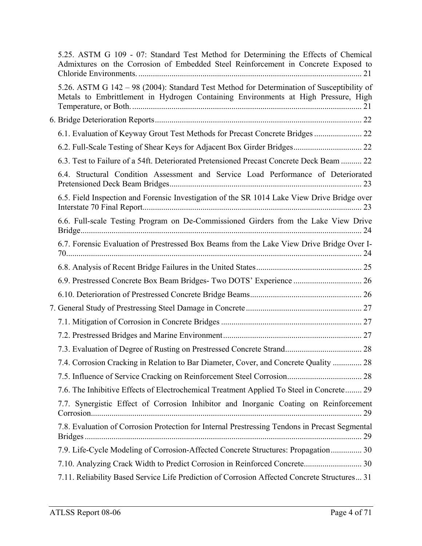| 5.25. ASTM G 109 - 07: Standard Test Method for Determining the Effects of Chemical<br>Admixtures on the Corrosion of Embedded Steel Reinforcement in Concrete Exposed to       |  |
|---------------------------------------------------------------------------------------------------------------------------------------------------------------------------------|--|
| 5.26. ASTM G 142 – 98 (2004): Standard Test Method for Determination of Susceptibility of<br>Metals to Embrittlement in Hydrogen Containing Environments at High Pressure, High |  |
|                                                                                                                                                                                 |  |
| 6.1. Evaluation of Keyway Grout Test Methods for Precast Concrete Bridges  22                                                                                                   |  |
| 6.2. Full-Scale Testing of Shear Keys for Adjacent Box Girder Bridges 22                                                                                                        |  |
| 6.3. Test to Failure of a 54ft. Deteriorated Pretensioned Precast Concrete Deck Beam  22                                                                                        |  |
| 6.4. Structural Condition Assessment and Service Load Performance of Deteriorated                                                                                               |  |
| 6.5. Field Inspection and Forensic Investigation of the SR 1014 Lake View Drive Bridge over                                                                                     |  |
| 6.6. Full-scale Testing Program on De-Commissioned Girders from the Lake View Drive                                                                                             |  |
| 6.7. Forensic Evaluation of Prestressed Box Beams from the Lake View Drive Bridge Over I-                                                                                       |  |
|                                                                                                                                                                                 |  |
|                                                                                                                                                                                 |  |
|                                                                                                                                                                                 |  |
|                                                                                                                                                                                 |  |
|                                                                                                                                                                                 |  |
|                                                                                                                                                                                 |  |
|                                                                                                                                                                                 |  |
| 7.4. Corrosion Cracking in Relation to Bar Diameter, Cover, and Concrete Quality  28                                                                                            |  |
|                                                                                                                                                                                 |  |
| 7.6. The Inhibitive Effects of Electrochemical Treatment Applied To Steel in Concrete 29                                                                                        |  |
| 7.7. Synergistic Effect of Corrosion Inhibitor and Inorganic Coating on Reinforcement                                                                                           |  |
| 7.8. Evaluation of Corrosion Protection for Internal Prestressing Tendons in Precast Segmental                                                                                  |  |
| 7.9. Life-Cycle Modeling of Corrosion-Affected Concrete Structures: Propagation 30                                                                                              |  |
|                                                                                                                                                                                 |  |
| 7.11. Reliability Based Service Life Prediction of Corrosion Affected Concrete Structures 31                                                                                    |  |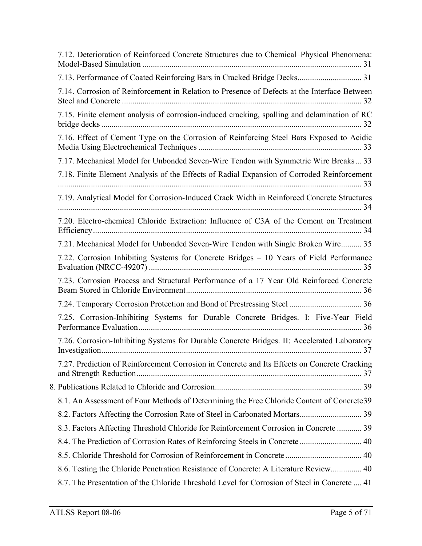| 7.12. Deterioration of Reinforced Concrete Structures due to Chemical–Physical Phenomena:    |  |
|----------------------------------------------------------------------------------------------|--|
| 7.13. Performance of Coated Reinforcing Bars in Cracked Bridge Decks 31                      |  |
| 7.14. Corrosion of Reinforcement in Relation to Presence of Defects at the Interface Between |  |
| 7.15. Finite element analysis of corrosion-induced cracking, spalling and delamination of RC |  |
| 7.16. Effect of Cement Type on the Corrosion of Reinforcing Steel Bars Exposed to Acidic     |  |
| 7.17. Mechanical Model for Unbonded Seven-Wire Tendon with Symmetric Wire Breaks 33          |  |
| 7.18. Finite Element Analysis of the Effects of Radial Expansion of Corroded Reinforcement   |  |
| 7.19. Analytical Model for Corrosion-Induced Crack Width in Reinforced Concrete Structures   |  |
| 7.20. Electro-chemical Chloride Extraction: Influence of C3A of the Cement on Treatment      |  |
| 7.21. Mechanical Model for Unbonded Seven-Wire Tendon with Single Broken Wire 35             |  |
| 7.22. Corrosion Inhibiting Systems for Concrete Bridges - 10 Years of Field Performance      |  |
| 7.23. Corrosion Process and Structural Performance of a 17 Year Old Reinforced Concrete      |  |
|                                                                                              |  |
| 7.25. Corrosion-Inhibiting Systems for Durable Concrete Bridges. I: Five-Year Field          |  |
| 7.26. Corrosion-Inhibiting Systems for Durable Concrete Bridges. II: Accelerated Laboratory  |  |
| 7.27. Prediction of Reinforcement Corrosion in Concrete and Its Effects on Concrete Cracking |  |
|                                                                                              |  |
| 8.1. An Assessment of Four Methods of Determining the Free Chloride Content of Concrete39    |  |
|                                                                                              |  |
| 8.3. Factors Affecting Threshold Chloride for Reinforcement Corrosion in Concrete  39        |  |
| 8.4. The Prediction of Corrosion Rates of Reinforcing Steels in Concrete  40                 |  |
|                                                                                              |  |
| 8.6. Testing the Chloride Penetration Resistance of Concrete: A Literature Review 40         |  |
| 8.7. The Presentation of the Chloride Threshold Level for Corrosion of Steel in Concrete  41 |  |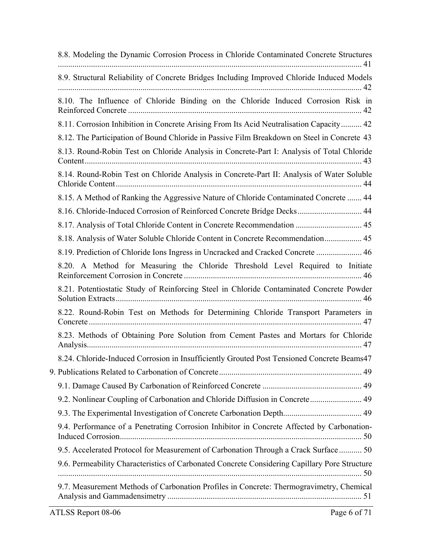| 8.8. Modeling the Dynamic Corrosion Process in Chloride Contaminated Concrete Structures      |
|-----------------------------------------------------------------------------------------------|
| 8.9. Structural Reliability of Concrete Bridges Including Improved Chloride Induced Models    |
| 8.10. The Influence of Chloride Binding on the Chloride Induced Corrosion Risk in             |
| 8.11. Corrosion Inhibition in Concrete Arising From Its Acid Neutralisation Capacity 42       |
| 8.12. The Participation of Bound Chloride in Passive Film Breakdown on Steel in Concrete 43   |
| 8.13. Round-Robin Test on Chloride Analysis in Concrete-Part I: Analysis of Total Chloride    |
| 8.14. Round-Robin Test on Chloride Analysis in Concrete-Part II: Analysis of Water Soluble    |
| 8.15. A Method of Ranking the Aggressive Nature of Chloride Contaminated Concrete  44         |
| 8.16. Chloride-Induced Corrosion of Reinforced Concrete Bridge Decks 44                       |
| 8.17. Analysis of Total Chloride Content in Concrete Recommendation  45                       |
| 8.18. Analysis of Water Soluble Chloride Content in Concrete Recommendation 45                |
| 8.19. Prediction of Chloride Ions Ingress in Uncracked and Cracked Concrete  46               |
| 8.20. A Method for Measuring the Chloride Threshold Level Required to Initiate                |
| 8.21. Potentiostatic Study of Reinforcing Steel in Chloride Contaminated Concrete Powder      |
| 8.22. Round-Robin Test on Methods for Determining Chloride Transport Parameters in            |
| 8.23. Methods of Obtaining Pore Solution from Cement Pastes and Mortars for Chloride          |
| 8.24. Chloride-Induced Corrosion in Insufficiently Grouted Post Tensioned Concrete Beams47    |
|                                                                                               |
|                                                                                               |
| 9.2. Nonlinear Coupling of Carbonation and Chloride Diffusion in Concrete 49                  |
|                                                                                               |
| 9.4. Performance of a Penetrating Corrosion Inhibitor in Concrete Affected by Carbonation-    |
| 9.5. Accelerated Protocol for Measurement of Carbonation Through a Crack Surface  50          |
| 9.6. Permeability Characteristics of Carbonated Concrete Considering Capillary Pore Structure |
| 9.7. Measurement Methods of Carbonation Profiles in Concrete: Thermogravimetry, Chemical      |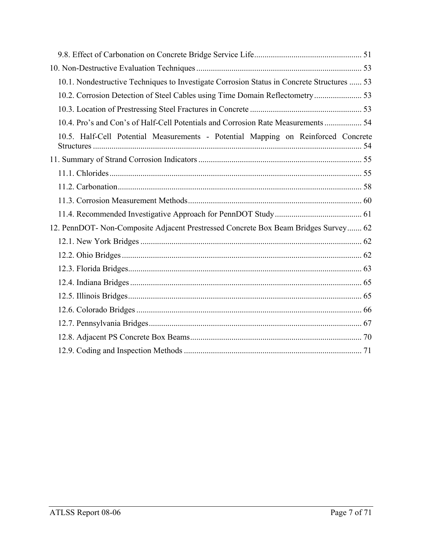| 10.1. Nondestructive Techniques to Investigate Corrosion Status in Concrete Structures  53 |
|--------------------------------------------------------------------------------------------|
| 10.2. Corrosion Detection of Steel Cables using Time Domain Reflectometry 53               |
|                                                                                            |
| 10.4. Pro's and Con's of Half-Cell Potentials and Corrosion Rate Measurements  54          |
| 10.5. Half-Cell Potential Measurements - Potential Mapping on Reinforced Concrete          |
|                                                                                            |
|                                                                                            |
|                                                                                            |
|                                                                                            |
|                                                                                            |
| 12. PennDOT- Non-Composite Adjacent Prestressed Concrete Box Beam Bridges Survey 62        |
|                                                                                            |
|                                                                                            |
|                                                                                            |
|                                                                                            |
|                                                                                            |
|                                                                                            |
|                                                                                            |
|                                                                                            |
|                                                                                            |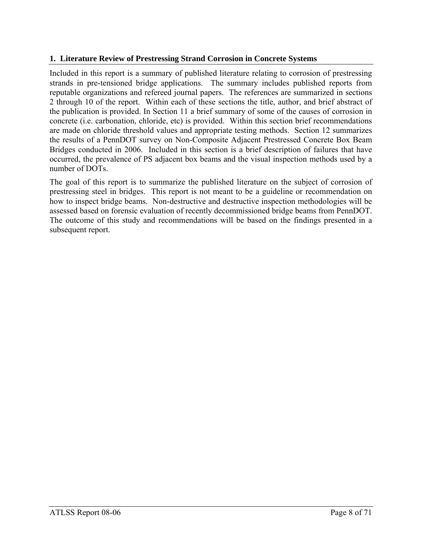### **1. Literature Review of Prestressing Strand Corrosion in Concrete Systems**

Included in this report is a summary of published literature relating to corrosion of prestressing strands in pre-tensioned bridge applications. The summary includes published reports from reputable organizations and refereed journal papers. The references are summarized in sections 2 through 10 of the report. Within each of these sections the title, author, and brief abstract of the publication is provided. In Section 11 a brief summary of some of the causes of corrosion in concrete (i.e. carbonation, chloride, etc) is provided. Within this section brief recommendations are made on chloride threshold values and appropriate testing methods. Section 12 summarizes the results of a PennDOT survey on Non-Composite Adjacent Prestressed Concrete Box Beam Bridges conducted in 2006. Included in this section is a brief description of failures that have occurred, the prevalence of PS adjacent box beams and the visual inspection methods used by a number of DOTs.

The goal of this report is to summarize the published literature on the subject of corrosion of prestressing steel in bridges. This report is not meant to be a guideline or recommendation on how to inspect bridge beams. Non-destructive and destructive inspection methodologies will be assessed based on forensic evaluation of recently decommissioned bridge beams from PennDOT. The outcome of this study and recommendations will be based on the findings presented in a subsequent report.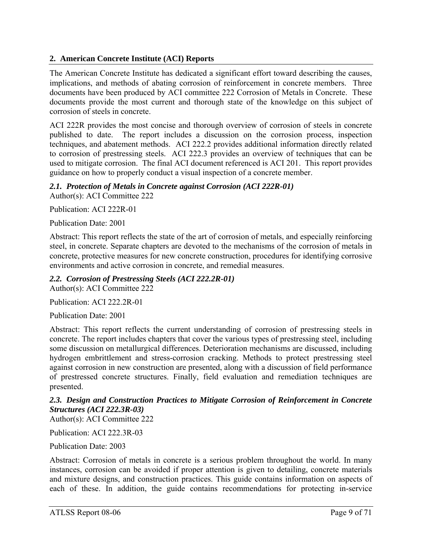### **2. American Concrete Institute (ACI) Reports**

The American Concrete Institute has dedicated a significant effort toward describing the causes, implications, and methods of abating corrosion of reinforcement in concrete members. Three documents have been produced by ACI committee 222 Corrosion of Metals in Concrete. These documents provide the most current and thorough state of the knowledge on this subject of corrosion of steels in concrete.

ACI 222R provides the most concise and thorough overview of corrosion of steels in concrete published to date. The report includes a discussion on the corrosion process, inspection techniques, and abatement methods. ACI 222.2 provides additional information directly related to corrosion of prestressing steels. ACI 222.3 provides an overview of techniques that can be used to mitigate corrosion. The final ACI document referenced is ACI 201. This report provides guidance on how to properly conduct a visual inspection of a concrete member.

# 2.1. Protection of Metals in Concrete against Corrosion (ACI 222R-01)

Author(s): ACI Committee 222

Publication: ACI 222R-01

Publication Date: 2001

Abstract: This report reflects the state of the art of corrosion of metals, and especially reinforcing steel, in concrete. Separate chapters are devoted to the mechanisms of the corrosion of metals in concrete, protective measures for new concrete construction, procedures for identifying corrosive environments and active corrosion in concrete, and remedial measures.

### *2.2. Corrosion of Prestressing Steels (ACI 222.2R-01)*

Author(s): ACI Committee 222

Publication: ACI 222.2R-01

Publication Date: 2001

Abstract: This report reflects the current understanding of corrosion of prestressing steels in concrete. The report includes chapters that cover the various types of prestressing steel, including some discussion on metallurgical differences. Deterioration mechanisms are discussed, including hydrogen embrittlement and stress-corrosion cracking. Methods to protect prestressing steel against corrosion in new construction are presented, along with a discussion of field performance of prestressed concrete structures. Finally, field evaluation and remediation techniques are presented.

### *2.3. Design and Construction Practices to Mitigate Corrosion of Reinforcement in Concrete Structures (ACI 222.3R-03)*

Author(s): ACI Committee 222

Publication: ACI 222.3R-03

Publication Date: 2003

Abstract: Corrosion of metals in concrete is a serious problem throughout the world. In many instances, corrosion can be avoided if proper attention is given to detailing, concrete materials and mixture designs, and construction practices. This guide contains information on aspects of each of these. In addition, the guide contains recommendations for protecting in-service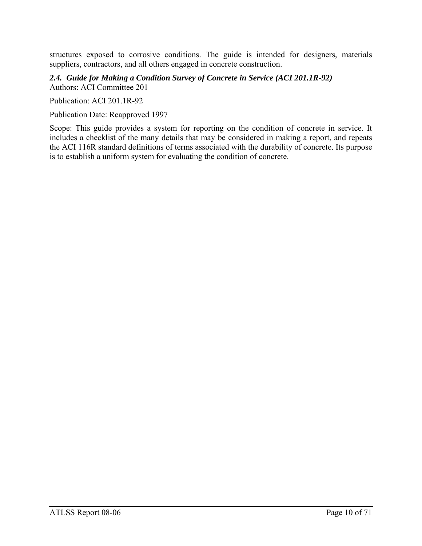structures exposed to corrosive conditions. The guide is intended for designers, materials suppliers, contractors, and all others engaged in concrete construction.

*2.4. Guide for Making a Condition Survey of Concrete in Service (ACI 201.1R-92)*  Authors: ACI Committee 201

Publication: ACI 201.1R-92

Publication Date: Reapproved 1997

Scope: This guide provides a system for reporting on the condition of concrete in service. It includes a checklist of the many details that may be considered in making a report, and repeats the ACI 116R standard definitions of terms associated with the durability of concrete. Its purpose is to establish a uniform system for evaluating the condition of concrete.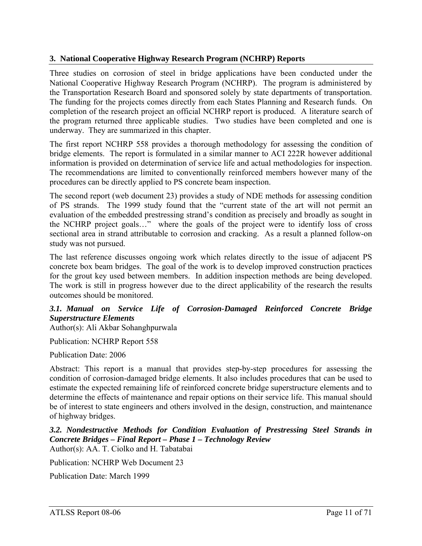## **3. National Cooperative Highway Research Program (NCHRP) Reports**

Three studies on corrosion of steel in bridge applications have been conducted under the National Cooperative Highway Research Program (NCHRP). The program is administered by the Transportation Research Board and sponsored solely by state departments of transportation. The funding for the projects comes directly from each States Planning and Research funds. On completion of the research project an official NCHRP report is produced. A literature search of the program returned three applicable studies. Two studies have been completed and one is underway. They are summarized in this chapter.

The first report NCHRP 558 provides a thorough methodology for assessing the condition of bridge elements. The report is formulated in a similar manner to ACI 222R however additional information is provided on determination of service life and actual methodologies for inspection. The recommendations are limited to conventionally reinforced members however many of the procedures can be directly applied to PS concrete beam inspection.

The second report (web document 23) provides a study of NDE methods for assessing condition of PS strands. The 1999 study found that the "current state of the art will not permit an evaluation of the embedded prestressing strand's condition as precisely and broadly as sought in the NCHRP project goals…" where the goals of the project were to identify loss of cross sectional area in strand attributable to corrosion and cracking. As a result a planned follow-on study was not pursued.

The last reference discusses ongoing work which relates directly to the issue of adjacent PS concrete box beam bridges. The goal of the work is to develop improved construction practices for the grout key used between members. In addition inspection methods are being developed. The work is still in progress however due to the direct applicability of the research the results outcomes should be monitored.

### *3.1. Manual on Service Life of Corrosion-Damaged Reinforced Concrete Bridge Superstructure Elements*

Author(s): Ali Akbar Sohanghpurwala

Publication: NCHRP Report 558

Publication Date: 2006

Abstract: This report is a manual that provides step-by-step procedures for assessing the condition of corrosion-damaged bridge elements. It also includes procedures that can be used to estimate the expected remaining life of reinforced concrete bridge superstructure elements and to determine the effects of maintenance and repair options on their service life. This manual should be of interest to state engineers and others involved in the design, construction, and maintenance of highway bridges.

*3.2. Nondestructive Methods for Condition Evaluation of Prestressing Steel Strands in Concrete Bridges – Final Report – Phase 1 – Technology Review*  Author(s): AA. T. Ciolko and H. Tabatabai

Publication: NCHRP Web Document 23

Publication Date: March 1999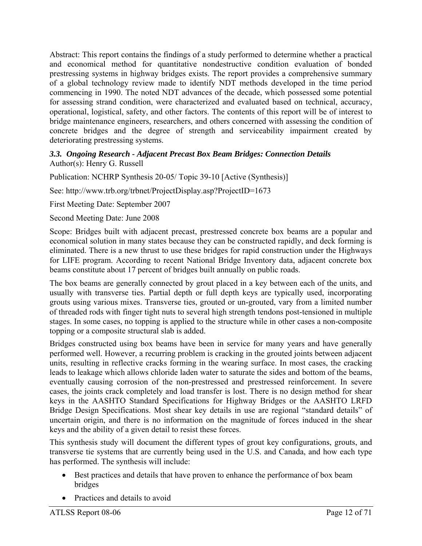Abstract: This report contains the findings of a study performed to determine whether a practical and economical method for quantitative nondestructive condition evaluation of bonded prestressing systems in highway bridges exists. The report provides a comprehensive summary of a global technology review made to identify NDT methods developed in the time period commencing in 1990. The noted NDT advances of the decade, which possessed some potential for assessing strand condition, were characterized and evaluated based on technical, accuracy, operational, logistical, safety, and other factors. The contents of this report will be of interest to bridge maintenance engineers, researchers, and others concerned with assessing the condition of concrete bridges and the degree of strength and serviceability impairment created by deteriorating prestressing systems.

### *3.3. Ongoing Research - Adjacent Precast Box Beam Bridges: Connection Details*  Author(s): Henry G. Russell

Publication: NCHRP Synthesis 20-05/ Topic 39-10 [Active (Synthesis)]

See: http://www.trb.org/trbnet/ProjectDisplay.asp?ProjectID=1673

First Meeting Date: September 2007

Second Meeting Date: June 2008

Scope: Bridges built with adjacent precast, prestressed concrete box beams are a popular and economical solution in many states because they can be constructed rapidly, and deck forming is eliminated. There is a new thrust to use these bridges for rapid construction under the Highways for LIFE program. According to recent National Bridge Inventory data, adjacent concrete box beams constitute about 17 percent of bridges built annually on public roads.

The box beams are generally connected by grout placed in a key between each of the units, and usually with transverse ties. Partial depth or full depth keys are typically used, incorporating grouts using various mixes. Transverse ties, grouted or un-grouted, vary from a limited number of threaded rods with finger tight nuts to several high strength tendons post-tensioned in multiple stages. In some cases, no topping is applied to the structure while in other cases a non-composite topping or a composite structural slab is added.

Bridges constructed using box beams have been in service for many years and have generally performed well. However, a recurring problem is cracking in the grouted joints between adjacent units, resulting in reflective cracks forming in the wearing surface. In most cases, the cracking leads to leakage which allows chloride laden water to saturate the sides and bottom of the beams, eventually causing corrosion of the non-prestressed and prestressed reinforcement. In severe cases, the joints crack completely and load transfer is lost. There is no design method for shear keys in the AASHTO Standard Specifications for Highway Bridges or the AASHTO LRFD Bridge Design Specifications. Most shear key details in use are regional "standard details" of uncertain origin, and there is no information on the magnitude of forces induced in the shear keys and the ability of a given detail to resist these forces.

This synthesis study will document the different types of grout key configurations, grouts, and transverse tie systems that are currently being used in the U.S. and Canada, and how each type has performed. The synthesis will include:

- Best practices and details that have proven to enhance the performance of box beam bridges
- Practices and details to avoid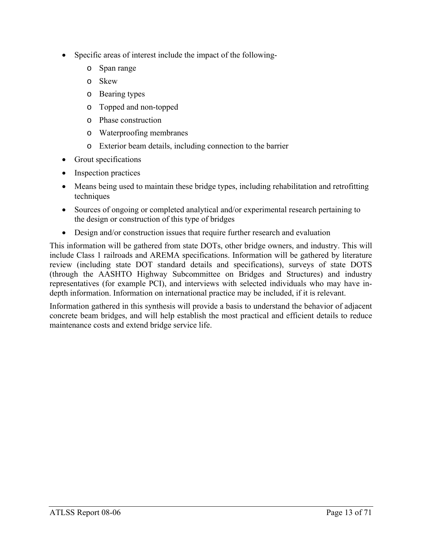- Specific areas of interest include the impact of the following
	- o Span range
	- o Skew
	- o Bearing types
	- o Topped and non-topped
	- o Phase construction
	- o Waterproofing membranes
	- o Exterior beam details, including connection to the barrier
- Grout specifications
- Inspection practices
- Means being used to maintain these bridge types, including rehabilitation and retrofitting techniques
- Sources of ongoing or completed analytical and/or experimental research pertaining to the design or construction of this type of bridges
- Design and/or construction issues that require further research and evaluation

This information will be gathered from state DOTs, other bridge owners, and industry. This will include Class 1 railroads and AREMA specifications. Information will be gathered by literature review (including state DOT standard details and specifications), surveys of state DOTS (through the AASHTO Highway Subcommittee on Bridges and Structures) and industry representatives (for example PCI), and interviews with selected individuals who may have indepth information. Information on international practice may be included, if it is relevant.

Information gathered in this synthesis will provide a basis to understand the behavior of adjacent concrete beam bridges, and will help establish the most practical and efficient details to reduce maintenance costs and extend bridge service life.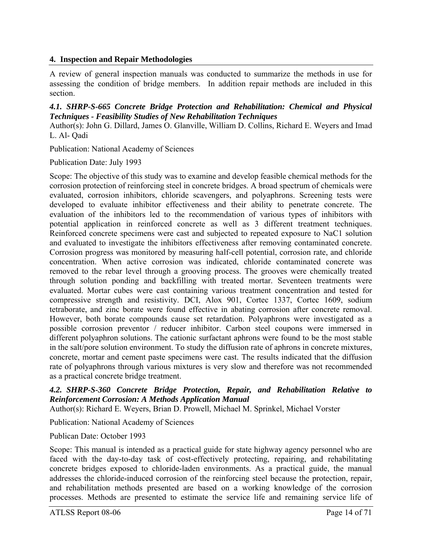### **4. Inspection and Repair Methodologies**

A review of general inspection manuals was conducted to summarize the methods in use for assessing the condition of bridge members. In addition repair methods are included in this section.

### *4.1. SHRP-S-665 Concrete Bridge Protection and Rehabilitation: Chemical and Physical Techniques - Feasibility Studies of New Rehabilitation Techniques*

Author(s): John G. Dillard, James O. Glanville, William D. Collins, Richard E. Weyers and Imad L. Al- Qadi

Publication: National Academy of Sciences

Publication Date: July 1993

Scope: The objective of this study was to examine and develop feasible chemical methods for the corrosion protection of reinforcing steel in concrete bridges. A broad spectrum of chemicals were evaluated, corrosion inhibitors, chloride scavengers, and polyaphrons. Screening tests were developed to evaluate inhibitor effectiveness and their ability to penetrate concrete. The evaluation of the inhibitors led to the recommendation of various types of inhibitors with potential application in reinforced concrete as well as 3 different treatment techniques. Reinforced concrete specimens were cast and subjected to repeated exposure to NaC1 solution and evaluated to investigate the inhibitors effectiveness after removing contaminated concrete. Corrosion progress was monitored by measuring half-cell potential, corrosion rate, and chloride concentration. When active corrosion was indicated, chloride contaminated concrete was removed to the rebar level through a grooving process. The grooves were chemically treated through solution ponding and backfilling with treated mortar. Seventeen treatments were evaluated. Mortar cubes were cast containing various treatment concentration and tested for compressive strength and resistivity. DCI, Alox 901, Cortec 1337, Cortec 1609, sodium tetraborate, and zinc borate were found effective in abating corrosion after concrete removal. However, both borate compounds cause set retardation. Polyaphrons were investigated as a possible corrosion preventor / reducer inhibitor. Carbon steel coupons were immersed in different polyaphron solutions. The cationic surfactant aphrons were found to be the most stable in the salt/pore solution environment. To study the diffusion rate of aphrons in concrete mixtures, concrete, mortar and cement paste specimens were cast. The results indicated that the diffusion rate of polyaphrons through various mixtures is very slow and therefore was not recommended as a practical concrete bridge treatment.

### *4.2. SHRP-S-360 Concrete Bridge Protection, Repair, and Rehabilitation Relative to Reinforcement Corrosion: A Methods Application Manual*

Author(s): Richard E. Weyers, Brian D. Prowell, Michael M. Sprinkel, Michael Vorster

Publication: National Academy of Sciences

Publican Date: October 1993

Scope: This manual is intended as a practical guide for state highway agency personnel who are faced with the day-to-day task of cost-effectively protecting, repairing, and rehabilitating concrete bridges exposed to chloride-laden environments. As a practical guide, the manual addresses the chloride-induced corrosion of the reinforcing steel because the protection, repair, and rehabilitation methods presented are based on a working knowledge of the corrosion processes. Methods are presented to estimate the service life and remaining service life of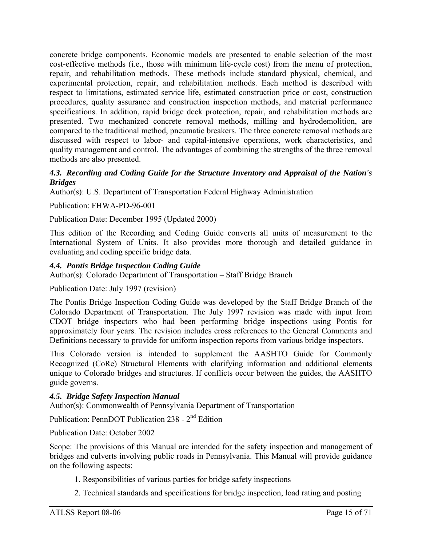concrete bridge components. Economic models are presented to enable selection of the most cost-effective methods (i.e., those with minimum life-cycle cost) from the menu of protection, repair, and rehabilitation methods. These methods include standard physical, chemical, and experimental protection, repair, and rehabilitation methods. Each method is described with respect to limitations, estimated service life, estimated construction price or cost, construction procedures, quality assurance and construction inspection methods, and material performance specifications. In addition, rapid bridge deck protection, repair, and rehabilitation methods are presented. Two mechanized concrete removal methods, milling and hydrodemolition, are compared to the traditional method, pneumatic breakers. The three concrete removal methods are discussed with respect to labor- and capital-intensive operations, work characteristics, and quality management and control. The advantages of combining the strengths of the three removal methods are also presented.

### *4.3. Recording and Coding Guide for the Structure Inventory and Appraisal of the Nation's Bridges*

Author(s): U.S. Department of Transportation Federal Highway Administration

Publication: FHWA-PD-96-001

Publication Date: December 1995 (Updated 2000)

This edition of the Recording and Coding Guide converts all units of measurement to the International System of Units. It also provides more thorough and detailed guidance in evaluating and coding specific bridge data.

### *4.4. Pontis Bridge Inspection Coding Guide*

Author(s): Colorado Department of Transportation – Staff Bridge Branch

Publication Date: July 1997 (revision)

The Pontis Bridge Inspection Coding Guide was developed by the Staff Bridge Branch of the Colorado Department of Transportation. The July 1997 revision was made with input from CDOT bridge inspectors who had been performing bridge inspections using Pontis for approximately four years. The revision includes cross references to the General Comments and Definitions necessary to provide for uniform inspection reports from various bridge inspectors.

This Colorado version is intended to supplement the AASHTO Guide for Commonly Recognized (CoRe) Structural Elements with clarifying information and additional elements unique to Colorado bridges and structures. If conflicts occur between the guides, the AASHTO guide governs.

### *4.5. Bridge Safety Inspection Manual*

Author(s): Commonwealth of Pennsylvania Department of Transportation

Publication: PennDOT Publication 238 - 2nd Edition

Publication Date: October 2002

Scope: The provisions of this Manual are intended for the safety inspection and management of bridges and culverts involving public roads in Pennsylvania. This Manual will provide guidance on the following aspects:

- 1. Responsibilities of various parties for bridge safety inspections
- 2. Technical standards and specifications for bridge inspection, load rating and posting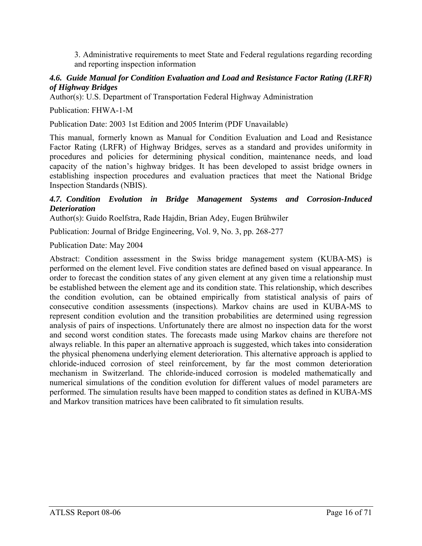3. Administrative requirements to meet State and Federal regulations regarding recording and reporting inspection information

### *4.6. Guide Manual for Condition Evaluation and Load and Resistance Factor Rating (LRFR) of Highway Bridges*

Author(s): U.S. Department of Transportation Federal Highway Administration

Publication: FHWA-1-M

Publication Date: 2003 1st Edition and 2005 Interim (PDF Unavailable)

This manual, formerly known as Manual for Condition Evaluation and Load and Resistance Factor Rating (LRFR) of Highway Bridges, serves as a standard and provides uniformity in procedures and policies for determining physical condition, maintenance needs, and load capacity of the nation's highway bridges. It has been developed to assist bridge owners in establishing inspection procedures and evaluation practices that meet the National Bridge Inspection Standards (NBIS).

### *4.7. Condition Evolution in Bridge Management Systems and Corrosion-Induced Deterioration*

Author(s): Guido Roelfstra, Rade Hajdin, Brian Adey, Eugen Brühwiler

Publication: Journal of Bridge Engineering, Vol. 9, No. 3, pp. 268-277

Publication Date: May 2004

Abstract: Condition assessment in the Swiss bridge management system (KUBA-MS) is performed on the element level. Five condition states are defined based on visual appearance. In order to forecast the condition states of any given element at any given time a relationship must be established between the element age and its condition state. This relationship, which describes the condition evolution, can be obtained empirically from statistical analysis of pairs of consecutive condition assessments (inspections). Markov chains are used in KUBA-MS to represent condition evolution and the transition probabilities are determined using regression analysis of pairs of inspections. Unfortunately there are almost no inspection data for the worst and second worst condition states. The forecasts made using Markov chains are therefore not always reliable. In this paper an alternative approach is suggested, which takes into consideration the physical phenomena underlying element deterioration. This alternative approach is applied to chloride-induced corrosion of steel reinforcement, by far the most common deterioration mechanism in Switzerland. The chloride-induced corrosion is modeled mathematically and numerical simulations of the condition evolution for different values of model parameters are performed. The simulation results have been mapped to condition states as defined in KUBA-MS and Markov transition matrices have been calibrated to fit simulation results.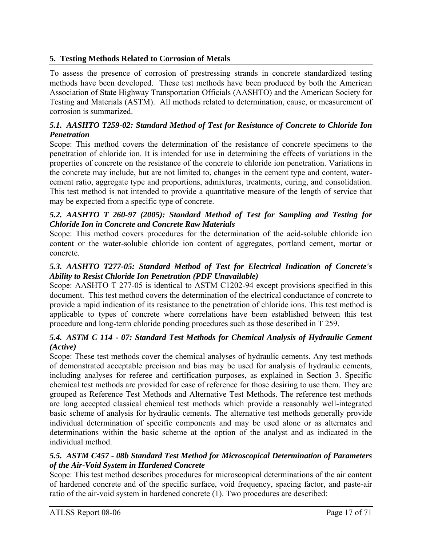# **5. Testing Methods Related to Corrosion of Metals**

To assess the presence of corrosion of prestressing strands in concrete standardized testing methods have been developed. These test methods have been produced by both the American Association of State Highway Transportation Officials (AASHTO) and the American Society for Testing and Materials (ASTM). All methods related to determination, cause, or measurement of corrosion is summarized.

### *5.1. AASHTO T259-02: Standard Method of Test for Resistance of Concrete to Chloride Ion Penetration*

Scope: This method covers the determination of the resistance of concrete specimens to the penetration of chloride ion. It is intended for use in determining the effects of variations in the properties of concrete on the resistance of the concrete to chloride ion penetration. Variations in the concrete may include, but are not limited to, changes in the cement type and content, watercement ratio, aggregate type and proportions, admixtures, treatments, curing, and consolidation. This test method is not intended to provide a quantitative measure of the length of service that may be expected from a specific type of concrete.

### *5.2. AASHTO T 260-97 (2005): Standard Method of Test for Sampling and Testing for Chloride Ion in Concrete and Concrete Raw Materials*

Scope: This method covers procedures for the determination of the acid-soluble chloride ion content or the water-soluble chloride ion content of aggregates, portland cement, mortar or concrete.

### *5.3. AASHTO T277-05: Standard Method of Test for Electrical Indication of Concrete's Ability to Resist Chloride Ion Penetration (PDF Unavailable)*

Scope: AASHTO T 277-05 is identical to ASTM C1202-94 except provisions specified in this document. This test method covers the determination of the electrical conductance of concrete to provide a rapid indication of its resistance to the penetration of chloride ions. This test method is applicable to types of concrete where correlations have been established between this test procedure and long-term chloride ponding procedures such as those described in T 259.

### *5.4. ASTM C 114 - 07: Standard Test Methods for Chemical Analysis of Hydraulic Cement (Active)*

Scope: These test methods cover the chemical analyses of hydraulic cements. Any test methods of demonstrated acceptable precision and bias may be used for analysis of hydraulic cements, including analyses for referee and certification purposes, as explained in Section 3. Specific chemical test methods are provided for ease of reference for those desiring to use them. They are grouped as Reference Test Methods and Alternative Test Methods. The reference test methods are long accepted classical chemical test methods which provide a reasonably well-integrated basic scheme of analysis for hydraulic cements. The alternative test methods generally provide individual determination of specific components and may be used alone or as alternates and determinations within the basic scheme at the option of the analyst and as indicated in the individual method.

### *5.5. ASTM C457 - 08b Standard Test Method for Microscopical Determination of Parameters of the Air-Void System in Hardened Concrete*

Scope: This test method describes procedures for microscopical determinations of the air content of hardened concrete and of the specific surface, void frequency, spacing factor, and paste-air ratio of the air-void system in hardened concrete (1). Two procedures are described: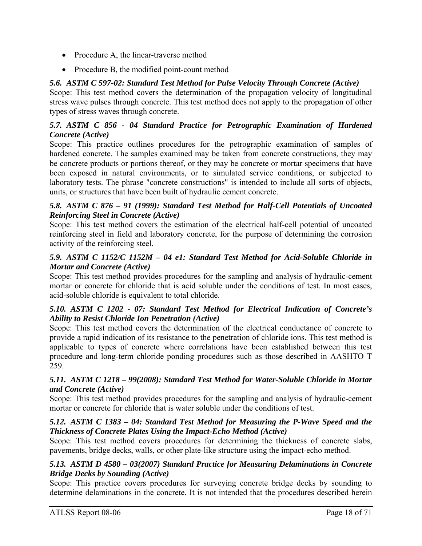- Procedure A, the linear-traverse method
- Procedure B, the modified point-count method

# *5.6. ASTM C 597-02: Standard Test Method for Pulse Velocity Through Concrete (Active)*

Scope: This test method covers the determination of the propagation velocity of longitudinal stress wave pulses through concrete. This test method does not apply to the propagation of other types of stress waves through concrete.

### *5.7. ASTM C 856 - 04 Standard Practice for Petrographic Examination of Hardened Concrete (Active)*

Scope: This practice outlines procedures for the petrographic examination of samples of hardened concrete. The samples examined may be taken from concrete constructions, they may be concrete products or portions thereof, or they may be concrete or mortar specimens that have been exposed in natural environments, or to simulated service conditions, or subjected to laboratory tests. The phrase "concrete constructions" is intended to include all sorts of objects, units, or structures that have been built of hydraulic cement concrete.

### *5.8. ASTM C 876 – 91 (1999): Standard Test Method for Half-Cell Potentials of Uncoated Reinforcing Steel in Concrete (Active)*

Scope: This test method covers the estimation of the electrical half-cell potential of uncoated reinforcing steel in field and laboratory concrete, for the purpose of determining the corrosion activity of the reinforcing steel.

### *5.9. ASTM C 1152/C 1152M – 04 e1: Standard Test Method for Acid-Soluble Chloride in Mortar and Concrete (Active)*

Scope: This test method provides procedures for the sampling and analysis of hydraulic-cement mortar or concrete for chloride that is acid soluble under the conditions of test. In most cases, acid-soluble chloride is equivalent to total chloride.

### *5.10. ASTM C 1202 - 07: Standard Test Method for Electrical Indication of Concrete's Ability to Resist Chloride Ion Penetration (Active)*

Scope: This test method covers the determination of the electrical conductance of concrete to provide a rapid indication of its resistance to the penetration of chloride ions. This test method is applicable to types of concrete where correlations have been established between this test procedure and long-term chloride ponding procedures such as those described in AASHTO T 259.

### *5.11. ASTM C 1218 – 99(2008): Standard Test Method for Water-Soluble Chloride in Mortar and Concrete (Active)*

Scope: This test method provides procedures for the sampling and analysis of hydraulic-cement mortar or concrete for chloride that is water soluble under the conditions of test.

### *5.12. ASTM C 1383 – 04: Standard Test Method for Measuring the P-Wave Speed and the Thickness of Concrete Plates Using the Impact-Echo Method (Active)*

Scope: This test method covers procedures for determining the thickness of concrete slabs, pavements, bridge decks, walls, or other plate-like structure using the impact-echo method.

### *5.13. ASTM D 4580 – 03(2007) Standard Practice for Measuring Delaminations in Concrete Bridge Decks by Sounding (Active)*

Scope: This practice covers procedures for surveying concrete bridge decks by sounding to determine delaminations in the concrete. It is not intended that the procedures described herein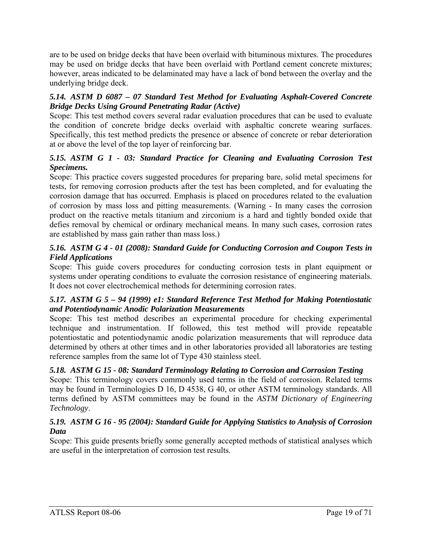are to be used on bridge decks that have been overlaid with bituminous mixtures. The procedures may be used on bridge decks that have been overlaid with Portland cement concrete mixtures; however, areas indicated to be delaminated may have a lack of bond between the overlay and the underlying bridge deck.

### *5.14. ASTM D 6087 – 07 Standard Test Method for Evaluating Asphalt-Covered Concrete Bridge Decks Using Ground Penetrating Radar (Active)*

Scope: This test method covers several radar evaluation procedures that can be used to evaluate the condition of concrete bridge decks overlaid with asphaltic concrete wearing surfaces. Specifically, this test method predicts the presence or absence of concrete or rebar deterioration at or above the level of the top layer of reinforcing bar.

### *5.15. ASTM G 1 - 03: Standard Practice for Cleaning and Evaluating Corrosion Test Specimens.*

Scope: This practice covers suggested procedures for preparing bare, solid metal specimens for tests, for removing corrosion products after the test has been completed, and for evaluating the corrosion damage that has occurred. Emphasis is placed on procedures related to the evaluation of corrosion by mass loss and pitting measurements. (Warning - In many cases the corrosion product on the reactive metals titanium and zirconium is a hard and tightly bonded oxide that defies removal by chemical or ordinary mechanical means. In many such cases, corrosion rates are established by mass gain rather than mass loss.)

### *5.16. ASTM G 4 - 01 (2008): Standard Guide for Conducting Corrosion and Coupon Tests in Field Applications*

Scope: This guide covers procedures for conducting corrosion tests in plant equipment or systems under operating conditions to evaluate the corrosion resistance of engineering materials. It does not cover electrochemical methods for determining corrosion rates.

### *5.17. ASTM G 5 – 94 (1999) e1: Standard Reference Test Method for Making Potentiostatic and Potentiodynamic Anodic Polarization Measurements*

Scope: This test method describes an experimental procedure for checking experimental technique and instrumentation. If followed, this test method will provide repeatable potentiostatic and potentiodynamic anodic polarization measurements that will reproduce data determined by others at other times and in other laboratories provided all laboratories are testing reference samples from the same lot of Type 430 stainless steel.

### *5.18. ASTM G 15 - 08: Standard Terminology Relating to Corrosion and Corrosion Testing*

Scope: This terminology covers commonly used terms in the field of corrosion. Related terms may be found in Terminologies D 16, D 4538, G 40, or other ASTM terminology standards. All terms defined by ASTM committees may be found in the *ASTM Dictionary of Engineering Technology*.

### *5.19. ASTM G 16 - 95 (2004): Standard Guide for Applying Statistics to Analysis of Corrosion Data*

Scope: This guide presents briefly some generally accepted methods of statistical analyses which are useful in the interpretation of corrosion test results.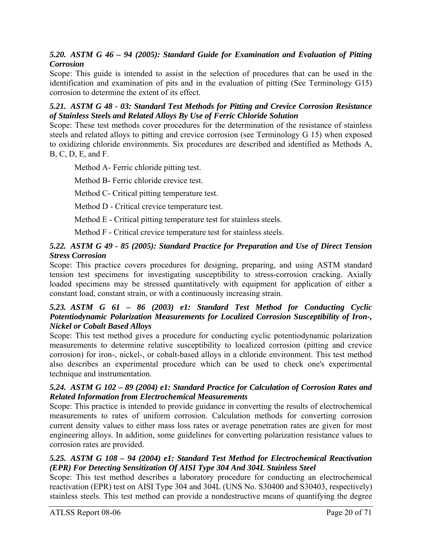### *5.20. ASTM G 46 – 94 (2005): Standard Guide for Examination and Evaluation of Pitting Corrosion*

Scope: This guide is intended to assist in the selection of procedures that can be used in the identification and examination of pits and in the evaluation of pitting (See Terminology G15) corrosion to determine the extent of its effect.

### *5.21. ASTM G 48 - 03: Standard Test Methods for Pitting and Crevice Corrosion Resistance of Stainless Steels and Related Alloys By Use of Ferric Chloride Solution*

Scope: These test methods cover procedures for the determination of the resistance of stainless steels and related alloys to pitting and crevice corrosion (see Terminology G 15) when exposed to oxidizing chloride environments. Six procedures are described and identified as Methods A, B, C, D, E, and F.

Method A- Ferric chloride pitting test.

Method B- Ferric chloride crevice test.

Method C- Critical pitting temperature test.

Method D - Critical crevice temperature test.

Method E - Critical pitting temperature test for stainless steels.

Method F - Critical crevice temperature test for stainless steels.

### *5.22. ASTM G 49 - 85 (2005): Standard Practice for Preparation and Use of Direct Tension Stress Corrosion*

Scope: This practice covers procedures for designing, preparing, and using ASTM standard tension test specimens for investigating susceptibility to stress-corrosion cracking. Axially loaded specimens may be stressed quantitatively with equipment for application of either a constant load, constant strain, or with a continuously increasing strain.

### *5.23. ASTM G 61 – 86 (2003) e1: Standard Test Method for Conducting Cyclic Potentiodynamic Polarization Measurements for Localized Corrosion Susceptibility of Iron-, Nickel or Cobalt Based Alloys*

Scope: This test method gives a procedure for conducting cyclic potentiodynamic polarization measurements to determine relative susceptibility to localized corrosion (pitting and crevice corrosion) for iron-, nickel-, or cobalt-based alloys in a chloride environment. This test method also describes an experimental procedure which can be used to check one's experimental technique and instrumentation.

### *5.24. ASTM G 102 – 89 (2004) e1: Standard Practice for Calculation of Corrosion Rates and Related Information from Electrochemical Measurements*

Scope: This practice is intended to provide guidance in converting the results of electrochemical measurements to rates of uniform corrosion. Calculation methods for converting corrosion current density values to either mass loss rates or average penetration rates are given for most engineering alloys. In addition, some guidelines for converting polarization resistance values to corrosion rates are provided.

### *5.25. ASTM G 108 – 94 (2004) e1: Standard Test Method for Electrochemical Reactivation (EPR) For Detecting Sensitization Of AISI Type 304 And 304L Stainless Steel*

Scope: This test method describes a laboratory procedure for conducting an electrochemical reactivation (EPR) test on AISI Type 304 and 304L (UNS No. S30400 and S30403, respectively) stainless steels. This test method can provide a nondestructive means of quantifying the degree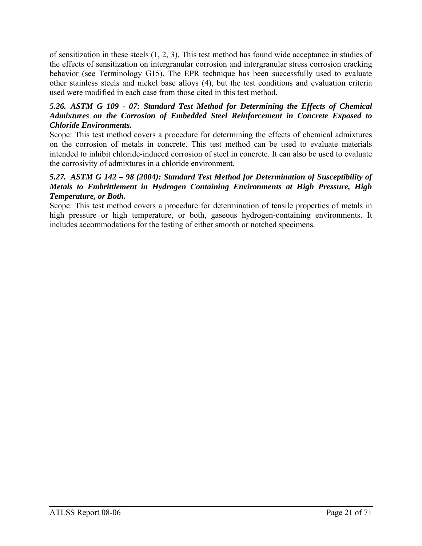of sensitization in these steels (1, 2, 3). This test method has found wide acceptance in studies of the effects of sensitization on intergranular corrosion and intergranular stress corrosion cracking behavior (see Terminology G15). The EPR technique has been successfully used to evaluate other stainless steels and nickel base alloys (4), but the test conditions and evaluation criteria used were modified in each case from those cited in this test method.

### *5.26. ASTM G 109 - 07: Standard Test Method for Determining the Effects of Chemical Admixtures on the Corrosion of Embedded Steel Reinforcement in Concrete Exposed to Chloride Environments.*

Scope: This test method covers a procedure for determining the effects of chemical admixtures on the corrosion of metals in concrete. This test method can be used to evaluate materials intended to inhibit chloride-induced corrosion of steel in concrete. It can also be used to evaluate the corrosivity of admixtures in a chloride environment.

### *5.27. ASTM G 142 – 98 (2004): Standard Test Method for Determination of Susceptibility of Metals to Embrittlement in Hydrogen Containing Environments at High Pressure, High Temperature, or Both.*

Scope: This test method covers a procedure for determination of tensile properties of metals in high pressure or high temperature, or both, gaseous hydrogen-containing environments. It includes accommodations for the testing of either smooth or notched specimens.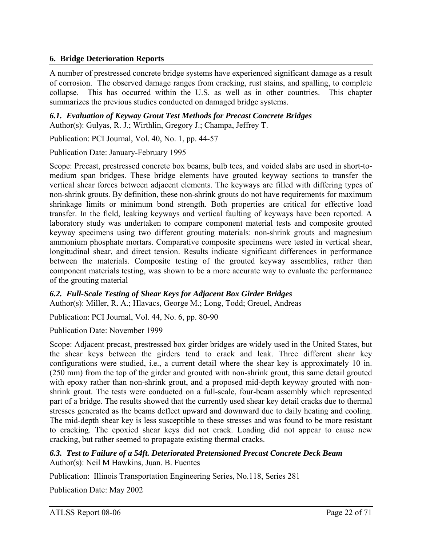### **6. Bridge Deterioration Reports**

A number of prestressed concrete bridge systems have experienced significant damage as a result of corrosion. The observed damage ranges from cracking, rust stains, and spalling, to complete collapse. This has occurred within the U.S. as well as in other countries. This chapter summarizes the previous studies conducted on damaged bridge systems.

*6.1. Evaluation of Keyway Grout Test Methods for Precast Concrete Bridges*  Author(s): Gulyas, R. J.; Wirthlin, Gregory J.; Champa, Jeffrey T.

Publication: PCI Journal, Vol. 40, No. 1, pp. 44-57

Publication Date: January-February 1995

Scope: Precast, prestressed concrete box beams, bulb tees, and voided slabs are used in short-tomedium span bridges. These bridge elements have grouted keyway sections to transfer the vertical shear forces between adjacent elements. The keyways are filled with differing types of non-shrink grouts. By definition, these non-shrink grouts do not have requirements for maximum shrinkage limits or minimum bond strength. Both properties are critical for effective load transfer. In the field, leaking keyways and vertical faulting of keyways have been reported. A laboratory study was undertaken to compare component material tests and composite grouted keyway specimens using two different grouting materials: non-shrink grouts and magnesium ammonium phosphate mortars. Comparative composite specimens were tested in vertical shear, longitudinal shear, and direct tension. Results indicate significant differences in performance between the materials. Composite testing of the grouted keyway assemblies, rather than component materials testing, was shown to be a more accurate way to evaluate the performance of the grouting material

#### *6.2. Full-Scale Testing of Shear Keys for Adjacent Box Girder Bridges*

Author(s): Miller, R. A.; Hlavacs, George M.; Long, Todd; Greuel, Andreas

Publication: PCI Journal, Vol. 44, No. 6, pp. 80-90

Publication Date: November 1999

Scope: Adjacent precast, prestressed box girder bridges are widely used in the United States, but the shear keys between the girders tend to crack and leak. Three different shear key configurations were studied, i.e., a current detail where the shear key is approximately 10 in. (250 mm) from the top of the girder and grouted with non-shrink grout, this same detail grouted with epoxy rather than non-shrink grout, and a proposed mid-depth keyway grouted with nonshrink grout. The tests were conducted on a full-scale, four-beam assembly which represented part of a bridge. The results showed that the currently used shear key detail cracks due to thermal stresses generated as the beams deflect upward and downward due to daily heating and cooling. The mid-depth shear key is less susceptible to these stresses and was found to be more resistant to cracking. The epoxied shear keys did not crack. Loading did not appear to cause new cracking, but rather seemed to propagate existing thermal cracks.

*6.3. Test to Failure of a 54ft. Deteriorated Pretensioned Precast Concrete Deck Beam*  Author(s): Neil M Hawkins, Juan. B. Fuentes

Publication: Illinois Transportation Engineering Series, No.118, Series 281

Publication Date: May 2002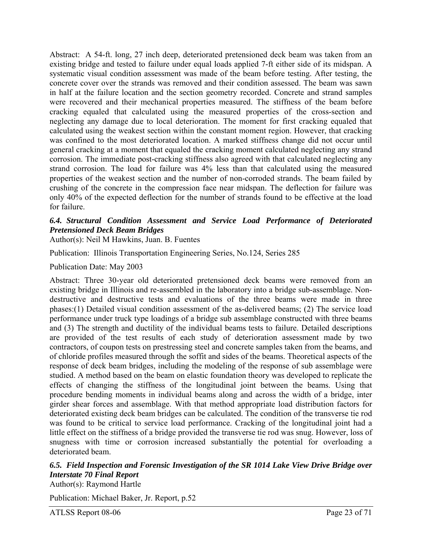Abstract: A 54-ft. long, 27 inch deep, deteriorated pretensioned deck beam was taken from an existing bridge and tested to failure under equal loads applied 7-ft either side of its midspan. A systematic visual condition assessment was made of the beam before testing. After testing, the concrete cover over the strands was removed and their condition assessed. The beam was sawn in half at the failure location and the section geometry recorded. Concrete and strand samples were recovered and their mechanical properties measured. The stiffness of the beam before cracking equaled that calculated using the measured properties of the cross-section and neglecting any damage due to local deterioration. The moment for first cracking equaled that calculated using the weakest section within the constant moment region. However, that cracking was confined to the most deteriorated location. A marked stiffness change did not occur until general cracking at a moment that equaled the cracking moment calculated neglecting any strand corrosion. The immediate post-cracking stiffness also agreed with that calculated neglecting any strand corrosion. The load for failure was 4% less than that calculated using the measured properties of the weakest section and the number of non-corroded strands. The beam failed by crushing of the concrete in the compression face near midspan. The deflection for failure was only 40% of the expected deflection for the number of strands found to be effective at the load for failure.

### *6.4. Structural Condition Assessment and Service Load Performance of Deteriorated Pretensioned Deck Beam Bridges*

Author(s): Neil M Hawkins, Juan. B. Fuentes

Publication: Illinois Transportation Engineering Series, No.124, Series 285

Publication Date: May 2003

Abstract: Three 30-year old deteriorated pretensioned deck beams were removed from an existing bridge in Illinois and re-assembled in the laboratory into a bridge sub-assemblage. Nondestructive and destructive tests and evaluations of the three beams were made in three phases:(1) Detailed visual condition assessment of the as-delivered beams; (2) The service load performance under truck type loadings of a bridge sub assemblage constructed with three beams and (3) The strength and ductility of the individual beams tests to failure. Detailed descriptions are provided of the test results of each study of deterioration assessment made by two contractors, of coupon tests on prestressing steel and concrete samples taken from the beams, and of chloride profiles measured through the soffit and sides of the beams. Theoretical aspects of the response of deck beam bridges, including the modeling of the response of sub assemblage were studied. A method based on the beam on elastic foundation theory was developed to replicate the effects of changing the stiffness of the longitudinal joint between the beams. Using that procedure bending moments in individual beams along and across the width of a bridge, inter girder shear forces and assemblage. With that method appropriate load distribution factors for deteriorated existing deck beam bridges can be calculated. The condition of the transverse tie rod was found to be critical to service load performance. Cracking of the longitudinal joint had a little effect on the stiffness of a bridge provided the transverse tie rod was snug. However, loss of snugness with time or corrosion increased substantially the potential for overloading a deteriorated beam.

# *6.5. Field Inspection and Forensic Investigation of the SR 1014 Lake View Drive Bridge over Interstate 70 Final Report*

Author(s): Raymond Hartle

Publication: Michael Baker, Jr. Report, p.52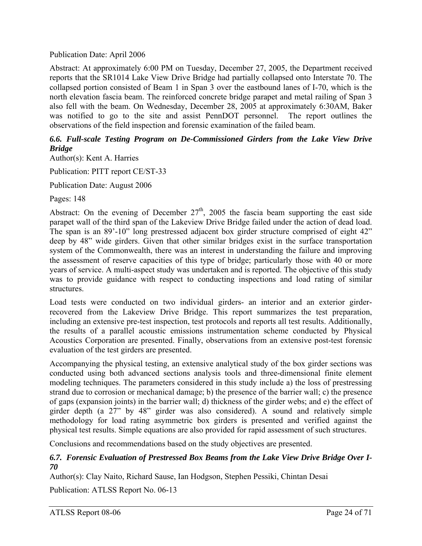### Publication Date: April 2006

Abstract: At approximately 6:00 PM on Tuesday, December 27, 2005, the Department received reports that the SR1014 Lake View Drive Bridge had partially collapsed onto Interstate 70. The collapsed portion consisted of Beam 1 in Span 3 over the eastbound lanes of I-70, which is the north elevation fascia beam. The reinforced concrete bridge parapet and metal railing of Span 3 also fell with the beam. On Wednesday, December 28, 2005 at approximately 6:30AM, Baker was notified to go to the site and assist PennDOT personnel. The report outlines the observations of the field inspection and forensic examination of the failed beam.

### *6.6. Full-scale Testing Program on De-Commissioned Girders from the Lake View Drive Bridge*

Author(s): Kent A. Harries

Publication: PITT report CE/ST-33

Publication Date: August 2006

Pages: 148

Abstract: On the evening of December  $27<sup>th</sup>$ , 2005 the fascia beam supporting the east side parapet wall of the third span of the Lakeview Drive Bridge failed under the action of dead load. The span is an 89'-10" long prestressed adjacent box girder structure comprised of eight 42" deep by 48" wide girders. Given that other similar bridges exist in the surface transportation system of the Commonwealth, there was an interest in understanding the failure and improving the assessment of reserve capacities of this type of bridge; particularly those with 40 or more years of service. A multi-aspect study was undertaken and is reported. The objective of this study was to provide guidance with respect to conducting inspections and load rating of similar structures.

Load tests were conducted on two individual girders- an interior and an exterior girderrecovered from the Lakeview Drive Bridge. This report summarizes the test preparation, including an extensive pre-test inspection, test protocols and reports all test results. Additionally, the results of a parallel acoustic emissions instrumentation scheme conducted by Physical Acoustics Corporation are presented. Finally, observations from an extensive post-test forensic evaluation of the test girders are presented.

Accompanying the physical testing, an extensive analytical study of the box girder sections was conducted using both advanced sections analysis tools and three-dimensional finite element modeling techniques. The parameters considered in this study include a) the loss of prestressing strand due to corrosion or mechanical damage; b) the presence of the barrier wall; c) the presence of gaps (expansion joints) in the barrier wall; d) thickness of the girder webs; and e) the effect of girder depth (a 27" by 48" girder was also considered). A sound and relatively simple methodology for load rating asymmetric box girders is presented and verified against the physical test results. Simple equations are also provided for rapid assessment of such structures.

Conclusions and recommendations based on the study objectives are presented.

### *6.7. Forensic Evaluation of Prestressed Box Beams from the Lake View Drive Bridge Over I-70*

Author(s): Clay Naito, Richard Sause, Ian Hodgson, Stephen Pessiki, Chintan Desai

Publication: ATLSS Report No. 06-13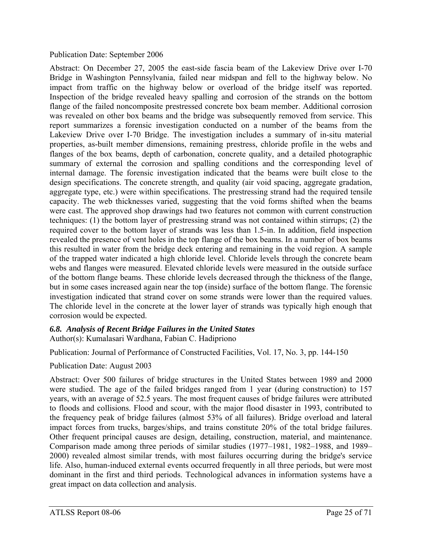### Publication Date: September 2006

Abstract: On December 27, 2005 the east-side fascia beam of the Lakeview Drive over I-70 Bridge in Washington Pennsylvania, failed near midspan and fell to the highway below. No impact from traffic on the highway below or overload of the bridge itself was reported. Inspection of the bridge revealed heavy spalling and corrosion of the strands on the bottom flange of the failed noncomposite prestressed concrete box beam member. Additional corrosion was revealed on other box beams and the bridge was subsequently removed from service. This report summarizes a forensic investigation conducted on a number of the beams from the Lakeview Drive over I-70 Bridge. The investigation includes a summary of in-situ material properties, as-built member dimensions, remaining prestress, chloride profile in the webs and flanges of the box beams, depth of carbonation, concrete quality, and a detailed photographic summary of external the corrosion and spalling conditions and the corresponding level of internal damage. The forensic investigation indicated that the beams were built close to the design specifications. The concrete strength, and quality (air void spacing, aggregate gradation, aggregate type, etc.) were within specifications. The prestressing strand had the required tensile capacity. The web thicknesses varied, suggesting that the void forms shifted when the beams were cast. The approved shop drawings had two features not common with current construction techniques: (1) the bottom layer of prestressing strand was not contained within stirrups; (2) the required cover to the bottom layer of strands was less than 1.5-in. In addition, field inspection revealed the presence of vent holes in the top flange of the box beams. In a number of box beams this resulted in water from the bridge deck entering and remaining in the void region. A sample of the trapped water indicated a high chloride level. Chloride levels through the concrete beam webs and flanges were measured. Elevated chloride levels were measured in the outside surface of the bottom flange beams. These chloride levels decreased through the thickness of the flange, but in some cases increased again near the top (inside) surface of the bottom flange. The forensic investigation indicated that strand cover on some strands were lower than the required values. The chloride level in the concrete at the lower layer of strands was typically high enough that corrosion would be expected.

# *6.8. Analysis of Recent Bridge Failures in the United States*

Author(s): Kumalasari Wardhana, Fabian C. Hadipriono

Publication: Journal of Performance of Constructed Facilities, Vol. 17, No. 3, pp. 144-150

### Publication Date: August 2003

Abstract: Over 500 failures of bridge structures in the United States between 1989 and 2000 were studied. The age of the failed bridges ranged from 1 year (during construction) to 157 years, with an average of 52.5 years. The most frequent causes of bridge failures were attributed to floods and collisions. Flood and scour, with the major flood disaster in 1993, contributed to the frequency peak of bridge failures (almost 53% of all failures). Bridge overload and lateral impact forces from trucks, barges/ships, and trains constitute 20% of the total bridge failures. Other frequent principal causes are design, detailing, construction, material, and maintenance. Comparison made among three periods of similar studies (1977–1981, 1982–1988, and 1989– 2000) revealed almost similar trends, with most failures occurring during the bridge's service life. Also, human-induced external events occurred frequently in all three periods, but were most dominant in the first and third periods. Technological advances in information systems have a great impact on data collection and analysis.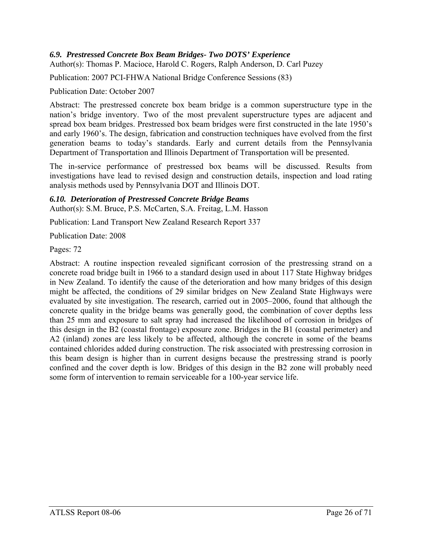### *6.9. Prestressed Concrete Box Beam Bridges- Two DOTS' Experience*

Author(s): Thomas P. Macioce, Harold C. Rogers, Ralph Anderson, D. Carl Puzey

Publication: 2007 PCI-FHWA National Bridge Conference Sessions (83)

Publication Date: October 2007

Abstract: The prestressed concrete box beam bridge is a common superstructure type in the nation's bridge inventory. Two of the most prevalent superstructure types are adjacent and spread box beam bridges. Prestressed box beam bridges were first constructed in the late 1950's and early 1960's. The design, fabrication and construction techniques have evolved from the first generation beams to today's standards. Early and current details from the Pennsylvania Department of Transportation and Illinois Department of Transportation will be presented.

The in-service performance of prestressed box beams will be discussed. Results from investigations have lead to revised design and construction details, inspection and load rating analysis methods used by Pennsylvania DOT and Illinois DOT.

#### *6.10. Deterioration of Prestressed Concrete Bridge Beams*  Author(s): S.M. Bruce, P.S. McCarten, S.A. Freitag, L.M. Hasson

Publication: Land Transport New Zealand Research Report 337

Publication Date: 2008

Pages: 72

Abstract: A routine inspection revealed significant corrosion of the prestressing strand on a concrete road bridge built in 1966 to a standard design used in about 117 State Highway bridges in New Zealand. To identify the cause of the deterioration and how many bridges of this design might be affected, the conditions of 29 similar bridges on New Zealand State Highways were evaluated by site investigation. The research, carried out in 2005–2006, found that although the concrete quality in the bridge beams was generally good, the combination of cover depths less than 25 mm and exposure to salt spray had increased the likelihood of corrosion in bridges of this design in the B2 (coastal frontage) exposure zone. Bridges in the B1 (coastal perimeter) and A2 (inland) zones are less likely to be affected, although the concrete in some of the beams contained chlorides added during construction. The risk associated with prestressing corrosion in this beam design is higher than in current designs because the prestressing strand is poorly confined and the cover depth is low. Bridges of this design in the B2 zone will probably need some form of intervention to remain serviceable for a 100-year service life.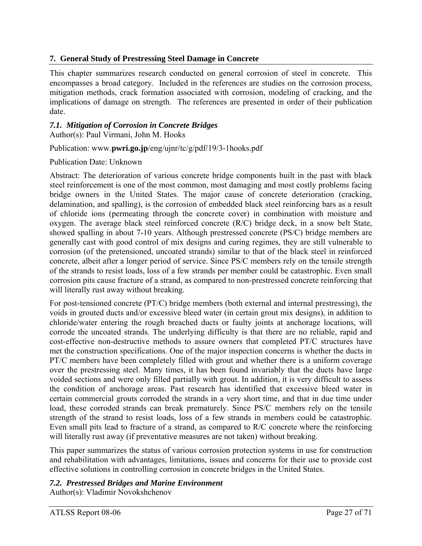# **7. General Study of Prestressing Steel Damage in Concrete**

This chapter summarizes research conducted on general corrosion of steel in concrete. This encompasses a broad category. Included in the references are studies on the corrosion process, mitigation methods, crack formation associated with corrosion, modeling of cracking, and the implications of damage on strength. The references are presented in order of their publication date.

### *7.1. Mitigation of Corrosion in Concrete Bridges*

Author(s): Paul Virmani, John M. Hooks

### Publication: www.**pwri.go.jp**/eng/ujnr/tc/g/pdf/19/3-1hooks.pdf

Publication Date: Unknown

Abstract: The deterioration of various concrete bridge components built in the past with black steel reinforcement is one of the most common, most damaging and most costly problems facing bridge owners in the United States. The major cause of concrete deterioration (cracking, delamination, and spalling), is the corrosion of embedded black steel reinforcing bars as a result of chloride ions (permeating through the concrete cover) in combination with moisture and oxygen. The average black steel reinforced concrete (R/C) bridge deck, in a snow belt State, showed spalling in about 7-10 years. Although prestressed concrete (PS/C) bridge members are generally cast with good control of mix designs and curing regimes, they are still vulnerable to corrosion (of the pretensioned, uncoated strands) similar to that of the black steel in reinforced concrete, albeit after a longer period of service. Since PS/C members rely on the tensile strength of the strands to resist loads, loss of a few strands per member could be catastrophic. Even small corrosion pits cause fracture of a strand, as compared to non-prestressed concrete reinforcing that will literally rust away without breaking.

For post-tensioned concrete (PT/C) bridge members (both external and internal prestressing), the voids in grouted ducts and/or excessive bleed water (in certain grout mix designs), in addition to chloride/water entering the rough breached ducts or faulty joints at anchorage locations, will corrode the uncoated strands. The underlying difficulty is that there are no reliable, rapid and cost-effective non-destructive methods to assure owners that completed PT/C structures have met the construction specifications. One of the major inspection concerns is whether the ducts in PT/C members have been completely filled with grout and whether there is a uniform coverage over the prestressing steel. Many times, it has been found invariably that the ducts have large voided sections and were only filled partially with grout. In addition, it is very difficult to assess the condition of anchorage areas. Past research has identified that excessive bleed water in certain commercial grouts corroded the strands in a very short time, and that in due time under load, these corroded strands can break prematurely. Since PS/C members rely on the tensile strength of the strand to resist loads, loss of a few strands in members could be catastrophic. Even small pits lead to fracture of a strand, as compared to R/C concrete where the reinforcing will literally rust away (if preventative measures are not taken) without breaking.

This paper summarizes the status of various corrosion protection systems in use for construction and rehabilitation with advantages, limitations, issues and concerns for their use to provide cost effective solutions in controlling corrosion in concrete bridges in the United States.

### *7.2. Prestressed Bridges and Marine Environment*

Author(s): Vladimir Novokshchenov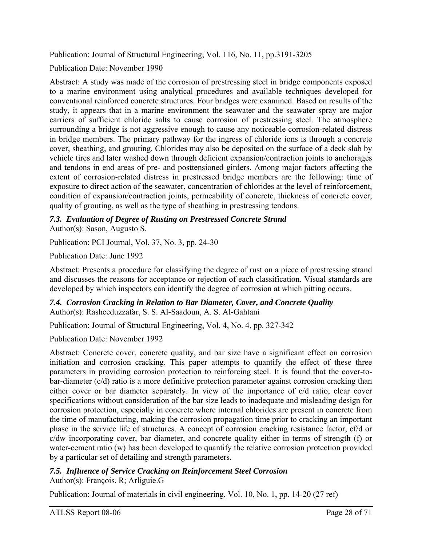Publication: Journal of Structural Engineering, Vol. 116, No. 11, pp.3191-3205

Publication Date: November 1990

Abstract: A study was made of the corrosion of prestressing steel in bridge components exposed to a marine environment using analytical procedures and available techniques developed for conventional reinforced concrete structures. Four bridges were examined. Based on results of the study, it appears that in a marine environment the seawater and the seawater spray are major carriers of sufficient chloride salts to cause corrosion of prestressing steel. The atmosphere surrounding a bridge is not aggressive enough to cause any noticeable corrosion-related distress in bridge members. The primary pathway for the ingress of chloride ions is through a concrete cover, sheathing, and grouting. Chlorides may also be deposited on the surface of a deck slab by vehicle tires and later washed down through deficient expansion/contraction joints to anchorages and tendons in end areas of pre- and posttensioned girders. Among major factors affecting the extent of corrosion-related distress in prestressed bridge members are the following: time of exposure to direct action of the seawater, concentration of chlorides at the level of reinforcement, condition of expansion/contraction joints, permeability of concrete, thickness of concrete cover, quality of grouting, as well as the type of sheathing in prestressing tendons.

#### *7.3. Evaluation of Degree of Rusting on Prestressed Concrete Strand*  Author(s): Sason, Augusto S.

Publication: PCI Journal, Vol. 37, No. 3, pp. 24-30

Publication Date: June 1992

Abstract: Presents a procedure for classifying the degree of rust on a piece of prestressing strand and discusses the reasons for acceptance or rejection of each classification. Visual standards are developed by which inspectors can identify the degree of corrosion at which pitting occurs.

*7.4. Corrosion Cracking in Relation to Bar Diameter, Cover, and Concrete Quality*  Author(s): Rasheeduzzafar, S. S. Al-Saadoun, A. S. Al-Gahtani

Publication: Journal of Structural Engineering, Vol. 4, No. 4, pp. 327-342

Publication Date: November 1992

Abstract: Concrete cover, concrete quality, and bar size have a significant effect on corrosion initiation and corrosion cracking. This paper attempts to quantify the effect of these three parameters in providing corrosion protection to reinforcing steel. It is found that the cover-tobar-diameter (c/d) ratio is a more definitive protection parameter against corrosion cracking than either cover or bar diameter separately. In view of the importance of c/d ratio, clear cover specifications without consideration of the bar size leads to inadequate and misleading design for corrosion protection, especially in concrete where internal chlorides are present in concrete from the time of manufacturing, making the corrosion propagation time prior to cracking an important phase in the service life of structures. A concept of corrosion cracking resistance factor, cf/d or c/dw incorporating cover, bar diameter, and concrete quality either in terms of strength (f) or water-cement ratio (w) has been developed to quantify the relative corrosion protection provided by a particular set of detailing and strength parameters.

#### *7.5. Influence of Service Cracking on Reinforcement Steel Corrosion*  Author(s): François. R; Arliguie.G

Publication: Journal of materials in civil engineering, Vol. 10, No. 1, pp. 14-20 (27 ref)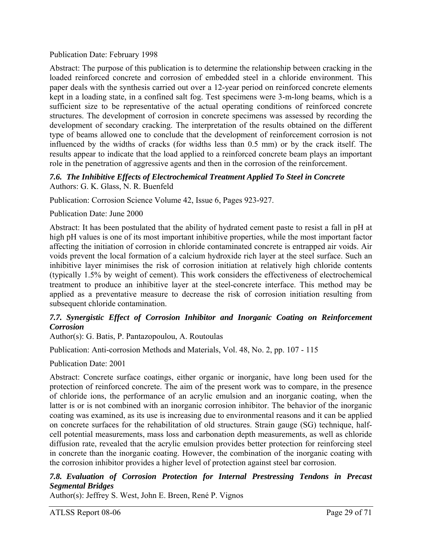Publication Date: February 1998

Abstract: The purpose of this publication is to determine the relationship between cracking in the loaded reinforced concrete and corrosion of embedded steel in a chloride environment. This paper deals with the synthesis carried out over a 12-year period on reinforced concrete elements kept in a loading state, in a confined salt fog. Test specimens were 3-m-long beams, which is a sufficient size to be representative of the actual operating conditions of reinforced concrete structures. The development of corrosion in concrete specimens was assessed by recording the development of secondary cracking. The interpretation of the results obtained on the different type of beams allowed one to conclude that the development of reinforcement corrosion is not influenced by the widths of cracks (for widths less than 0.5 mm) or by the crack itself. The results appear to indicate that the load applied to a reinforced concrete beam plays an important role in the penetration of aggressive agents and then in the corrosion of the reinforcement.

### *7.6. The Inhibitive Effects of Electrochemical Treatment Applied To Steel in Concrete*  Authors: G. K. Glass, N. R. Buenfeld

Publication: Corrosion Science Volume 42, Issue 6, Pages 923-927.

### Publication Date: June 2000

Abstract: It has been postulated that the ability of hydrated cement paste to resist a fall in pH at high pH values is one of its most important inhibitive properties, while the most important factor affecting the initiation of corrosion in chloride contaminated concrete is entrapped air voids. Air voids prevent the local formation of a calcium hydroxide rich layer at the steel surface. Such an inhibitive layer minimises the risk of corrosion initiation at relatively high chloride contents (typically 1.5% by weight of cement). This work considers the effectiveness of electrochemical treatment to produce an inhibitive layer at the steel-concrete interface. This method may be applied as a preventative measure to decrease the risk of corrosion initiation resulting from subsequent chloride contamination.

### 7.7. Synergistic Effect of Corrosion Inhibitor and Inorganic Coating on Reinforcement *Corrosion*

Author(s): G. Batis, P. Pantazopoulou, A. Routoulas

Publication: Anti-corrosion Methods and Materials, Vol. 48, No. 2, pp. 107 - 115

Publication Date: 2001

Abstract: Concrete surface coatings, either organic or inorganic, have long been used for the protection of reinforced concrete. The aim of the present work was to compare, in the presence of chloride ions, the performance of an acrylic emulsion and an inorganic coating, when the latter is or is not combined with an inorganic corrosion inhibitor. The behavior of the inorganic coating was examined, as its use is increasing due to environmental reasons and it can be applied on concrete surfaces for the rehabilitation of old structures. Strain gauge (SG) technique, halfcell potential measurements, mass loss and carbonation depth measurements, as well as chloride diffusion rate, revealed that the acrylic emulsion provides better protection for reinforcing steel in concrete than the inorganic coating. However, the combination of the inorganic coating with the corrosion inhibitor provides a higher level of protection against steel bar corrosion.

### *7.8. Evaluation of Corrosion Protection for Internal Prestressing Tendons in Precast Segmental Bridges*

Author(s): Jeffrey S. West, John E. Breen, René P. Vignos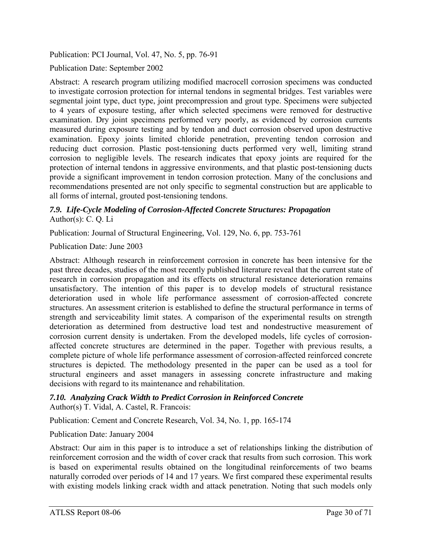Publication: PCI Journal, Vol. 47, No. 5, pp. 76-91

Publication Date: September 2002

Abstract: A research program utilizing modified macrocell corrosion specimens was conducted to investigate corrosion protection for internal tendons in segmental bridges. Test variables were segmental joint type, duct type, joint precompression and grout type. Specimens were subjected to 4 years of exposure testing, after which selected specimens were removed for destructive examination. Dry joint specimens performed very poorly, as evidenced by corrosion currents measured during exposure testing and by tendon and duct corrosion observed upon destructive examination. Epoxy joints limited chloride penetration, preventing tendon corrosion and reducing duct corrosion. Plastic post-tensioning ducts performed very well, limiting strand corrosion to negligible levels. The research indicates that epoxy joints are required for the protection of internal tendons in aggressive environments, and that plastic post-tensioning ducts provide a significant improvement in tendon corrosion protection. Many of the conclusions and recommendations presented are not only specific to segmental construction but are applicable to all forms of internal, grouted post-tensioning tendons.

### *7.9. Life-Cycle Modeling of Corrosion-Affected Concrete Structures: Propagation*  Author(s): C. Q. Li

Publication: Journal of Structural Engineering, Vol. 129, No. 6, pp. 753-761

Publication Date: June 2003

Abstract: Although research in reinforcement corrosion in concrete has been intensive for the past three decades, studies of the most recently published literature reveal that the current state of research in corrosion propagation and its effects on structural resistance deterioration remains unsatisfactory. The intention of this paper is to develop models of structural resistance deterioration used in whole life performance assessment of corrosion-affected concrete structures. An assessment criterion is established to define the structural performance in terms of strength and serviceability limit states. A comparison of the experimental results on strength deterioration as determined from destructive load test and nondestructive measurement of corrosion current density is undertaken. From the developed models, life cycles of corrosionaffected concrete structures are determined in the paper. Together with previous results, a complete picture of whole life performance assessment of corrosion-affected reinforced concrete structures is depicted. The methodology presented in the paper can be used as a tool for structural engineers and asset managers in assessing concrete infrastructure and making decisions with regard to its maintenance and rehabilitation.

#### *7.10. Analyzing Crack Width to Predict Corrosion in Reinforced Concrete*  Author(s) T. Vidal, A. Castel, R. Francois:

Publication: Cement and Concrete Research, Vol. 34, No. 1, pp. 165-174

Publication Date: January 2004

Abstract: Our aim in this paper is to introduce a set of relationships linking the distribution of reinforcement corrosion and the width of cover crack that results from such corrosion. This work is based on experimental results obtained on the longitudinal reinforcements of two beams naturally corroded over periods of 14 and 17 years. We first compared these experimental results with existing models linking crack width and attack penetration. Noting that such models only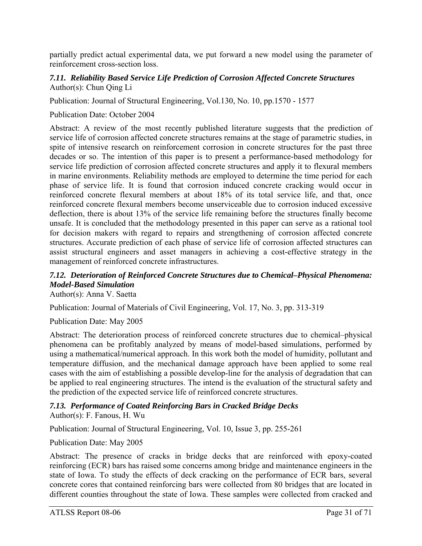partially predict actual experimental data, we put forward a new model using the parameter of reinforcement cross-section loss.

### *7.11. Reliability Based Service Life Prediction of Corrosion Affected Concrete Structures*  Author(s): Chun Qing Li

Publication: Journal of Structural Engineering, Vol.130, No. 10, pp.1570 - 1577

### Publication Date: October 2004

Abstract: A review of the most recently published literature suggests that the prediction of service life of corrosion affected concrete structures remains at the stage of parametric studies, in spite of intensive research on reinforcement corrosion in concrete structures for the past three decades or so. The intention of this paper is to present a performance-based methodology for service life prediction of corrosion affected concrete structures and apply it to flexural members in marine environments. Reliability methods are employed to determine the time period for each phase of service life. It is found that corrosion induced concrete cracking would occur in reinforced concrete flexural members at about 18% of its total service life, and that, once reinforced concrete flexural members become unserviceable due to corrosion induced excessive deflection, there is about 13% of the service life remaining before the structures finally become unsafe. It is concluded that the methodology presented in this paper can serve as a rational tool for decision makers with regard to repairs and strengthening of corrosion affected concrete structures. Accurate prediction of each phase of service life of corrosion affected structures can assist structural engineers and asset managers in achieving a cost-effective strategy in the management of reinforced concrete infrastructures.

# *7.12. Deterioration of Reinforced Concrete Structures due to Chemical–Physical Phenomena: Model-Based Simulation*

Author(s): Anna V. Saetta

Publication: Journal of Materials of Civil Engineering, Vol. 17, No. 3, pp. 313-319

### Publication Date: May 2005

Abstract: The deterioration process of reinforced concrete structures due to chemical–physical phenomena can be profitably analyzed by means of model-based simulations, performed by using a mathematical/numerical approach. In this work both the model of humidity, pollutant and temperature diffusion, and the mechanical damage approach have been applied to some real cases with the aim of establishing a possible develop-line for the analysis of degradation that can be applied to real engineering structures. The intend is the evaluation of the structural safety and the prediction of the expected service life of reinforced concrete structures.

#### *7.13. Performance of Coated Reinforcing Bars in Cracked Bridge Decks*  Author(s): F. Fanous, H. Wu

Publication: Journal of Structural Engineering, Vol. 10, Issue 3, pp. 255-261

Publication Date: May 2005

Abstract: The presence of cracks in bridge decks that are reinforced with epoxy-coated reinforcing (ECR) bars has raised some concerns among bridge and maintenance engineers in the state of Iowa. To study the effects of deck cracking on the performance of ECR bars, several concrete cores that contained reinforcing bars were collected from 80 bridges that are located in different counties throughout the state of Iowa. These samples were collected from cracked and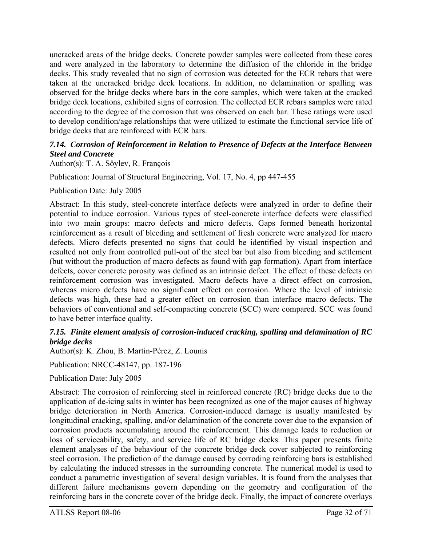uncracked areas of the bridge decks. Concrete powder samples were collected from these cores and were analyzed in the laboratory to determine the diffusion of the chloride in the bridge decks. This study revealed that no sign of corrosion was detected for the ECR rebars that were taken at the uncracked bridge deck locations. In addition, no delamination or spalling was observed for the bridge decks where bars in the core samples, which were taken at the cracked bridge deck locations, exhibited signs of corrosion. The collected ECR rebars samples were rated according to the degree of the corrosion that was observed on each bar. These ratings were used to develop condition/age relationships that were utilized to estimate the functional service life of bridge decks that are reinforced with ECR bars.

### *7.14. Corrosion of Reinforcement in Relation to Presence of Defects at the Interface Between Steel and Concrete*

Author(s): T. A. Söylev, R. François

Publication: Journal of Structural Engineering, Vol. 17, No. 4, pp 447-455

Publication Date: July 2005

Abstract: In this study, steel-concrete interface defects were analyzed in order to define their potential to induce corrosion. Various types of steel-concrete interface defects were classified into two main groups: macro defects and micro defects. Gaps formed beneath horizontal reinforcement as a result of bleeding and settlement of fresh concrete were analyzed for macro defects. Micro defects presented no signs that could be identified by visual inspection and resulted not only from controlled pull-out of the steel bar but also from bleeding and settlement (but without the production of macro defects as found with gap formation). Apart from interface defects, cover concrete porosity was defined as an intrinsic defect. The effect of these defects on reinforcement corrosion was investigated. Macro defects have a direct effect on corrosion, whereas micro defects have no significant effect on corrosion. Where the level of intrinsic defects was high, these had a greater effect on corrosion than interface macro defects. The behaviors of conventional and self-compacting concrete (SCC) were compared. SCC was found to have better interface quality.

### *7.15. Finite element analysis of corrosion-induced cracking, spalling and delamination of RC bridge decks*

Author(s): K. Zhou, B. Martin-Pérez, Z. Lounis

Publication: NRCC-48147, pp. 187-196

Publication Date: July 2005

Abstract: The corrosion of reinforcing steel in reinforced concrete (RC) bridge decks due to the application of de-icing salts in winter has been recognized as one of the major causes of highway bridge deterioration in North America. Corrosion-induced damage is usually manifested by longitudinal cracking, spalling, and/or delamination of the concrete cover due to the expansion of corrosion products accumulating around the reinforcement. This damage leads to reduction or loss of serviceability, safety, and service life of RC bridge decks. This paper presents finite element analyses of the behaviour of the concrete bridge deck cover subjected to reinforcing steel corrosion. The prediction of the damage caused by corroding reinforcing bars is established by calculating the induced stresses in the surrounding concrete. The numerical model is used to conduct a parametric investigation of several design variables. It is found from the analyses that different failure mechanisms govern depending on the geometry and configuration of the reinforcing bars in the concrete cover of the bridge deck. Finally, the impact of concrete overlays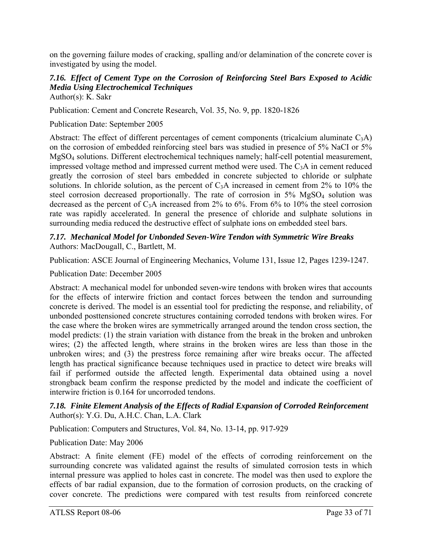on the governing failure modes of cracking, spalling and/or delamination of the concrete cover is investigated by using the model.

# *7.16. Effect of Cement Type on the Corrosion of Reinforcing Steel Bars Exposed to Acidic Media Using Electrochemical Techniques*

Author(s): K. Sakr

Publication: Cement and Concrete Research, Vol. 35, No. 9, pp. 1820-1826

Publication Date: September 2005

Abstract: The effect of different percentages of cement components (tricalcium aluminate  $C_3$ A) on the corrosion of embedded reinforcing steel bars was studied in presence of 5% NaCI or 5% MgSO4 solutions. Different electrochemical techniques namely; half-cell potential measurement, impressed voltage method and impressed current method were used. The C3A in cement reduced greatly the corrosion of steel bars embedded in concrete subjected to chloride or sulphate solutions. In chloride solution, as the percent of  $C_3A$  increased in cement from 2% to 10% the steel corrosion decreased proportionally. The rate of corrosion in 5% MgSO<sub>4</sub> solution was decreased as the percent of  $C_3$ A increased from 2% to 6%. From 6% to 10% the steel corrosion rate was rapidly accelerated. In general the presence of chloride and sulphate solutions in surrounding media reduced the destructive effect of sulphate ions on embedded steel bars.

*7.17. Mechanical Model for Unbonded Seven-Wire Tendon with Symmetric Wire Breaks*  Authors: MacDougall, C., Bartlett, M.

Publication: ASCE Journal of Engineering Mechanics, Volume 131, Issue 12, Pages 1239-1247.

Publication Date: December 2005

Abstract: A mechanical model for unbonded seven-wire tendons with broken wires that accounts for the effects of interwire friction and contact forces between the tendon and surrounding concrete is derived. The model is an essential tool for predicting the response, and reliability, of unbonded posttensioned concrete structures containing corroded tendons with broken wires. For the case where the broken wires are symmetrically arranged around the tendon cross section, the model predicts: (1) the strain variation with distance from the break in the broken and unbroken wires; (2) the affected length, where strains in the broken wires are less than those in the unbroken wires; and (3) the prestress force remaining after wire breaks occur. The affected length has practical significance because techniques used in practice to detect wire breaks will fail if performed outside the affected length. Experimental data obtained using a novel strongback beam confirm the response predicted by the model and indicate the coefficient of interwire friction is 0.164 for uncorroded tendons.

### *7.18. Finite Element Analysis of the Effects of Radial Expansion of Corroded Reinforcement*  Author(s): Y.G. Du, A.H.C. Chan, L.A. Clark

Publication: Computers and Structures, Vol. 84, No. 13-14, pp. 917-929

Publication Date: May 2006

Abstract: A finite element (FE) model of the effects of corroding reinforcement on the surrounding concrete was validated against the results of simulated corrosion tests in which internal pressure was applied to holes cast in concrete. The model was then used to explore the effects of bar radial expansion, due to the formation of corrosion products, on the cracking of cover concrete. The predictions were compared with test results from reinforced concrete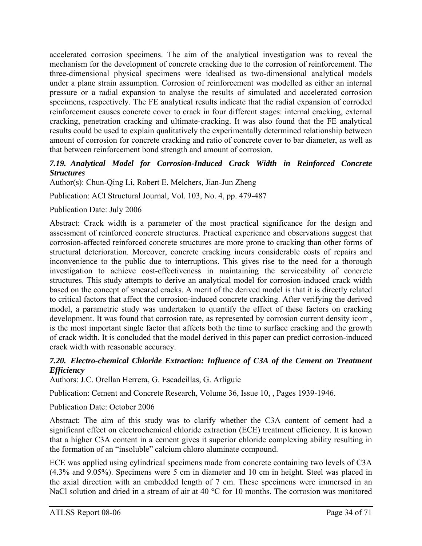accelerated corrosion specimens. The aim of the analytical investigation was to reveal the mechanism for the development of concrete cracking due to the corrosion of reinforcement. The three-dimensional physical specimens were idealised as two-dimensional analytical models under a plane strain assumption. Corrosion of reinforcement was modelled as either an internal pressure or a radial expansion to analyse the results of simulated and accelerated corrosion specimens, respectively. The FE analytical results indicate that the radial expansion of corroded reinforcement causes concrete cover to crack in four different stages: internal cracking, external cracking, penetration cracking and ultimate-cracking. It was also found that the FE analytical results could be used to explain qualitatively the experimentally determined relationship between amount of corrosion for concrete cracking and ratio of concrete cover to bar diameter, as well as that between reinforcement bond strength and amount of corrosion.

### *7.19. Analytical Model for Corrosion-Induced Crack Width in Reinforced Concrete Structures*

Author(s): Chun-Qing Li, Robert E. Melchers, Jian-Jun Zheng

Publication: ACI Structural Journal, Vol. 103, No. 4, pp. 479-487

### Publication Date: July 2006

Abstract: Crack width is a parameter of the most practical significance for the design and assessment of reinforced concrete structures. Practical experience and observations suggest that corrosion-affected reinforced concrete structures are more prone to cracking than other forms of structural deterioration. Moreover, concrete cracking incurs considerable costs of repairs and inconvenience to the public due to interruptions. This gives rise to the need for a thorough investigation to achieve cost-effectiveness in maintaining the serviceability of concrete structures. This study attempts to derive an analytical model for corrosion-induced crack width based on the concept of smeared cracks. A merit of the derived model is that it is directly related to critical factors that affect the corrosion-induced concrete cracking. After verifying the derived model, a parametric study was undertaken to quantify the effect of these factors on cracking development. It was found that corrosion rate, as represented by corrosion current density icorr , is the most important single factor that affects both the time to surface cracking and the growth of crack width. It is concluded that the model derived in this paper can predict corrosion-induced crack width with reasonable accuracy.

### *7.20. Electro-chemical Chloride Extraction: Influence of C3A of the Cement on Treatment Efficiency*

Authors: J.C. Orellan Herrera, G. Escadeillas, G. Arliguie

Publication: Cement and Concrete Research, Volume 36, Issue 10, , Pages 1939-1946.

### Publication Date: October 2006

Abstract: The aim of this study was to clarify whether the C3A content of cement had a significant effect on electrochemical chloride extraction (ECE) treatment efficiency. It is known that a higher C3A content in a cement gives it superior chloride complexing ability resulting in the formation of an "insoluble" calcium chloro aluminate compound.

ECE was applied using cylindrical specimens made from concrete containing two levels of C3A (4.3% and 9.05%). Specimens were 5 cm in diameter and 10 cm in height. Steel was placed in the axial direction with an embedded length of 7 cm. These specimens were immersed in an NaCl solution and dried in a stream of air at 40 °C for 10 months. The corrosion was monitored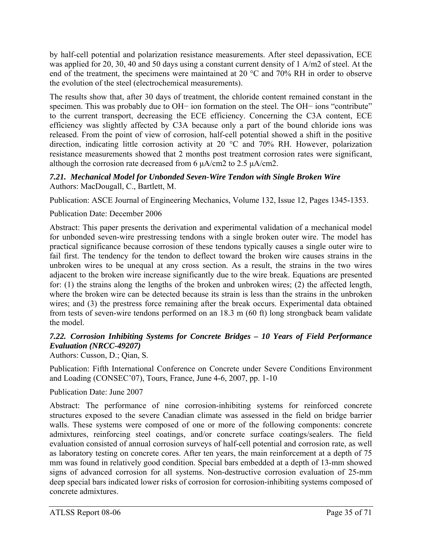by half-cell potential and polarization resistance measurements. After steel depassivation, ECE was applied for 20, 30, 40 and 50 days using a constant current density of 1 A/m2 of steel. At the end of the treatment, the specimens were maintained at 20 °C and 70% RH in order to observe the evolution of the steel (electrochemical measurements).

The results show that, after 30 days of treatment, the chloride content remained constant in the specimen. This was probably due to OH− ion formation on the steel. The OH− ions "contribute" to the current transport, decreasing the ECE efficiency. Concerning the C3A content, ECE efficiency was slightly affected by C3A because only a part of the bound chloride ions was released. From the point of view of corrosion, half-cell potential showed a shift in the positive direction, indicating little corrosion activity at 20 °C and 70% RH. However, polarization resistance measurements showed that 2 months post treatment corrosion rates were significant, although the corrosion rate decreased from 6  $\mu$ A/cm2 to 2.5  $\mu$ A/cm2.

### *7.21. Mechanical Model for Unbonded Seven-Wire Tendon with Single Broken Wire*  Authors: MacDougall, C., Bartlett, M.

Publication: ASCE Journal of Engineering Mechanics, Volume 132, Issue 12, Pages 1345-1353.

# Publication Date: December 2006

Abstract: This paper presents the derivation and experimental validation of a mechanical model for unbonded seven-wire prestressing tendons with a single broken outer wire. The model has practical significance because corrosion of these tendons typically causes a single outer wire to fail first. The tendency for the tendon to deflect toward the broken wire causes strains in the unbroken wires to be unequal at any cross section. As a result, the strains in the two wires adjacent to the broken wire increase significantly due to the wire break. Equations are presented for: (1) the strains along the lengths of the broken and unbroken wires; (2) the affected length, where the broken wire can be detected because its strain is less than the strains in the unbroken wires; and (3) the prestress force remaining after the break occurs. Experimental data obtained from tests of seven-wire tendons performed on an 18.3 m (60 ft) long strongback beam validate the model.

# *7.22. Corrosion Inhibiting Systems for Concrete Bridges – 10 Years of Field Performance Evaluation (NRCC-49207)*

Authors: Cusson, D.; Qian, S.

Publication: Fifth International Conference on Concrete under Severe Conditions Environment and Loading (CONSEC'07), Tours, France, June 4-6, 2007, pp. 1-10

# Publication Date: June 2007

Abstract: The performance of nine corrosion-inhibiting systems for reinforced concrete structures exposed to the severe Canadian climate was assessed in the field on bridge barrier walls. These systems were composed of one or more of the following components: concrete admixtures, reinforcing steel coatings, and/or concrete surface coatings/sealers. The field evaluation consisted of annual corrosion surveys of half-cell potential and corrosion rate, as well as laboratory testing on concrete cores. After ten years, the main reinforcement at a depth of 75 mm was found in relatively good condition. Special bars embedded at a depth of 13-mm showed signs of advanced corrosion for all systems. Non-destructive corrosion evaluation of 25-mm deep special bars indicated lower risks of corrosion for corrosion-inhibiting systems composed of concrete admixtures.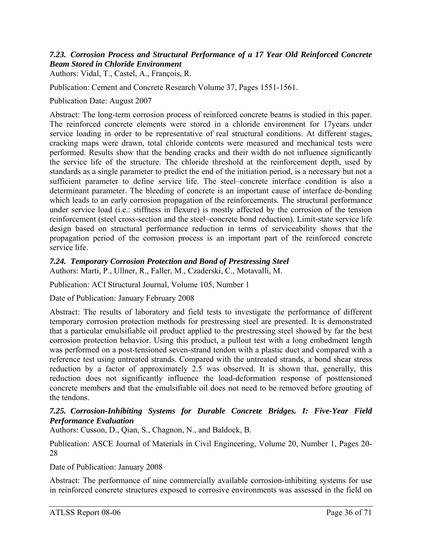### *7.23. Corrosion Process and Structural Performance of a 17 Year Old Reinforced Concrete Beam Stored in Chloride Environment*

Authors: Vidal, T., Castel, A., François, R.

Publication: Cement and Concrete Research Volume 37, Pages 1551-1561.

Publication Date: August 2007

Abstract: The long-term corrosion process of reinforced concrete beams is studied in this paper. The reinforced concrete elements were stored in a chloride environment for 17years under service loading in order to be representative of real structural conditions. At different stages, cracking maps were drawn, total chloride contents were measured and mechanical tests were performed. Results show that the bending cracks and their width do not influence significantly the service life of the structure. The chloride threshold at the reinforcement depth, used by standards as a single parameter to predict the end of the initiation period, is a necessary but not a sufficient parameter to define service life. The steel–concrete interface condition is also a determinant parameter. The bleeding of concrete is an important cause of interface de-bonding which leads to an early corrosion propagation of the reinforcements. The structural performance under service load (i.e.: stiffness in flexure) is mostly affected by the corrosion of the tension reinforcement (steel cross-section and the steel–concrete bond reduction). Limit-state service life design based on structural performance reduction in terms of serviceability shows that the propagation period of the corrosion process is an important part of the reinforced concrete service life.

### *7.24. Temporary Corrosion Protection and Bond of Prestressing Steel*

Authors: Marti, P., Ullner, R., Faller, M., Czaderski, C., Motavalli, M.

Publication: ACI Structural Journal, Volume 105, Number 1

Date of Publication: January February 2008

Abstract: The results of laboratory and field tests to investigate the performance of different temporary corrosion protection methods for prestressing steel are presented. It is demonstrated that a particular emulsifiable oil product applied to the prestressing steel showed by far the best corrosion protection behavior. Using this product, a pullout test with a long embedment length was performed on a post-tensioned seven-strand tendon with a plastic duct and compared with a reference test using untreated strands. Compared with the untreated strands, a bond shear stress reduction by a factor of approximately 2.5 was observed. It is shown that, generally, this reduction does not significantly influence the load-deformation response of posttensioned concrete members and that the emulsifiable oil does not need to be removed before grouting of the tendons.

### *7.25. Corrosion-Inhibiting Systems for Durable Concrete Bridges. I: Five-Year Field Performance Evaluation*

Authors: Cusson, D., Qian, S., Chagnon, N., and Baldock, B.

Publication: ASCE Journal of Materials in Civil Engineering, Volume 20, Number 1, Pages 20- 28

Date of Publication: January 2008

Abstract: The performance of nine commercially available corrosion-inhibiting systems for use in reinforced concrete structures exposed to corrosive environments was assessed in the field on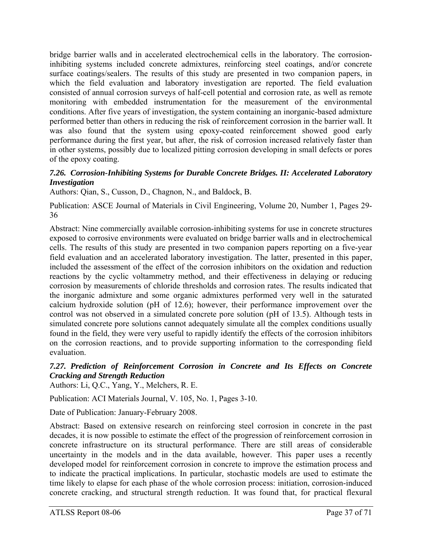bridge barrier walls and in accelerated electrochemical cells in the laboratory. The corrosioninhibiting systems included concrete admixtures, reinforcing steel coatings, and/or concrete surface coatings/sealers. The results of this study are presented in two companion papers, in which the field evaluation and laboratory investigation are reported. The field evaluation consisted of annual corrosion surveys of half-cell potential and corrosion rate, as well as remote monitoring with embedded instrumentation for the measurement of the environmental conditions. After five years of investigation, the system containing an inorganic-based admixture performed better than others in reducing the risk of reinforcement corrosion in the barrier wall. It was also found that the system using epoxy-coated reinforcement showed good early performance during the first year, but after, the risk of corrosion increased relatively faster than in other systems, possibly due to localized pitting corrosion developing in small defects or pores of the epoxy coating.

### *7.26. Corrosion-Inhibiting Systems for Durable Concrete Bridges. II: Accelerated Laboratory Investigation*

Authors: Qian, S., Cusson, D., Chagnon, N., and Baldock, B.

Publication: ASCE Journal of Materials in Civil Engineering, Volume 20, Number 1, Pages 29- 36

Abstract: Nine commercially available corrosion-inhibiting systems for use in concrete structures exposed to corrosive environments were evaluated on bridge barrier walls and in electrochemical cells. The results of this study are presented in two companion papers reporting on a five-year field evaluation and an accelerated laboratory investigation. The latter, presented in this paper, included the assessment of the effect of the corrosion inhibitors on the oxidation and reduction reactions by the cyclic voltammetry method, and their effectiveness in delaying or reducing corrosion by measurements of chloride thresholds and corrosion rates. The results indicated that the inorganic admixture and some organic admixtures performed very well in the saturated calcium hydroxide solution (pH of 12.6); however, their performance improvement over the control was not observed in a simulated concrete pore solution (pH of 13.5). Although tests in simulated concrete pore solutions cannot adequately simulate all the complex conditions usually found in the field, they were very useful to rapidly identify the effects of the corrosion inhibitors on the corrosion reactions, and to provide supporting information to the corresponding field evaluation.

### *7.27. Prediction of Reinforcement Corrosion in Concrete and Its Effects on Concrete Cracking and Strength Reduction*

Authors: Li, Q.C., Yang, Y., Melchers, R. E.

Publication: ACI Materials Journal, V. 105, No. 1, Pages 3-10.

Date of Publication: January-February 2008.

Abstract: Based on extensive research on reinforcing steel corrosion in concrete in the past decades, it is now possible to estimate the effect of the progression of reinforcement corrosion in concrete infrastructure on its structural performance. There are still areas of considerable uncertainty in the models and in the data available, however. This paper uses a recently developed model for reinforcement corrosion in concrete to improve the estimation process and to indicate the practical implications. In particular, stochastic models are used to estimate the time likely to elapse for each phase of the whole corrosion process: initiation, corrosion-induced concrete cracking, and structural strength reduction. It was found that, for practical flexural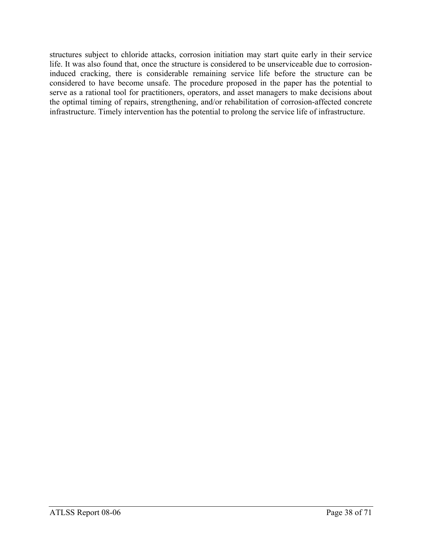structures subject to chloride attacks, corrosion initiation may start quite early in their service life. It was also found that, once the structure is considered to be unserviceable due to corrosioninduced cracking, there is considerable remaining service life before the structure can be considered to have become unsafe. The procedure proposed in the paper has the potential to serve as a rational tool for practitioners, operators, and asset managers to make decisions about the optimal timing of repairs, strengthening, and/or rehabilitation of corrosion-affected concrete infrastructure. Timely intervention has the potential to prolong the service life of infrastructure.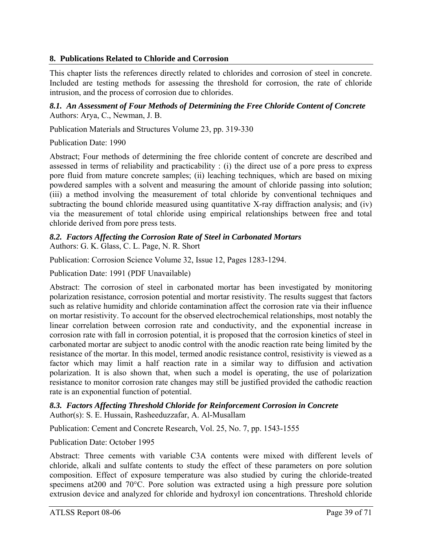# **8. Publications Related to Chloride and Corrosion**

This chapter lists the references directly related to chlorides and corrosion of steel in concrete. Included are testing methods for assessing the threshold for corrosion, the rate of chloride intrusion, and the process of corrosion due to chlorides.

*8.1. An Assessment of Four Methods of Determining the Free Chloride Content of Concrete*  Authors: Arya, C., Newman, J. B.

Publication Materials and Structures Volume 23, pp. 319-330

### Publication Date: 1990

Abstract; Four methods of determining the free chloride content of concrete are described and assessed in terms of reliability and practicability : (i) the direct use of a pore press to express pore fluid from mature concrete samples; (ii) leaching techniques, which are based on mixing powdered samples with a solvent and measuring the amount of chloride passing into solution; (iii) a method involving the measurement of total chloride by conventional techniques and subtracting the bound chloride measured using quantitative X-ray diffraction analysis; and (iv) via the measurement of total chloride using empirical relationships between free and total chloride derived from pore press tests.

# *8.2. Factors Affecting the Corrosion Rate of Steel in Carbonated Mortars*

Authors: G. K. Glass, C. L. Page, N. R. Short

Publication: Corrosion Science Volume 32, Issue 12, Pages 1283-1294.

Publication Date: 1991 (PDF Unavailable)

Abstract: The corrosion of steel in carbonated mortar has been investigated by monitoring polarization resistance, corrosion potential and mortar resistivity. The results suggest that factors such as relative humidity and chloride contamination affect the corrosion rate via their influence on mortar resistivity. To account for the observed electrochemical relationships, most notably the linear correlation between corrosion rate and conductivity, and the exponential increase in corrosion rate with fall in corrosion potential, it is proposed that the corrosion kinetics of steel in carbonated mortar are subject to anodic control with the anodic reaction rate being limited by the resistance of the mortar. In this model, termed anodic resistance control, resistivity is viewed as a factor which may limit a half reaction rate in a similar way to diffusion and activation polarization. It is also shown that, when such a model is operating, the use of polarization resistance to monitor corrosion rate changes may still be justified provided the cathodic reaction rate is an exponential function of potential.

#### *8.3. Factors Affecting Threshold Chloride for Reinforcement Corrosion in Concrete*  Author(s): S. E. Hussain, Rasheeduzzafar, A. Al-Musallam

Publication: Cement and Concrete Research, Vol. 25, No. 7, pp. 1543-1555

Publication Date: October 1995

Abstract: Three cements with variable C3A contents were mixed with different levels of chloride, alkali and sulfate contents to study the effect of these parameters on pore solution composition. Effect of exposure temperature was also studied by curing the chloride-treated specimens at200 and 70°C. Pore solution was extracted using a high pressure pore solution extrusion device and analyzed for chloride and hydroxyl ion concentrations. Threshold chloride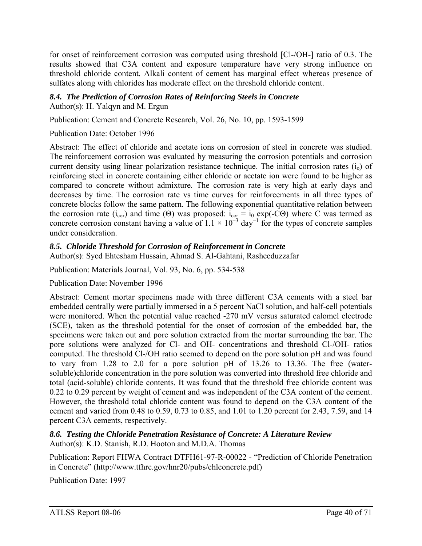for onset of reinforcement corrosion was computed using threshold [Cl-/OH-] ratio of 0.3. The results showed that C3A content and exposure temperature have very strong influence on threshold chloride content. Alkali content of cement has marginal effect whereas presence of sulfates along with chlorides has moderate effect on the threshold chloride content.

# *8.4. The Prediction of Corrosion Rates of Reinforcing Steels in Concrete*

Author(s): H. Yalqyn and M. Ergun

Publication: Cement and Concrete Research, Vol. 26, No. 10, pp. 1593-1599

Publication Date: October 1996

Abstract: The effect of chloride and acetate ions on corrosion of steel in concrete was studied. The reinforcement corrosion was evaluated by measuring the corrosion potentials and corrosion current density using linear polarization resistance technique. The initial corrosion rates  $(i_0)$  of reinforcing steel in concrete containing either chloride or acetate ion were found to be higher as compared to concrete without admixture. The corrosion rate is very high at early days and decreases by time. The corrosion rate vs time curves for reinforcements in all three types of concrete blocks follow the same pattern. The following exponential quantitative relation between the corrosion rate (i<sub>cor</sub>) and time (Θ) was proposed: i<sub>cor</sub> = i<sub>0</sub> exp(-CΘ) where C was termed as concrete corrosion constant having a value of  $1.1 \times 10^{-3}$  day<sup>-1</sup> for the types of concrete samples under consideration.

### *8.5. Chloride Threshold for Corrosion of Reinforcement in Concrete*

Author(s): Syed Ehtesham Hussain, Ahmad S. Al-Gahtani, Rasheeduzzafar

Publication: Materials Journal, Vol. 93, No. 6, pp. 534-538

Publication Date: November 1996

Abstract: Cement mortar specimens made with three different C3A cements with a steel bar embedded centrally were partially immersed in a 5 percent NaCl solution, and half-cell potentials were monitored. When the potential value reached -270 mV versus saturated calomel electrode (SCE), taken as the threshold potential for the onset of corrosion of the embedded bar, the specimens were taken out and pore solution extracted from the mortar surrounding the bar. The pore solutions were analyzed for Cl- and OH- concentrations and threshold Cl-/OH- ratios computed. The threshold Cl-/OH ratio seemed to depend on the pore solution pH and was found to vary from 1.28 to 2.0 for a pore solution pH of 13.26 to 13.36. The free (watersoluble)chloride concentration in the pore solution was converted into threshold free chloride and total (acid-soluble) chloride contents. It was found that the threshold free chloride content was 0.22 to 0.29 percent by weight of cement and was independent of the C3A content of the cement. However, the threshold total chloride content was found to depend on the C3A content of the cement and varied from 0.48 to 0.59, 0.73 to 0.85, and 1.01 to 1.20 percent for 2.43, 7.59, and 14 percent C3A cements, respectively.

*8.6. Testing the Chloride Penetration Resistance of Concrete: A Literature Review*  Author(s): K.D. Stanish, R.D. Hooton and M.D.A. Thomas

Publication: Report FHWA Contract DTFH61-97-R-00022 - "Prediction of Chloride Penetration in Concrete" (http://www.tfhrc.gov/hnr20/pubs/chlconcrete.pdf)

Publication Date: 1997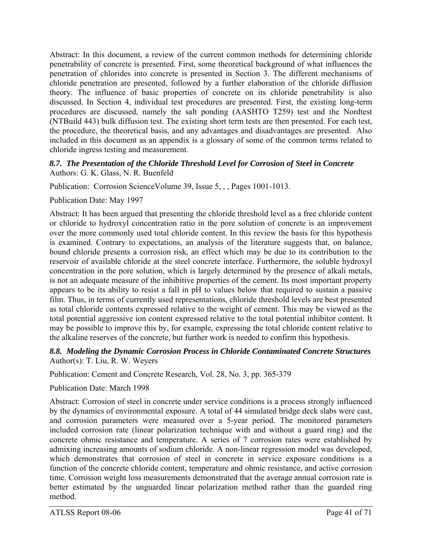Abstract: In this document, a review of the current common methods for determining chloride penetrability of concrete is presented. First, some theoretical background of what influences the penetration of chlorides into concrete is presented in Section 3. The different mechanisms of chloride penetration are presented, followed by a further elaboration of the chloride diffusion theory. The influence of basic properties of concrete on its chloride penetrability is also discussed. In Section 4, individual test procedures are presented. First, the existing long-term procedures are discussed, namely the salt ponding (AASHTO T259) test and the Nordtest (NTBuild 443) bulk diffusion test. The existing short term tests are then presented. For each test, the procedure, the theoretical basis, and any advantages and disadvantages are presented. Also included in this document as an appendix is a glossary of some of the common terms related to chloride ingress testing and measurement.

### *8.7. The Presentation of the Chloride Threshold Level for Corrosion of Steel in Concrete*  Authors: G. K. Glass, N. R. Buenfeld

Publication: Corrosion ScienceVolume 39, Issue 5, , , Pages 1001-1013.

Publication Date: May 1997

Abstract: It has been argued that presenting the chloride threshold level as a free chloride content or chloride to hydroxyl concentration ratio in the pore solution of concrete is an improvement over the more commonly used total chloride content. In this review the basis for this hypothesis is examined. Contrary to expectations, an analysis of the literature suggests that, on balance, bound chloride presents a corrosion risk, an effect which may be due to its contribution to the reservoir of available chloride at the steel concrete interface. Furthermore, the soluble hydroxyl concentration in the pore solution, which is largely determined by the presence of alkali metals, is not an adequate measure of the inhibitive properties of the cement. Its most important property appears to be its ability to resist a fall in pH to values below that required to sustain a passive film. Thus, in terms of currently used representations, chloride threshold levels are best presented as total chloride contents expressed relative to the weight of cement. This may be viewed as the total potential aggressive ion content expressed relative to the total potential inhibitor content. It may be possible to improve this by, for example, expressing the total chloride content relative to the alkaline reserves of the concrete, but further work is needed to confirm this hypothesis.

### *8.8. Modeling the Dynamic Corrosion Process in Chloride Contaminated Concrete Structures*  Author(s): T. Liu, R. W. Weyers

Publication: Cement and Concrete Research, Vol. 28, No. 3, pp. 365-379

### Publication Date: March 1998

Abstract: Corrosion of steel in concrete under service conditions is a process strongly influenced by the dynamics of environmental exposure. A total of 44 simulated bridge deck slabs were cast, and corrosion parameters were measured over a 5-year period. The monitored parameters included corrosion rate (linear polarization technique with and without a guard ring) and the concrete ohmic resistance and temperature. A series of 7 corrosion rates were established by admixing increasing amounts of sodium chloride. A non-linear regression model was developed, which demonstrates that corrosion of steel in concrete in service exposure conditions is a function of the concrete chloride content, temperature and ohmic resistance, and active corrosion time. Corrosion weight loss measurements demonstrated that the average annual corrosion rate is better estimated by the unguarded linear polarization method rather than the guarded ring method.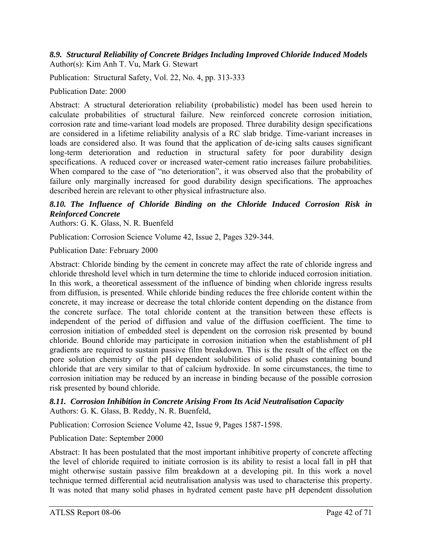### *8.9. Structural Reliability of Concrete Bridges Including Improved Chloride Induced Models*  Author(s): Kim Anh T. Vu, Mark G. Stewart

Publication: Structural Safety, Vol. 22, No. 4, pp. 313-333

Publication Date: 2000

Abstract: A structural deterioration reliability (probabilistic) model has been used herein to calculate probabilities of structural failure. New reinforced concrete corrosion initiation, corrosion rate and time-variant load models are proposed. Three durability design specifications are considered in a lifetime reliability analysis of a RC slab bridge. Time-variant increases in loads are considered also. It was found that the application of de-icing salts causes significant long-term deterioration and reduction in structural safety for poor durability design specifications. A reduced cover or increased water-cement ratio increases failure probabilities. When compared to the case of "no deterioration", it was observed also that the probability of failure only marginally increased for good durability design specifications. The approaches described herein are relevant to other physical infrastructure also.

### *8.10. The Influence of Chloride Binding on the Chloride Induced Corrosion Risk in Reinforced Concrete*

Authors: G. K. Glass, N. R. Buenfeld

Publication: Corrosion Science Volume 42, Issue 2, Pages 329-344.

Publication Date: February 2000

Abstract: Chloride binding by the cement in concrete may affect the rate of chloride ingress and chloride threshold level which in turn determine the time to chloride induced corrosion initiation. In this work, a theoretical assessment of the influence of binding when chloride ingress results from diffusion, is presented. While chloride binding reduces the free chloride content within the concrete, it may increase or decrease the total chloride content depending on the distance from the concrete surface. The total chloride content at the transition between these effects is independent of the period of diffusion and value of the diffusion coefficient. The time to corrosion initiation of embedded steel is dependent on the corrosion risk presented by bound chloride. Bound chloride may participate in corrosion initiation when the establishment of pH gradients are required to sustain passive film breakdown. This is the result of the effect on the pore solution chemistry of the pH dependent solubilities of solid phases containing bound chloride that are very similar to that of calcium hydroxide. In some circumstances, the time to corrosion initiation may be reduced by an increase in binding because of the possible corrosion risk presented by bound chloride.

#### *8.11. Corrosion Inhibition in Concrete Arising From Its Acid Neutralisation Capacity*  Authors: G. K. Glass, B. Reddy, N. R. Buenfeld,

Publication: Corrosion Science Volume 42, Issue 9, Pages 1587-1598.

Publication Date: September 2000

Abstract: It has been postulated that the most important inhibitive property of concrete affecting the level of chloride required to initiate corrosion is its ability to resist a local fall in pH that might otherwise sustain passive film breakdown at a developing pit. In this work a novel technique termed differential acid neutralisation analysis was used to characterise this property. It was noted that many solid phases in hydrated cement paste have pH dependent dissolution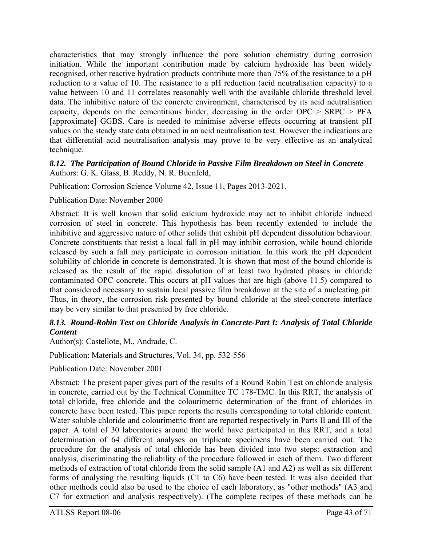characteristics that may strongly influence the pore solution chemistry during corrosion initiation. While the important contribution made by calcium hydroxide has been widely recognised, other reactive hydration products contribute more than 75% of the resistance to a pH reduction to a value of 10. The resistance to a pH reduction (acid neutralisation capacity) to a value between 10 and 11 correlates reasonably well with the available chloride threshold level data. The inhibitive nature of the concrete environment, characterised by its acid neutralisation capacity, depends on the cementitious binder, decreasing in the order  $OPC > SRPC > PFA$ [approximate] GGBS. Care is needed to minimise adverse effects occurring at transient pH values on the steady state data obtained in an acid neutralisation test. However the indications are that differential acid neutralisation analysis may prove to be very effective as an analytical technique.

### *8.12. The Participation of Bound Chloride in Passive Film Breakdown on Steel in Concrete*  Authors: G. K. Glass, B. Reddy, N. R. Buenfeld,

Publication: Corrosion Science Volume 42, Issue 11, Pages 2013-2021.

### Publication Date: November 2000

Abstract: It is well known that solid calcium hydroxide may act to inhibit chloride induced corrosion of steel in concrete. This hypothesis has been recently extended to include the inhibitive and aggressive nature of other solids that exhibit pH dependent dissolution behaviour. Concrete constituents that resist a local fall in pH may inhibit corrosion, while bound chloride released by such a fall may participate in corrosion initiation. In this work the pH dependent solubility of chloride in concrete is demonstrated. It is shown that most of the bound chloride is released as the result of the rapid dissolution of at least two hydrated phases in chloride contaminated OPC concrete. This occurs at pH values that are high (above 11.5) compared to that considered necessary to sustain local passive film breakdown at the site of a nucleating pit. Thus, in theory, the corrosion risk presented by bound chloride at the steel-concrete interface may be very similar to that presented by free chloride.

### *8.13. Round-Robin Test on Chloride Analysis in Concrete-Part I: Analysis of Total Chloride Content*

Author(s): Castellote, M., Andrade, C.

Publication: Materials and Structures, Vol. 34, pp. 532-556

Publication Date: November 2001

Abstract: The present paper gives part of the results of a Round Robin Test on chloride analysis in concrete, carried out by the Technical Committee TC 178-TMC. In this RRT, the analysis of total chloride, free chloride and the colourimetric determination of the front of chlorides in concrete have been tested. This paper reports the results corresponding to total chloride content. Water soluble chloride and colourimetric front are reported respectively in Parts II and III of the paper. A total of 30 laboratories around the world have participated in this RRT, and a total determination of 64 different analyses on triplicate specimens have been carried out. The procedure for the analysis of total chloride has been divided into two steps: extraction and analysis, discriminating the reliability of the procedure followed in each of them. Two different methods of extraction of total chloride from the solid sample (A1 and A2) as well as six different forms of analysing the resulting liquids (C1 to C6) have been tested. It was also decided that other methods could also be used to the choice of each laboratory, as "other methods" (A3 and C7 for extraction and analysis respectively). (The complete recipes of these methods can be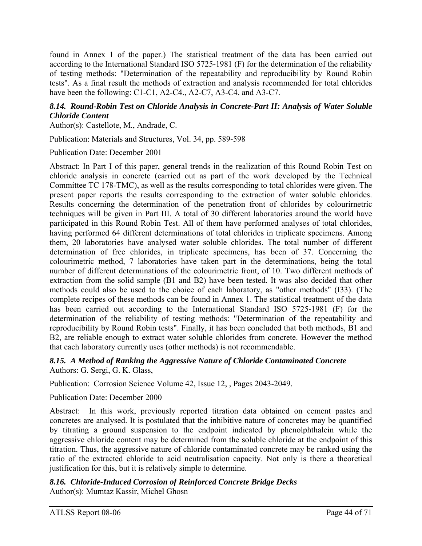found in Annex 1 of the paper.) The statistical treatment of the data has been carried out according to the International Standard ISO 5725-1981 (F) for the determination of the reliability of testing methods: "Determination of the repeatability and reproducibility by Round Robin tests". As a final result the methods of extraction and analysis recommended for total chlorides have been the following: C1-C1, A2-C4., A2-C7, A3-C4. and A3-C7.

### *8.14. Round-Robin Test on Chloride Analysis in Concrete-Part II: Analysis of Water Soluble Chloride Content*

Author(s): Castellote, M., Andrade, C.

Publication: Materials and Structures, Vol. 34, pp. 589-598

Publication Date: December 2001

Abstract: In Part I of this paper, general trends in the realization of this Round Robin Test on chloride analysis in concrete (carried out as part of the work developed by the Technical Committee TC 178-TMC), as well as the results corresponding to total chlorides were given. The present paper reports the results corresponding to the extraction of water soluble chlorides. Results concerning the determination of the penetration front of chlorides by colourirnetric techniques will be given in Part III. A total of 30 different laboratories around the world have participated in this Round Robin Test. All of them have performed analyses of total chlorides, having performed 64 different determinations of total chlorides in triplicate specimens. Among them, 20 laboratories have analysed water soluble chlorides. The total number of different determination of free chlorides, in triplicate specimens, has been of 37. Concerning the colourimetric method, 7 laboratories have taken part in the determinations, being the total number of different determinations of the colourimetric front, of 10. Two different methods of extraction from the solid sample (B1 and B2) have been tested. It was also decided that other methods could also be used to the choice of each laboratory, as "other methods" (I33). (The complete recipes of these methods can be found in Annex 1. The statistical treatment of the data has been carried out according to the International Standard ISO 5725-1981 (F) for the determination of the reliability of testing methods: "Determination of the repeatability and reproducibility by Round Robin tests". Finally, it has been concluded that both methods, B1 and B2, are reliable enough to extract water soluble chlorides from concrete. However the method that each laboratory currently uses (other methods) is not recommendable.

*8.15. A Method of Ranking the Aggressive Nature of Chloride Contaminated Concrete*  Authors: G. Sergi, G. K. Glass,

Publication: Corrosion Science Volume 42, Issue 12, , Pages 2043-2049.

Publication Date: December 2000

Abstract: In this work, previously reported titration data obtained on cement pastes and concretes are analysed. It is postulated that the inhibitive nature of concretes may be quantified by titrating a ground suspension to the endpoint indicated by phenolphthalein while the aggressive chloride content may be determined from the soluble chloride at the endpoint of this titration. Thus, the aggressive nature of chloride contaminated concrete may be ranked using the ratio of the extracted chloride to acid neutralisation capacity. Not only is there a theoretical justification for this, but it is relatively simple to determine.

### *8.16. Chloride-Induced Corrosion of Reinforced Concrete Bridge Decks*  Author(s): Mumtaz Kassir, Michel Ghosn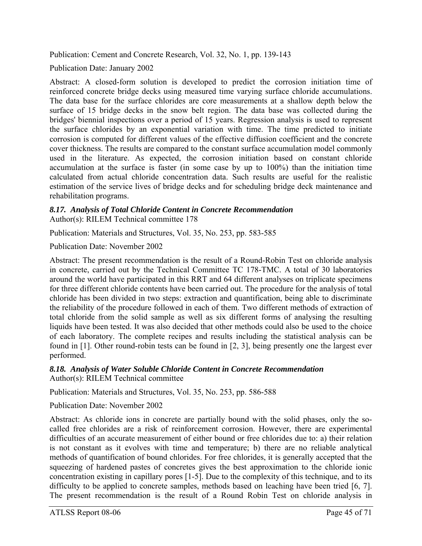Publication: Cement and Concrete Research, Vol. 32, No. 1, pp. 139-143

Publication Date: January 2002

Abstract: A closed-form solution is developed to predict the corrosion initiation time of reinforced concrete bridge decks using measured time varying surface chloride accumulations. The data base for the surface chlorides are core measurements at a shallow depth below the surface of 15 bridge decks in the snow belt region. The data base was collected during the bridges' biennial inspections over a period of 15 years. Regression analysis is used to represent the surface chlorides by an exponential variation with time. The time predicted to initiate corrosion is computed for different values of the effective diffusion coefficient and the concrete cover thickness. The results are compared to the constant surface accumulation model commonly used in the literature. As expected, the corrosion initiation based on constant chloride accumulation at the surface is faster (in some case by up to 100%) than the initiation time calculated from actual chloride concentration data. Such results are useful for the realistic estimation of the service lives of bridge decks and for scheduling bridge deck maintenance and rehabilitation programs.

### *8.17. Analysis of Total Chloride Content in Concrete Recommendation*  Author(s): RILEM Technical committee 178

Publication: Materials and Structures, Vol. 35, No. 253, pp. 583-585

Publication Date: November 2002

Abstract: The present recommendation is the result of a Round-Robin Test on chloride analysis in concrete, carried out by the Technical Committee TC 178-TMC. A total of 30 laboratories around the world have participated in this RRT and 64 different analyses on triplicate specimens for three different chloride contents have been carried out. The procedure for the analysis of total chloride has been divided in two steps: extraction and quantification, being able to discriminate the reliability of the procedure followed in each of them. Two different methods of extraction of total chloride from the solid sample as well as six different forms of analysing the resulting liquids have been tested. It was also decided that other methods could also be used to the choice of each laboratory. The complete recipes and results including the statistical analysis can be found in [1]. Other round-robin tests can be found in [2, 3], being presently one the largest ever performed.

#### *8.18. Analysis of Water Soluble Chloride Content in Concrete Recommendation*  Author(s): RILEM Technical committee

Publication: Materials and Structures, Vol. 35, No. 253, pp. 586-588

Publication Date: November 2002

Abstract: As chloride ions in concrete are partially bound with the solid phases, only the socalled free chlorides are a risk of reinforcement corrosion. However, there are experimental difficulties of an accurate measurement of either bound or free chlorides due to: a) their relation is not constant as it evolves with time and temperature; b) there are no reliable analytical methods of quantification of bound chlorides. For free chlorides, it is generally accepted that the squeezing of hardened pastes of concretes gives the best approximation to the chloride ionic concentration existing in capillary pores [1-5]. Due to the complexity of this technique, and to its difficulty to be applied to concrete samples, methods based on leaching have been tried [6, 7]. The present recommendation is the result of a Round Robin Test on chloride analysis in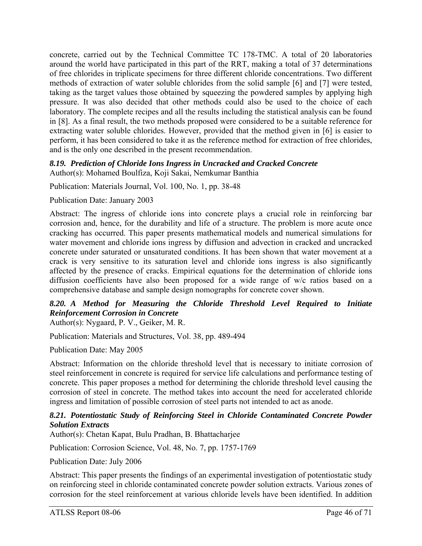concrete, carried out by the Technical Committee TC 178-TMC. A total of 20 laboratories around the world have participated in this part of the RRT, making a total of 37 determinations of free chlorides in triplicate specimens for three different chloride concentrations. Two different methods of extraction of water soluble chlorides from the solid sample [6] and [7] were tested, taking as the target values those obtained by squeezing the powdered samples by applying high pressure. It was also decided that other methods could also be used to the choice of each laboratory. The complete recipes and all the results including the statistical analysis can be found in [8]. As a final result, the two methods proposed were considered to be a suitable reference for extracting water soluble chlorides. However, provided that the method given in [6] is easier to perform, it has been considered to take it as the reference method for extraction of free chlorides, and is the only one described in the present recommendation.

### *8.19. Prediction of Chloride Ions Ingress in Uncracked and Cracked Concrete*

Author(s): Mohamed Boulfiza, Koji Sakai, Nemkumar Banthia

Publication: Materials Journal, Vol. 100, No. 1, pp. 38-48

Publication Date: January 2003

Abstract: The ingress of chloride ions into concrete plays a crucial role in reinforcing bar corrosion and, hence, for the durability and life of a structure. The problem is more acute once cracking has occurred. This paper presents mathematical models and numerical simulations for water movement and chloride ions ingress by diffusion and advection in cracked and uncracked concrete under saturated or unsaturated conditions. It has been shown that water movement at a crack is very sensitive to its saturation level and chloride ions ingress is also significantly affected by the presence of cracks. Empirical equations for the determination of chloride ions diffusion coefficients have also been proposed for a wide range of w/c ratios based on a comprehensive database and sample design nomographs for concrete cover shown.

# *8.20. A Method for Measuring the Chloride Threshold Level Required to Initiate Reinforcement Corrosion in Concrete*

Author(s): Nygaard, P. V., Geiker, M. R.

Publication: Materials and Structures, Vol. 38, pp. 489-494

Publication Date: May 2005

Abstract: Information on the chloride threshold level that is necessary to initiate corrosion of steel reinforcement in concrete is required for service life calculations and performance testing of concrete. This paper proposes a method for determining the chloride threshold level causing the corrosion of steel in concrete. The method takes into account the need for accelerated chloride ingress and limitation of possible corrosion of steel parts not intended to act as anode.

### *8.21. Potentiostatic Study of Reinforcing Steel in Chloride Contaminated Concrete Powder Solution Extracts*

Author(s): Chetan Kapat, Bulu Pradhan, B. Bhattacharjee

Publication: Corrosion Science, Vol. 48, No. 7, pp. 1757-1769

Publication Date: July 2006

Abstract: This paper presents the findings of an experimental investigation of potentiostatic study on reinforcing steel in chloride contaminated concrete powder solution extracts. Various zones of corrosion for the steel reinforcement at various chloride levels have been identified. In addition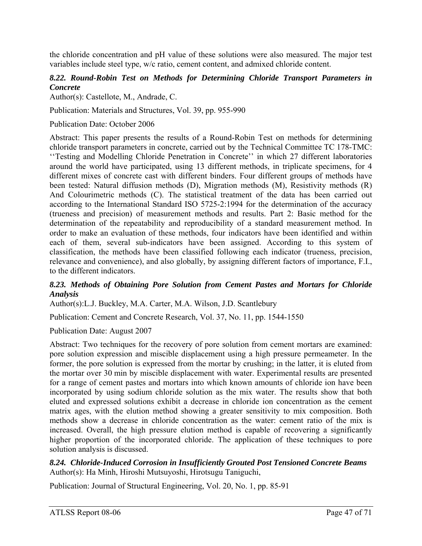the chloride concentration and pH value of these solutions were also measured. The major test variables include steel type, w/c ratio, cement content, and admixed chloride content.

### *8.22. Round-Robin Test on Methods for Determining Chloride Transport Parameters in Concrete*

Author(s): Castellote, M., Andrade, C.

Publication: Materials and Structures, Vol. 39, pp. 955-990

Publication Date: October 2006

Abstract: This paper presents the results of a Round-Robin Test on methods for determining chloride transport parameters in concrete, carried out by the Technical Committee TC 178-TMC: ''Testing and Modelling Chloride Penetration in Concrete'' in which 27 different laboratories around the world have participated, using 13 different methods, in triplicate specimens, for 4 different mixes of concrete cast with different binders. Four different groups of methods have been tested: Natural diffusion methods (D), Migration methods (M), Resistivity methods (R) And Colourimetric methods (C). The statistical treatment of the data has been carried out according to the International Standard ISO 5725-2:1994 for the determination of the accuracy (trueness and precision) of measurement methods and results. Part 2: Basic method for the determination of the repeatability and reproducibility of a standard measurement method. In order to make an evaluation of these methods, four indicators have been identified and within each of them, several sub-indicators have been assigned. According to this system of classification, the methods have been classified following each indicator (trueness, precision, relevance and convenience), and also globally, by assigning different factors of importance, F.I., to the different indicators.

### *8.23. Methods of Obtaining Pore Solution from Cement Pastes and Mortars for Chloride Analysis*

Author(s):L.J. Buckley, M.A. Carter, M.A. Wilson, J.D. Scantlebury

Publication: Cement and Concrete Research, Vol. 37, No. 11, pp. 1544-1550

Publication Date: August 2007

Abstract: Two techniques for the recovery of pore solution from cement mortars are examined: pore solution expression and miscible displacement using a high pressure permeameter. In the former, the pore solution is expressed from the mortar by crushing; in the latter, it is eluted from the mortar over 30 min by miscible displacement with water. Experimental results are presented for a range of cement pastes and mortars into which known amounts of chloride ion have been incorporated by using sodium chloride solution as the mix water. The results show that both eluted and expressed solutions exhibit a decrease in chloride ion concentration as the cement matrix ages, with the elution method showing a greater sensitivity to mix composition. Both methods show a decrease in chloride concentration as the water: cement ratio of the mix is increased. Overall, the high pressure elution method is capable of recovering a significantly higher proportion of the incorporated chloride. The application of these techniques to pore solution analysis is discussed.

*8.24. Chloride-Induced Corrosion in Insufficiently Grouted Post Tensioned Concrete Beams*  Author(s): Ha Minh, Hiroshi Mutsuyoshi, Hirotsugu Taniguchi,

Publication: Journal of Structural Engineering, Vol. 20, No. 1, pp. 85-91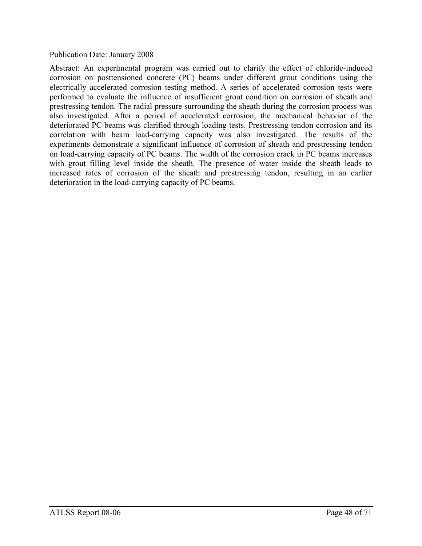#### Publication Date: January 2008

Abstract: An experimental program was carried out to clarify the effect of chloride-induced corrosion on posttensioned concrete (PC) beams under different grout conditions using the electrically accelerated corrosion testing method. A series of accelerated corrosion tests were performed to evaluate the influence of insufficient grout condition on corrosion of sheath and prestressing tendon. The radial pressure surrounding the sheath during the corrosion process was also investigated. After a period of accelerated corrosion, the mechanical behavior of the deteriorated PC beams was clarified through loading tests. Prestressing tendon corrosion and its correlation with beam load-carrying capacity was also investigated. The results of the experiments demonstrate a significant influence of corrosion of sheath and prestressing tendon on load-carrying capacity of PC beams. The width of the corrosion crack in PC beams increases with grout filling level inside the sheath. The presence of water inside the sheath leads to increased rates of corrosion of the sheath and prestressing tendon, resulting in an earlier deterioration in the load-carrying capacity of PC beams.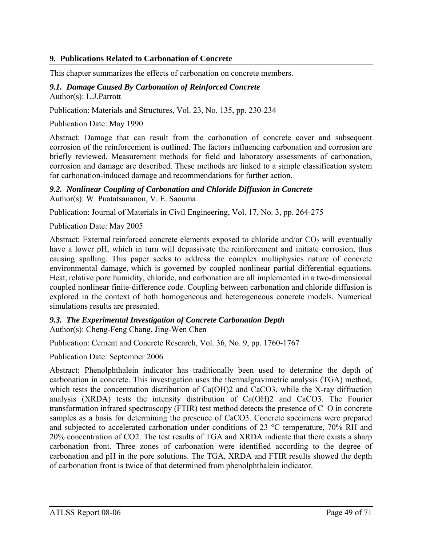### **9. Publications Related to Carbonation of Concrete**

This chapter summarizes the effects of carbonation on concrete members.

#### *9.1. Damage Caused By Carbonation of Reinforced Concrete*  Author(s): L.J.Parrott

Publication: Materials and Structures, Vol. 23, No. 135, pp. 230-234

Publication Date: May 1990

Abstract: Damage that can result from the carbonation of concrete cover and subsequent corrosion of the reinforcement is outlined. The factors influencing carbonation and corrosion are briefly reviewed. Measurement methods for field and laboratory assessments of carbonation, corrosion and damage are described. These methods are linked to a simple classification system for carbonation-induced damage and recommendations for further action.

# *9.2. Nonlinear Coupling of Carbonation and Chloride Diffusion in Concrete*

Author(s): W. Puatatsananon, V. E. Saouma

Publication: Journal of Materials in Civil Engineering, Vol. 17, No. 3, pp. 264-275

Publication Date: May 2005

Abstract: External reinforced concrete elements exposed to chloride and/or  $CO<sub>2</sub>$  will eventually have a lower pH, which in turn will depassivate the reinforcement and initiate corrosion, thus causing spalling. This paper seeks to address the complex multiphysics nature of concrete environmental damage, which is governed by coupled nonlinear partial differential equations. Heat, relative pore humidity, chloride, and carbonation are all implemented in a two-dimensional coupled nonlinear finite-difference code. Coupling between carbonation and chloride diffusion is explored in the context of both homogeneous and heterogeneous concrete models. Numerical simulations results are presented.

#### *9.3. The Experimental Investigation of Concrete Carbonation Depth*  Author(s): Cheng-Feng Chang, Jing-Wen Chen

Publication: Cement and Concrete Research, Vol. 36, No. 9, pp. 1760-1767

Publication Date: September 2006

Abstract: Phenolphthalein indicator has traditionally been used to determine the depth of carbonation in concrete. This investigation uses the thermalgravimetric analysis (TGA) method, which tests the concentration distribution of Ca(OH)2 and CaCO3, while the X-ray diffraction analysis (XRDA) tests the intensity distribution of Ca(OH)2 and CaCO3. The Fourier transformation infrared spectroscopy (FTIR) test method detects the presence of C–O in concrete samples as a basis for determining the presence of CaCO3. Concrete specimens were prepared and subjected to accelerated carbonation under conditions of 23 °C temperature, 70% RH and 20% concentration of CO2. The test results of TGA and XRDA indicate that there exists a sharp carbonation front. Three zones of carbonation were identified according to the degree of carbonation and pH in the pore solutions. The TGA, XRDA and FTIR results showed the depth of carbonation front is twice of that determined from phenolphthalein indicator.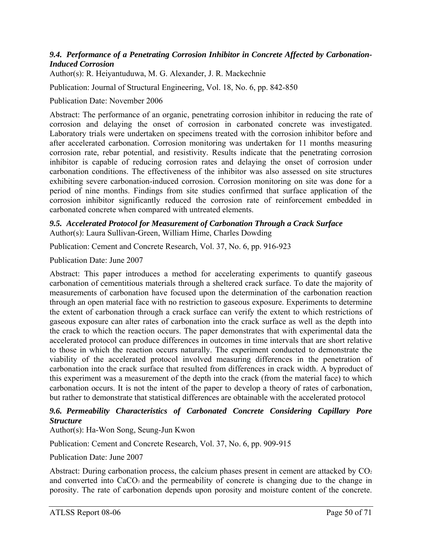### *9.4. Performance of a Penetrating Corrosion Inhibitor in Concrete Affected by Carbonation-Induced Corrosion*

Author(s): R. Heiyantuduwa, M. G. Alexander, J. R. Mackechnie

Publication: Journal of Structural Engineering, Vol. 18, No. 6, pp. 842-850

### Publication Date: November 2006

Abstract: The performance of an organic, penetrating corrosion inhibitor in reducing the rate of corrosion and delaying the onset of corrosion in carbonated concrete was investigated. Laboratory trials were undertaken on specimens treated with the corrosion inhibitor before and after accelerated carbonation. Corrosion monitoring was undertaken for 11 months measuring corrosion rate, rebar potential, and resistivity. Results indicate that the penetrating corrosion inhibitor is capable of reducing corrosion rates and delaying the onset of corrosion under carbonation conditions. The effectiveness of the inhibitor was also assessed on site structures exhibiting severe carbonation-induced corrosion. Corrosion monitoring on site was done for a period of nine months. Findings from site studies confirmed that surface application of the corrosion inhibitor significantly reduced the corrosion rate of reinforcement embedded in carbonated concrete when compared with untreated elements.

#### *9.5. Accelerated Protocol for Measurement of Carbonation Through a Crack Surface*  Author(s): Laura Sullivan-Green, William Hime, Charles Dowding

Publication: Cement and Concrete Research, Vol. 37, No. 6, pp. 916-923

Publication Date: June 2007

Abstract: This paper introduces a method for accelerating experiments to quantify gaseous carbonation of cementitious materials through a sheltered crack surface. To date the majority of measurements of carbonation have focused upon the determination of the carbonation reaction through an open material face with no restriction to gaseous exposure. Experiments to determine the extent of carbonation through a crack surface can verify the extent to which restrictions of gaseous exposure can alter rates of carbonation into the crack surface as well as the depth into the crack to which the reaction occurs. The paper demonstrates that with experimental data the accelerated protocol can produce differences in outcomes in time intervals that are short relative to those in which the reaction occurs naturally. The experiment conducted to demonstrate the viability of the accelerated protocol involved measuring differences in the penetration of carbonation into the crack surface that resulted from differences in crack width. A byproduct of this experiment was a measurement of the depth into the crack (from the material face) to which carbonation occurs. It is not the intent of the paper to develop a theory of rates of carbonation, but rather to demonstrate that statistical differences are obtainable with the accelerated protocol

### *9.6. Permeability Characteristics of Carbonated Concrete Considering Capillary Pore Structure*

Author(s): Ha-Won Song, Seung-Jun Kwon

Publication: Cement and Concrete Research, Vol. 37, No. 6, pp. 909-915

Publication Date: June 2007

Abstract: During carbonation process, the calcium phases present in cement are attacked by  $CO<sub>2</sub>$ and converted into CaCO<sub>3</sub> and the permeability of concrete is changing due to the change in porosity. The rate of carbonation depends upon porosity and moisture content of the concrete.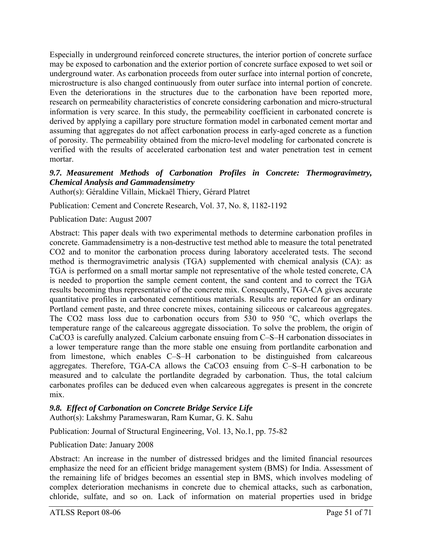Especially in underground reinforced concrete structures, the interior portion of concrete surface may be exposed to carbonation and the exterior portion of concrete surface exposed to wet soil or underground water. As carbonation proceeds from outer surface into internal portion of concrete, microstructure is also changed continuously from outer surface into internal portion of concrete. Even the deteriorations in the structures due to the carbonation have been reported more, research on permeability characteristics of concrete considering carbonation and micro-structural information is very scarce. In this study, the permeability coefficient in carbonated concrete is derived by applying a capillary pore structure formation model in carbonated cement mortar and assuming that aggregates do not affect carbonation process in early-aged concrete as a function of porosity. The permeability obtained from the micro-level modeling for carbonated concrete is verified with the results of accelerated carbonation test and water penetration test in cement mortar.

### *9.7. Measurement Methods of Carbonation Profiles in Concrete: Thermogravimetry, Chemical Analysis and Gammadensimetry*

Author(s): Géraldine Villain, Mickaël Thiery, Gérard Platret

Publication: Cement and Concrete Research, Vol. 37, No. 8, 1182-1192

Publication Date: August 2007

Abstract: This paper deals with two experimental methods to determine carbonation profiles in concrete. Gammadensimetry is a non-destructive test method able to measure the total penetrated CO2 and to monitor the carbonation process during laboratory accelerated tests. The second method is thermogravimetric analysis (TGA) supplemented with chemical analysis (CA): as TGA is performed on a small mortar sample not representative of the whole tested concrete, CA is needed to proportion the sample cement content, the sand content and to correct the TGA results becoming thus representative of the concrete mix. Consequently, TGA-CA gives accurate quantitative profiles in carbonated cementitious materials. Results are reported for an ordinary Portland cement paste, and three concrete mixes, containing siliceous or calcareous aggregates. The CO2 mass loss due to carbonation occurs from 530 to 950 °C, which overlaps the temperature range of the calcareous aggregate dissociation. To solve the problem, the origin of CaCO3 is carefully analyzed. Calcium carbonate ensuing from C–S–H carbonation dissociates in a lower temperature range than the more stable one ensuing from portlandite carbonation and from limestone, which enables C–S–H carbonation to be distinguished from calcareous aggregates. Therefore, TGA-CA allows the CaCO3 ensuing from C–S–H carbonation to be measured and to calculate the portlandite degraded by carbonation. Thus, the total calcium carbonates profiles can be deduced even when calcareous aggregates is present in the concrete mix.

### *9.8. Effect of Carbonation on Concrete Bridge Service Life*

Author(s): Lakshmy Parameswaran, Ram Kumar, G. K. Sahu

Publication: Journal of Structural Engineering, Vol. 13, No.1, pp. 75-82

Publication Date: January 2008

Abstract: An increase in the number of distressed bridges and the limited financial resources emphasize the need for an efficient bridge management system (BMS) for India. Assessment of the remaining life of bridges becomes an essential step in BMS, which involves modeling of complex deterioration mechanisms in concrete due to chemical attacks, such as carbonation, chloride, sulfate, and so on. Lack of information on material properties used in bridge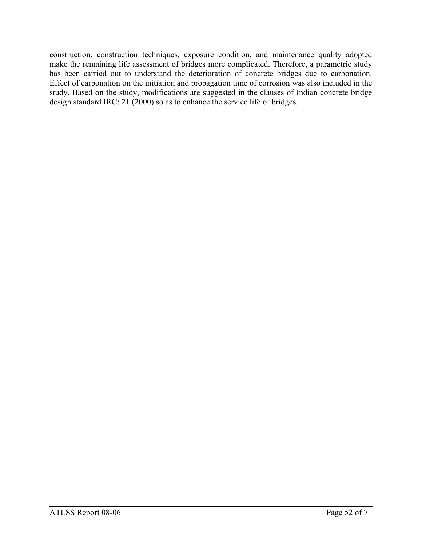construction, construction techniques, exposure condition, and maintenance quality adopted make the remaining life assessment of bridges more complicated. Therefore, a parametric study has been carried out to understand the deterioration of concrete bridges due to carbonation. Effect of carbonation on the initiation and propagation time of corrosion was also included in the study. Based on the study, modifications are suggested in the clauses of Indian concrete bridge design standard IRC: 21 (2000) so as to enhance the service life of bridges.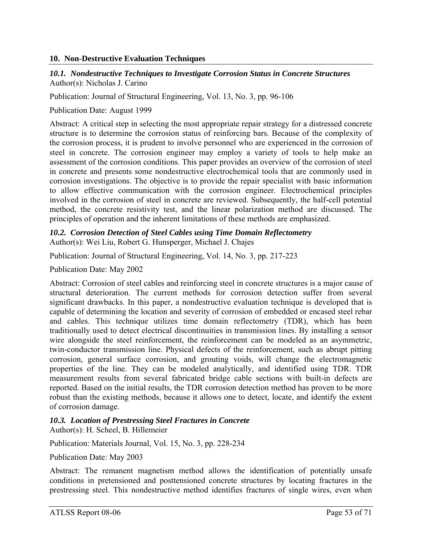### **10. Non-Destructive Evaluation Techniques**

### *10.1. Nondestructive Techniques to Investigate Corrosion Status in Concrete Structures*  Author(s): Nicholas J. Carino

Publication: Journal of Structural Engineering, Vol. 13, No. 3, pp. 96-106

Publication Date: August 1999

Abstract: A critical step in selecting the most appropriate repair strategy for a distressed concrete structure is to determine the corrosion status of reinforcing bars. Because of the complexity of the corrosion process, it is prudent to involve personnel who are experienced in the corrosion of steel in concrete. The corrosion engineer may employ a variety of tools to help make an assessment of the corrosion conditions. This paper provides an overview of the corrosion of steel in concrete and presents some nondestructive electrochemical tools that are commonly used in corrosion investigations. The objective is to provide the repair specialist with basic information to allow effective communication with the corrosion engineer. Electrochemical principles involved in the corrosion of steel in concrete are reviewed. Subsequently, the half-cell potential method, the concrete resistivity test, and the linear polarization method are discussed. The principles of operation and the inherent limitations of these methods are emphasized.

#### *10.2. Corrosion Detection of Steel Cables using Time Domain Reflectometry*  Author(s): Wei Liu, Robert G. Hunsperger, Michael J. Chajes

Publication: Journal of Structural Engineering, Vol. 14, No. 3, pp. 217-223

Publication Date: May 2002

Abstract: Corrosion of steel cables and reinforcing steel in concrete structures is a major cause of structural deterioration. The current methods for corrosion detection suffer from several significant drawbacks. In this paper, a nondestructive evaluation technique is developed that is capable of determining the location and severity of corrosion of embedded or encased steel rebar and cables. This technique utilizes time domain reflectometry (TDR), which has been traditionally used to detect electrical discontinuities in transmission lines. By installing a sensor wire alongside the steel reinforcement, the reinforcement can be modeled as an asymmetric, twin-conductor transmission line. Physical defects of the reinforcement, such as abrupt pitting corrosion, general surface corrosion, and grouting voids, will change the electromagnetic properties of the line. They can be modeled analytically, and identified using TDR. TDR measurement results from several fabricated bridge cable sections with built-in defects are reported. Based on the initial results, the TDR corrosion detection method has proven to be more robust than the existing methods, because it allows one to detect, locate, and identify the extent of corrosion damage.

### *10.3. Location of Prestressing Steel Fractures in Concrete*

Author(s): H. Scheel, B. Hillemeier

Publication: Materials Journal, Vol. 15, No. 3, pp. 228-234

Publication Date: May 2003

Abstract: The remanent magnetism method allows the identification of potentially unsafe conditions in pretensioned and posttensioned concrete structures by locating fractures in the prestressing steel. This nondestructive method identifies fractures of single wires, even when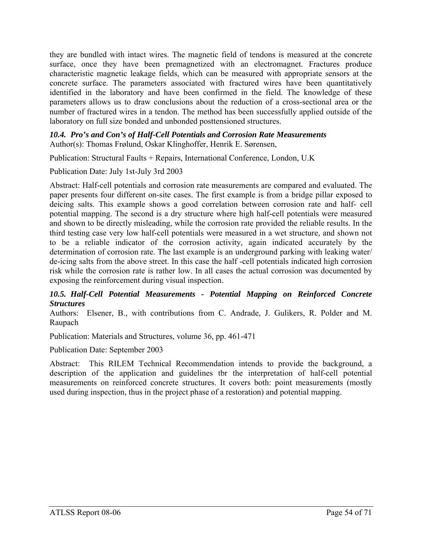they are bundled with intact wires. The magnetic field of tendons is measured at the concrete surface, once they have been premagnetized with an electromagnet. Fractures produce characteristic magnetic leakage fields, which can be measured with appropriate sensors at the concrete surface. The parameters associated with fractured wires have been quantitatively identified in the laboratory and have been confirmed in the field. The knowledge of these parameters allows us to draw conclusions about the reduction of a cross-sectional area or the number of fractured wires in a tendon. The method has been successfully applied outside of the laboratory on full size bonded and unbonded posttensioned structures.

*10.4. Pro's and Con's of Half-Cell Potentials and Corrosion Rate Measurements*  Author(s): Thomas Frølund, Oskar Klinghoffer, Henrik E. Sørensen,

Publication: Structural Faults + Repairs, International Conference, London, U.K

Publication Date: July 1st-July 3rd 2003

Abstract: Half-cell potentials and corrosion rate measurements are compared and evaluated. The paper presents four different on-site cases. The first example is from a bridge pillar exposed to deicing salts. This example shows a good correlation between corrosion rate and half- cell potential mapping. The second is a dry structure where high half-cell potentials were measured and shown to be directly misleading, while the corrosion rate provided the reliable results. In the third testing case very low half-cell potentials were measured in a wet structure, and shown not to be a reliable indicator of the corrosion activity, again indicated accurately by the determination of corrosion rate. The last example is an underground parking with leaking water/ de-icing salts from the above street. In this case the half -cell potentials indicated high corrosion risk while the corrosion rate is rather low. In all cases the actual corrosion was documented by exposing the reinforcement during visual inspection.

### *10.5. Half-Cell Potential Measurements - Potential Mapping on Reinforced Concrete Structures*

Authors: Elsener, B., with contributions from C. Andrade, J. Gulikers, R. Polder and M. Raupach

Publication: Materials and Structures, volume 36, pp. 461-471

Publication Date: September 2003

Abstract: This RILEM Technical Recommendation intends to provide the background, a description of the application and guidelines tbr the interpretation of half-cell potential measurements on reinforced concrete structures. It covers both: point measurements (mostly used during inspection, thus in the project phase of a restoration) and potential mapping.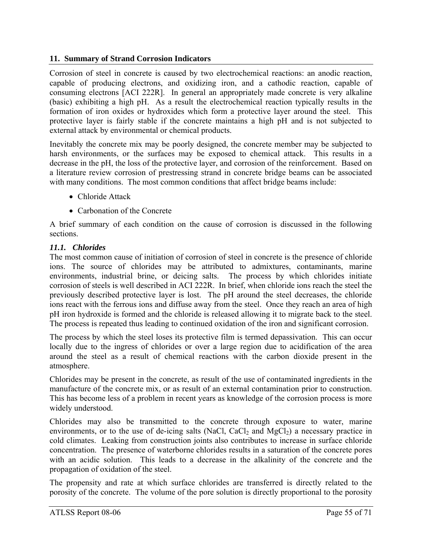### **11. Summary of Strand Corrosion Indicators**

Corrosion of steel in concrete is caused by two electrochemical reactions: an anodic reaction, capable of producing electrons, and oxidizing iron, and a cathodic reaction, capable of consuming electrons [ACI 222R]. In general an appropriately made concrete is very alkaline (basic) exhibiting a high pH. As a result the electrochemical reaction typically results in the formation of iron oxides or hydroxides which form a protective layer around the steel. This protective layer is fairly stable if the concrete maintains a high pH and is not subjected to external attack by environmental or chemical products.

Inevitably the concrete mix may be poorly designed, the concrete member may be subjected to harsh environments, or the surfaces may be exposed to chemical attack. This results in a decrease in the pH, the loss of the protective layer, and corrosion of the reinforcement. Based on a literature review corrosion of prestressing strand in concrete bridge beams can be associated with many conditions. The most common conditions that affect bridge beams include:

- Chloride Attack
- Carbonation of the Concrete

A brief summary of each condition on the cause of corrosion is discussed in the following sections.

### *11.1. Chlorides*

The most common cause of initiation of corrosion of steel in concrete is the presence of chloride ions. The source of chlorides may be attributed to admixtures, contaminants, marine environments, industrial brine, or deicing salts. The process by which chlorides initiate corrosion of steels is well described in ACI 222R. In brief, when chloride ions reach the steel the previously described protective layer is lost. The pH around the steel decreases, the chloride ions react with the ferrous ions and diffuse away from the steel. Once they reach an area of high pH iron hydroxide is formed and the chloride is released allowing it to migrate back to the steel. The process is repeated thus leading to continued oxidation of the iron and significant corrosion.

The process by which the steel loses its protective film is termed depassivation. This can occur locally due to the ingress of chlorides or over a large region due to acidification of the area around the steel as a result of chemical reactions with the carbon dioxide present in the atmosphere.

Chlorides may be present in the concrete, as result of the use of contaminated ingredients in the manufacture of the concrete mix, or as result of an external contamination prior to construction. This has become less of a problem in recent years as knowledge of the corrosion process is more widely understood.

Chlorides may also be transmitted to the concrete through exposure to water, marine environments, or to the use of de-icing salts (NaCl, CaCl<sub>2</sub> and MgCl<sub>2</sub>) a necessary practice in cold climates. Leaking from construction joints also contributes to increase in surface chloride concentration. The presence of waterborne chlorides results in a saturation of the concrete pores with an acidic solution. This leads to a decrease in the alkalinity of the concrete and the propagation of oxidation of the steel.

The propensity and rate at which surface chlorides are transferred is directly related to the porosity of the concrete. The volume of the pore solution is directly proportional to the porosity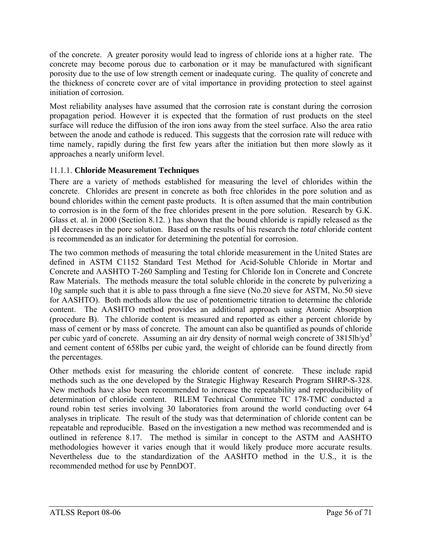of the concrete. A greater porosity would lead to ingress of chloride ions at a higher rate. The concrete may become porous due to carbonation or it may be manufactured with significant porosity due to the use of low strength cement or inadequate curing. The quality of concrete and the thickness of concrete cover are of vital importance in providing protection to steel against initiation of corrosion.

Most reliability analyses have assumed that the corrosion rate is constant during the corrosion propagation period. However it is expected that the formation of rust products on the steel surface will reduce the diffusion of the iron ions away from the steel surface. Also the area ratio between the anode and cathode is reduced. This suggests that the corrosion rate will reduce with time namely, rapidly during the first few years after the initiation but then more slowly as it approaches a nearly uniform level.

# 11.1.1. **Chloride Measurement Techniques**

There are a variety of methods established for measuring the level of chlorides within the concrete. Chlorides are present in concrete as both free chlorides in the pore solution and as bound chlorides within the cement paste products. It is often assumed that the main contribution to corrosion is in the form of the free chlorides present in the pore solution. Research by G.K. Glass et. al. in 2000 (Section 8.12. ) has shown that the bound chloride is rapidly released as the pH decreases in the pore solution. Based on the results of his research the *total* chloride content is recommended as an indicator for determining the potential for corrosion.

The two common methods of measuring the total chloride measurement in the United States are defined in ASTM C1152 Standard Test Method for Acid-Soluble Chloride in Mortar and Concrete and AASHTO T-260 Sampling and Testing for Chloride Ion in Concrete and Concrete Raw Materials. The methods measure the total soluble chloride in the concrete by pulverizing a 10g sample such that it is able to pass through a fine sieve (No.20 sieve for ASTM, No.50 sieve for AASHTO). Both methods allow the use of potentiometric titration to determine the chloride content. The AASHTO method provides an additional approach using Atomic Absorption (procedure B). The chloride content is measured and reported as either a percent chloride by mass of cement or by mass of concrete. The amount can also be quantified as pounds of chloride per cubic yard of concrete. Assuming an air dry density of normal weigh concrete of 3815lb/yd<sup>3</sup> and cement content of 658lbs per cubic yard, the weight of chloride can be found directly from the percentages.

Other methods exist for measuring the chloride content of concrete. These include rapid methods such as the one developed by the Strategic Highway Research Program SHRP-S-328. New methods have also been recommended to increase the repeatability and reproducibility of determination of chloride content. RILEM Technical Committee TC 178-TMC conducted a round robin test series involving 30 laboratories from around the world conducting over 64 analyses in triplicate. The result of the study was that determination of chloride content can be repeatable and reproducible. Based on the investigation a new method was recommended and is outlined in reference 8.17. The method is similar in concept to the ASTM and AASHTO methodologies however it varies enough that it would likely produce more accurate results. Nevertheless due to the standardization of the AASHTO method in the U.S., it is the recommended method for use by PennDOT.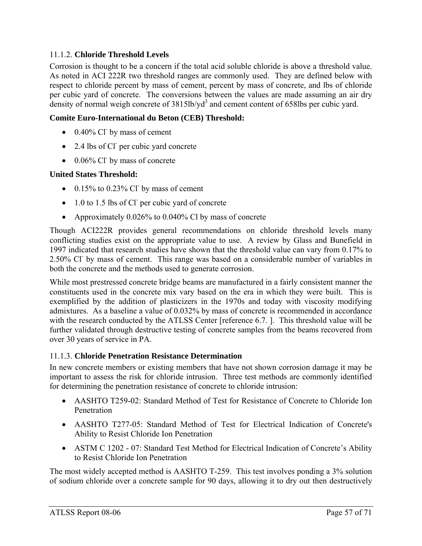### 11.1.2. **Chloride Threshold Levels**

Corrosion is thought to be a concern if the total acid soluble chloride is above a threshold value. As noted in ACI 222R two threshold ranges are commonly used. They are defined below with respect to chloride percent by mass of cement, percent by mass of concrete, and lbs of chloride per cubic yard of concrete. The conversions between the values are made assuming an air dry density of normal weigh concrete of  $3815$ lb/yd<sup>3</sup> and cement content of 658lbs per cubic yard.

### **Comite Euro-International du Beton (CEB) Threshold:**

- $\bullet$  0.40% Cl<sup>-</sup> by mass of cement
- 2.4 lbs of Cl<sup>-</sup> per cubic yard concrete
- $\bullet$  0.06% Cl by mass of concrete

### **United States Threshold:**

- $\bullet$  0.15% to 0.23% Cl by mass of cement
- $\bullet$  1.0 to 1.5 lbs of Cl per cubic yard of concrete
- Approximately 0.026% to 0.040% Cl by mass of concrete

Though ACI222R provides general recommendations on chloride threshold levels many conflicting studies exist on the appropriate value to use. A review by Glass and Bunefield in 1997 indicated that research studies have shown that the threshold value can vary from 0.17% to 2.50% Cl- by mass of cement. This range was based on a considerable number of variables in both the concrete and the methods used to generate corrosion.

While most prestressed concrete bridge beams are manufactured in a fairly consistent manner the constituents used in the concrete mix vary based on the era in which they were built. This is exemplified by the addition of plasticizers in the 1970s and today with viscosity modifying admixtures. As a baseline a value of 0.032% by mass of concrete is recommended in accordance with the research conducted by the ATLSS Center [reference 6.7. ]. This threshold value will be further validated through destructive testing of concrete samples from the beams recovered from over 30 years of service in PA.

### 11.1.3. **Chloride Penetration Resistance Determination**

In new concrete members or existing members that have not shown corrosion damage it may be important to assess the risk for chloride intrusion. Three test methods are commonly identified for determining the penetration resistance of concrete to chloride intrusion:

- AASHTO T259-02: Standard Method of Test for Resistance of Concrete to Chloride Ion Penetration
- AASHTO T277-05: Standard Method of Test for Electrical Indication of Concrete's Ability to Resist Chloride Ion Penetration
- ASTM C 1202 07: Standard Test Method for Electrical Indication of Concrete's Ability to Resist Chloride Ion Penetration

The most widely accepted method is AASHTO T-259. This test involves ponding a 3% solution of sodium chloride over a concrete sample for 90 days, allowing it to dry out then destructively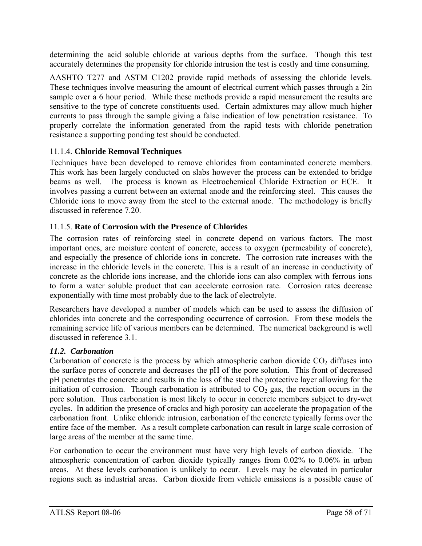determining the acid soluble chloride at various depths from the surface. Though this test accurately determines the propensity for chloride intrusion the test is costly and time consuming.

AASHTO T277 and ASTM C1202 provide rapid methods of assessing the chloride levels. These techniques involve measuring the amount of electrical current which passes through a 2in sample over a 6 hour period. While these methods provide a rapid measurement the results are sensitive to the type of concrete constituents used. Certain admixtures may allow much higher currents to pass through the sample giving a false indication of low penetration resistance. To properly correlate the information generated from the rapid tests with chloride penetration resistance a supporting ponding test should be conducted.

### 11.1.4. **Chloride Removal Techniques**

Techniques have been developed to remove chlorides from contaminated concrete members. This work has been largely conducted on slabs however the process can be extended to bridge beams as well. The process is known as Electrochemical Chloride Extraction or ECE. It involves passing a current between an external anode and the reinforcing steel. This causes the Chloride ions to move away from the steel to the external anode. The methodology is briefly discussed in reference 7.20.

# 11.1.5. **Rate of Corrosion with the Presence of Chlorides**

The corrosion rates of reinforcing steel in concrete depend on various factors. The most important ones, are moisture content of concrete, access to oxygen (permeability of concrete), and especially the presence of chloride ions in concrete. The corrosion rate increases with the increase in the chloride levels in the concrete. This is a result of an increase in conductivity of concrete as the chloride ions increase, and the chloride ions can also complex with ferrous ions to form a water soluble product that can accelerate corrosion rate. Corrosion rates decrease exponentially with time most probably due to the lack of electrolyte.

Researchers have developed a number of models which can be used to assess the diffusion of chlorides into concrete and the corresponding occurrence of corrosion. From these models the remaining service life of various members can be determined. The numerical background is well discussed in reference 3.1.

### *11.2. Carbonation*

Carbonation of concrete is the process by which atmospheric carbon dioxide  $CO<sub>2</sub>$  diffuses into the surface pores of concrete and decreases the pH of the pore solution. This front of decreased pH penetrates the concrete and results in the loss of the steel the protective layer allowing for the initiation of corrosion. Though carbonation is attributed to  $CO<sub>2</sub>$  gas, the reaction occurs in the pore solution. Thus carbonation is most likely to occur in concrete members subject to dry-wet cycles. In addition the presence of cracks and high porosity can accelerate the propagation of the carbonation front. Unlike chloride intrusion, carbonation of the concrete typically forms over the entire face of the member. As a result complete carbonation can result in large scale corrosion of large areas of the member at the same time.

For carbonation to occur the environment must have very high levels of carbon dioxide. The atmospheric concentration of carbon dioxide typically ranges from 0.02% to 0.06% in urban areas. At these levels carbonation is unlikely to occur. Levels may be elevated in particular regions such as industrial areas. Carbon dioxide from vehicle emissions is a possible cause of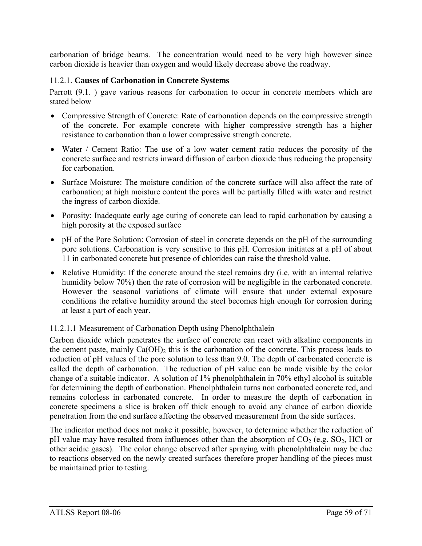carbonation of bridge beams. The concentration would need to be very high however since carbon dioxide is heavier than oxygen and would likely decrease above the roadway.

# 11.2.1. **Causes of Carbonation in Concrete Systems**

Parrott (9.1.) gave various reasons for carbonation to occur in concrete members which are stated below

- Compressive Strength of Concrete: Rate of carbonation depends on the compressive strength of the concrete. For example concrete with higher compressive strength has a higher resistance to carbonation than a lower compressive strength concrete.
- Water / Cement Ratio: The use of a low water cement ratio reduces the porosity of the concrete surface and restricts inward diffusion of carbon dioxide thus reducing the propensity for carbonation.
- Surface Moisture: The moisture condition of the concrete surface will also affect the rate of carbonation; at high moisture content the pores will be partially filled with water and restrict the ingress of carbon dioxide.
- Porosity: Inadequate early age curing of concrete can lead to rapid carbonation by causing a high porosity at the exposed surface
- pH of the Pore Solution: Corrosion of steel in concrete depends on the pH of the surrounding pore solutions. Carbonation is very sensitive to this pH. Corrosion initiates at a pH of about 11 in carbonated concrete but presence of chlorides can raise the threshold value.
- Relative Humidity: If the concrete around the steel remains dry (i.e. with an internal relative humidity below 70%) then the rate of corrosion will be negligible in the carbonated concrete. However the seasonal variations of climate will ensure that under external exposure conditions the relative humidity around the steel becomes high enough for corrosion during at least a part of each year.

# 11.2.1.1 Measurement of Carbonation Depth using Phenolphthalein

Carbon dioxide which penetrates the surface of concrete can react with alkaline components in the cement paste, mainly  $Ca(OH)$ <sup>2</sup> this is the carbonation of the concrete. This process leads to reduction of pH values of the pore solution to less than 9.0. The depth of carbonated concrete is called the depth of carbonation. The reduction of pH value can be made visible by the color change of a suitable indicator. A solution of 1% phenolphthalein in 70% ethyl alcohol is suitable for determining the depth of carbonation. Phenolphthalein turns non carbonated concrete red, and remains colorless in carbonated concrete. In order to measure the depth of carbonation in concrete specimens a slice is broken off thick enough to avoid any chance of carbon dioxide penetration from the end surface affecting the observed measurement from the side surfaces.

The indicator method does not make it possible, however, to determine whether the reduction of pH value may have resulted from influences other than the absorption of  $CO<sub>2</sub>$  (e.g.  $SO<sub>2</sub>$ , HCl or other acidic gases). The color change observed after spraying with phenolphthalein may be due to reactions observed on the newly created surfaces therefore proper handling of the pieces must be maintained prior to testing.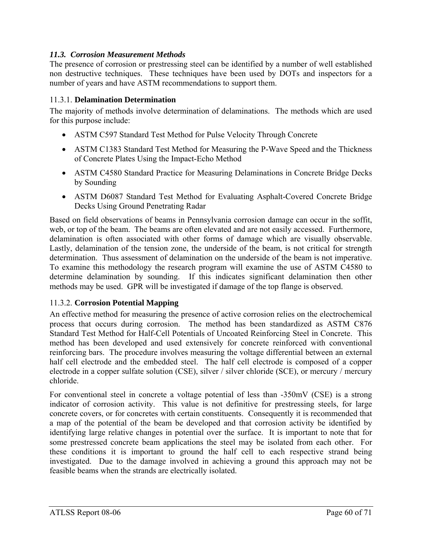## *11.3. Corrosion Measurement Methods*

The presence of corrosion or prestressing steel can be identified by a number of well established non destructive techniques. These techniques have been used by DOTs and inspectors for a number of years and have ASTM recommendations to support them.

### 11.3.1. **Delamination Determination**

The majority of methods involve determination of delaminations. The methods which are used for this purpose include:

- ASTM C597 Standard Test Method for Pulse Velocity Through Concrete
- ASTM C1383 Standard Test Method for Measuring the P-Wave Speed and the Thickness of Concrete Plates Using the Impact-Echo Method
- ASTM C4580 Standard Practice for Measuring Delaminations in Concrete Bridge Decks by Sounding
- ASTM D6087 Standard Test Method for Evaluating Asphalt-Covered Concrete Bridge Decks Using Ground Penetrating Radar

Based on field observations of beams in Pennsylvania corrosion damage can occur in the soffit, web, or top of the beam. The beams are often elevated and are not easily accessed. Furthermore, delamination is often associated with other forms of damage which are visually observable. Lastly, delamination of the tension zone, the underside of the beam, is not critical for strength determination. Thus assessment of delamination on the underside of the beam is not imperative. To examine this methodology the research program will examine the use of ASTM C4580 to determine delamination by sounding. If this indicates significant delamination then other methods may be used. GPR will be investigated if damage of the top flange is observed.

### 11.3.2. **Corrosion Potential Mapping**

An effective method for measuring the presence of active corrosion relies on the electrochemical process that occurs during corrosion. The method has been standardized as ASTM C876 Standard Test Method for Half-Cell Potentials of Uncoated Reinforcing Steel in Concrete. This method has been developed and used extensively for concrete reinforced with conventional reinforcing bars. The procedure involves measuring the voltage differential between an external half cell electrode and the embedded steel. The half cell electrode is composed of a copper electrode in a copper sulfate solution (CSE), silver / silver chloride (SCE), or mercury / mercury chloride.

For conventional steel in concrete a voltage potential of less than -350mV (CSE) is a strong indicator of corrosion activity. This value is not definitive for prestressing steels, for large concrete covers, or for concretes with certain constituents. Consequently it is recommended that a map of the potential of the beam be developed and that corrosion activity be identified by identifying large relative changes in potential over the surface. It is important to note that for some prestressed concrete beam applications the steel may be isolated from each other. For these conditions it is important to ground the half cell to each respective strand being investigated. Due to the damage involved in achieving a ground this approach may not be feasible beams when the strands are electrically isolated.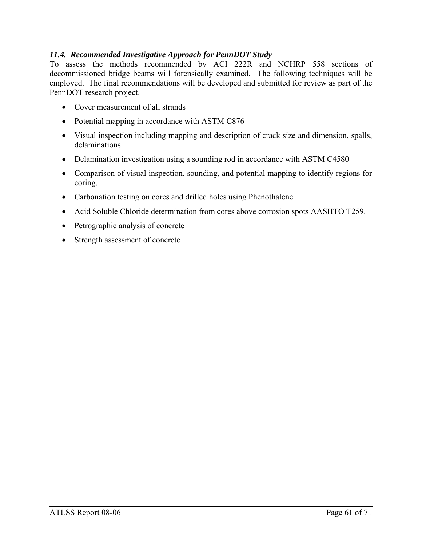### *11.4. Recommended Investigative Approach for PennDOT Study*

To assess the methods recommended by ACI 222R and NCHRP 558 sections of decommissioned bridge beams will forensically examined. The following techniques will be employed. The final recommendations will be developed and submitted for review as part of the PennDOT research project.

- Cover measurement of all strands
- Potential mapping in accordance with ASTM C876
- Visual inspection including mapping and description of crack size and dimension, spalls, delaminations.
- Delamination investigation using a sounding rod in accordance with ASTM C4580
- Comparison of visual inspection, sounding, and potential mapping to identify regions for coring.
- Carbonation testing on cores and drilled holes using Phenothalene
- Acid Soluble Chloride determination from cores above corrosion spots AASHTO T259.
- Petrographic analysis of concrete
- Strength assessment of concrete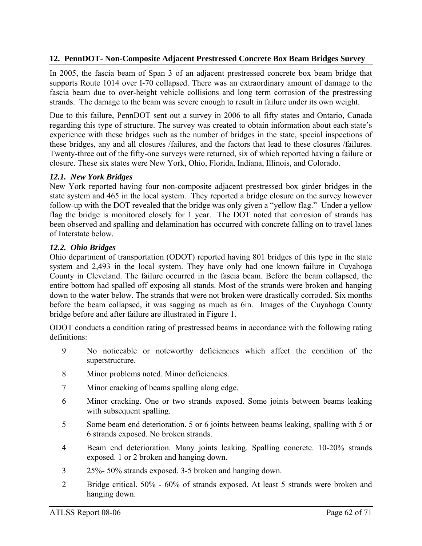### **12. PennDOT- Non-Composite Adjacent Prestressed Concrete Box Beam Bridges Survey**

In 2005, the fascia beam of Span 3 of an adjacent prestressed concrete box beam bridge that supports Route 1014 over I-70 collapsed. There was an extraordinary amount of damage to the fascia beam due to over-height vehicle collisions and long term corrosion of the prestressing strands. The damage to the beam was severe enough to result in failure under its own weight.

Due to this failure, PennDOT sent out a survey in 2006 to all fifty states and Ontario, Canada regarding this type of structure. The survey was created to obtain information about each state's experience with these bridges such as the number of bridges in the state, special inspections of these bridges, any and all closures /failures, and the factors that lead to these closures /failures. Twenty-three out of the fifty-one surveys were returned, six of which reported having a failure or closure. These six states were New York, Ohio, Florida, Indiana, Illinois, and Colorado.

#### *12.1. New York Bridges*

New York reported having four non-composite adjacent prestressed box girder bridges in the state system and 465 in the local system. They reported a bridge closure on the survey however follow-up with the DOT revealed that the bridge was only given a "yellow flag." Under a yellow flag the bridge is monitored closely for 1 year. The DOT noted that corrosion of strands has been observed and spalling and delamination has occurred with concrete falling on to travel lanes of Interstate below.

#### *12.2. Ohio Bridges*

Ohio department of transportation (ODOT) reported having 801 bridges of this type in the state system and 2,493 in the local system. They have only had one known failure in Cuyahoga County in Cleveland. The failure occurred in the fascia beam. Before the beam collapsed, the entire bottom had spalled off exposing all stands. Most of the strands were broken and hanging down to the water below. The strands that were not broken were drastically corroded. Six months before the beam collapsed, it was sagging as much as 6in. Images of the Cuyahoga County bridge before and after failure are illustrated in Figure 1.

ODOT conducts a condition rating of prestressed beams in accordance with the following rating definitions:

- 9 No noticeable or noteworthy deficiencies which affect the condition of the superstructure.
- 8 Minor problems noted. Minor deficiencies.
- 7 Minor cracking of beams spalling along edge.
- 6 Minor cracking. One or two strands exposed. Some joints between beams leaking with subsequent spalling.
- 5 Some beam end deterioration. 5 or 6 joints between beams leaking, spalling with 5 or 6 strands exposed. No broken strands.
- 4 Beam end deterioration. Many joints leaking. Spalling concrete. 10-20% strands exposed. 1 or 2 broken and hanging down.
- 3 25%- 50% strands exposed. 3-5 broken and hanging down.
- 2 Bridge critical. 50% 60% of strands exposed. At least 5 strands were broken and hanging down.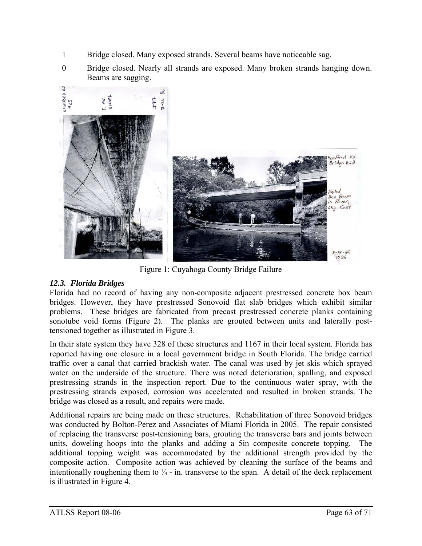- 1 Bridge closed. Many exposed strands. Several beams have noticeable sag.
- 0 Bridge closed. Nearly all strands are exposed. Many broken strands hanging down. Beams are sagging.



Figure 1: Cuyahoga County Bridge Failure

# *12.3. Florida Bridges*

Florida had no record of having any non-composite adjacent prestressed concrete box beam bridges. However, they have prestressed Sonovoid flat slab bridges which exhibit similar problems. These bridges are fabricated from precast prestressed concrete planks containing sonotube void forms (Figure 2). The planks are grouted between units and laterally posttensioned together as illustrated in Figure 3.

In their state system they have 328 of these structures and 1167 in their local system. Florida has reported having one closure in a local government bridge in South Florida. The bridge carried traffic over a canal that carried brackish water. The canal was used by jet skis which sprayed water on the underside of the structure. There was noted deterioration, spalling, and exposed prestressing strands in the inspection report. Due to the continuous water spray, with the prestressing strands exposed, corrosion was accelerated and resulted in broken strands. The bridge was closed as a result, and repairs were made.

Additional repairs are being made on these structures. Rehabilitation of three Sonovoid bridges was conducted by Bolton-Perez and Associates of Miami Florida in 2005. The repair consisted of replacing the transverse post-tensioning bars, grouting the transverse bars and joints between units, doweling hoops into the planks and adding a 5in composite concrete topping. The additional topping weight was accommodated by the additional strength provided by the composite action. Composite action was achieved by cleaning the surface of the beams and intentionally roughening them to  $\frac{1}{4}$  - in. transverse to the span. A detail of the deck replacement is illustrated in Figure 4.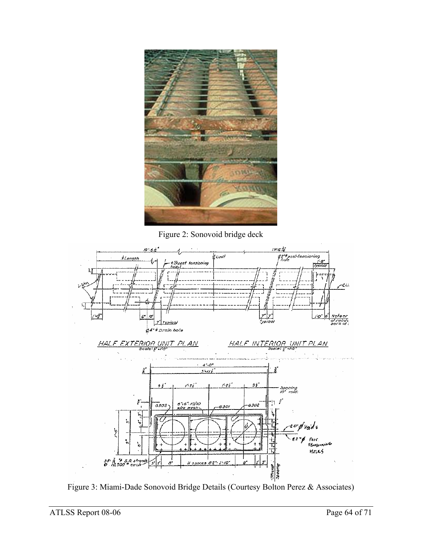

Figure 2: Sonovoid bridge deck



Figure 3: Miami-Dade Sonovoid Bridge Details (Courtesy Bolton Perez & Associates)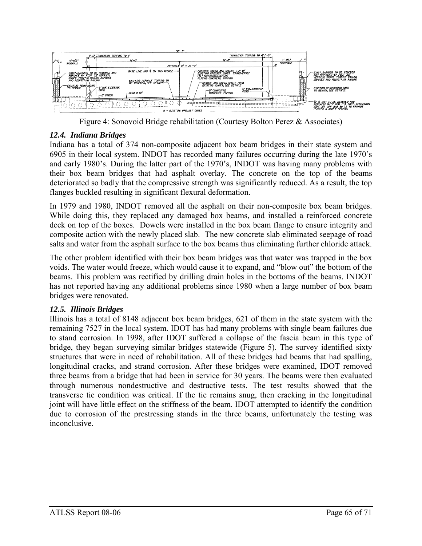

Figure 4: Sonovoid Bridge rehabilitation (Courtesy Bolton Perez & Associates)

# *12.4. Indiana Bridges*

Indiana has a total of 374 non-composite adjacent box beam bridges in their state system and 6905 in their local system. INDOT has recorded many failures occurring during the late 1970's and early 1980's. During the latter part of the 1970's, INDOT was having many problems with their box beam bridges that had asphalt overlay. The concrete on the top of the beams deteriorated so badly that the compressive strength was significantly reduced. As a result, the top flanges buckled resulting in significant flexural deformation.

In 1979 and 1980, INDOT removed all the asphalt on their non-composite box beam bridges. While doing this, they replaced any damaged box beams, and installed a reinforced concrete deck on top of the boxes. Dowels were installed in the box beam flange to ensure integrity and composite action with the newly placed slab. The new concrete slab eliminated seepage of road salts and water from the asphalt surface to the box beams thus eliminating further chloride attack.

The other problem identified with their box beam bridges was that water was trapped in the box voids. The water would freeze, which would cause it to expand, and "blow out" the bottom of the beams. This problem was rectified by drilling drain holes in the bottoms of the beams. INDOT has not reported having any additional problems since 1980 when a large number of box beam bridges were renovated.

### *12.5. Illinois Bridges*

Illinois has a total of 8148 adjacent box beam bridges, 621 of them in the state system with the remaining 7527 in the local system. IDOT has had many problems with single beam failures due to stand corrosion. In 1998, after IDOT suffered a collapse of the fascia beam in this type of bridge, they began surveying similar bridges statewide (Figure 5). The survey identified sixty structures that were in need of rehabilitation. All of these bridges had beams that had spalling, longitudinal cracks, and strand corrosion. After these bridges were examined, IDOT removed three beams from a bridge that had been in service for 30 years. The beams were then evaluated through numerous nondestructive and destructive tests. The test results showed that the transverse tie condition was critical. If the tie remains snug, then cracking in the longitudinal joint will have little effect on the stiffness of the beam. IDOT attempted to identify the condition due to corrosion of the prestressing stands in the three beams, unfortunately the testing was inconclusive.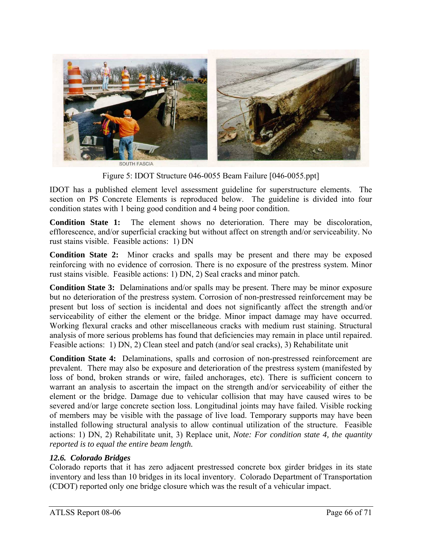

Figure 5: IDOT Structure 046-0055 Beam Failure [046-0055.ppt]

IDOT has a published element level assessment guideline for superstructure elements. The section on PS Concrete Elements is reproduced below. The guideline is divided into four condition states with 1 being good condition and 4 being poor condition.

**Condition State 1:** The element shows no deterioration. There may be discoloration, efflorescence, and/or superficial cracking but without affect on strength and/or serviceability. No rust stains visible. Feasible actions: 1) DN

**Condition State 2:** Minor cracks and spalls may be present and there may be exposed reinforcing with no evidence of corrosion. There is no exposure of the prestress system. Minor rust stains visible. Feasible actions: 1) DN, 2) Seal cracks and minor patch.

**Condition State 3:** Delaminations and/or spalls may be present. There may be minor exposure but no deterioration of the prestress system. Corrosion of non-prestressed reinforcement may be present but loss of section is incidental and does not significantly affect the strength and/or serviceability of either the element or the bridge. Minor impact damage may have occurred. Working flexural cracks and other miscellaneous cracks with medium rust staining. Structural analysis of more serious problems has found that deficiencies may remain in place until repaired. Feasible actions: 1) DN, 2) Clean steel and patch (and/or seal cracks), 3) Rehabilitate unit

**Condition State 4:** Delaminations, spalls and corrosion of non-prestressed reinforcement are prevalent. There may also be exposure and deterioration of the prestress system (manifested by loss of bond, broken strands or wire, failed anchorages, etc). There is sufficient concern to warrant an analysis to ascertain the impact on the strength and/or serviceability of either the element or the bridge. Damage due to vehicular collision that may have caused wires to be severed and/or large concrete section loss. Longitudinal joints may have failed. Visible rocking of members may be visible with the passage of live load. Temporary supports may have been installed following structural analysis to allow continual utilization of the structure. Feasible actions: 1) DN, 2) Rehabilitate unit, 3) Replace unit, *Note: For condition state 4, the quantity reported is to equal the entire beam length.*

### *12.6. Colorado Bridges*

Colorado reports that it has zero adjacent prestressed concrete box girder bridges in its state inventory and less than 10 bridges in its local inventory. Colorado Department of Transportation (CDOT) reported only one bridge closure which was the result of a vehicular impact.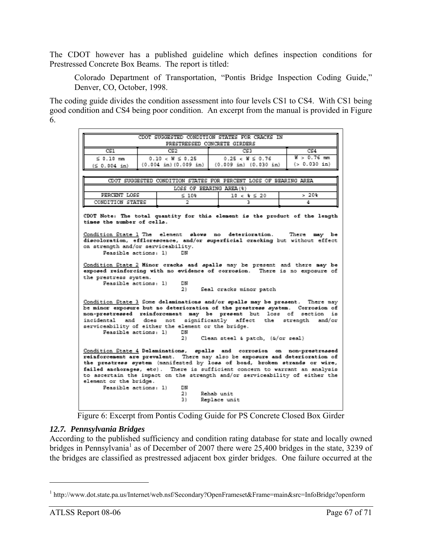The CDOT however has a published guideline which defines inspection conditions for Prestressed Concrete Box Beams. The report is titled:

Colorado Department of Transportation, "Pontis Bridge Inspection Coding Guide," Denver, CO, October, 1998.

The coding guide divides the condition assessment into four levels CS1 to CS4. With CS1 being good condition and CS4 being poor condition. An excerpt from the manual is provided in Figure 6.

| CDOT SUGGESTED CONDITION STATES FOR CRACKS IN                                                                                                                                                                                                                                                                                                                                                                                                                                                                       |  |                      |                                                                  |                |
|---------------------------------------------------------------------------------------------------------------------------------------------------------------------------------------------------------------------------------------------------------------------------------------------------------------------------------------------------------------------------------------------------------------------------------------------------------------------------------------------------------------------|--|----------------------|------------------------------------------------------------------|----------------|
| PRESTRESSED CONCRETE GIRDERS                                                                                                                                                                                                                                                                                                                                                                                                                                                                                        |  |                      |                                                                  |                |
| CSI.                                                                                                                                                                                                                                                                                                                                                                                                                                                                                                                |  | CSD                  | CS3                                                              | CS4            |
| $\leq 0.10$ mm                                                                                                                                                                                                                                                                                                                                                                                                                                                                                                      |  | $0.10 < W \le 0.25$  | $0.25 < W \le 0.76$                                              | $W > 0.76$ mm  |
| (50.004 in)                                                                                                                                                                                                                                                                                                                                                                                                                                                                                                         |  | (0.004 in)(0.009 in) | (0.009 in) (0.030 in)                                            | ( > 0.030 in ) |
|                                                                                                                                                                                                                                                                                                                                                                                                                                                                                                                     |  |                      |                                                                  |                |
|                                                                                                                                                                                                                                                                                                                                                                                                                                                                                                                     |  |                      | CDOT SUGGESTED CONDITION STATES FOR PERCENT LOSS OF BEARING AREA |                |
|                                                                                                                                                                                                                                                                                                                                                                                                                                                                                                                     |  |                      | LOSS OF BEARING AREA (%)                                         |                |
| PERCENT LOSS                                                                                                                                                                                                                                                                                                                                                                                                                                                                                                        |  | ≲ 10%                | $10 \leq k \leq 20$                                              | >20%           |
| CONDITION STATES                                                                                                                                                                                                                                                                                                                                                                                                                                                                                                    |  | 2                    | ٦                                                                | 4              |
| Condition State 1 The element shows no deterioration. There may be<br>discoloration, efflorescence, and/or superficial cracking but without effect<br>on strength and/or serviceability.<br>Feasible actions: 1)<br>DN<br>Condition State 2 Minor cracks and spalls may be present and there may be<br>exposed reinforcing with no evidence of corrosion. There is no exposure of<br>the prestress system.<br>Feasible actions: 1)<br>DN<br>2).<br>Seal cracks minor patch                                          |  |                      |                                                                  |                |
| Condition State 3 Some delaminations and/or spalls may be present. There may<br>be minor exposure but no deterioration of the prestress system. Corrosion of<br>non-prestressed reinforcement may be present but loss of section is<br>incidental and does not significantly affect the strength and/or<br>serviceability of either the element or the bridge.<br>Feasible actions: 1)<br>DN<br>2).<br>Clean steel & patch, (&/or seal)<br>Condition State 4 Delaminations, spalls and corrosion on non-prestressed |  |                      |                                                                  |                |
| reinforcement are prevalent. There may also be exposure and deterioration of<br>the prestress system (manifested by loss of bond, broken strands or wire,<br>failed anchorages, etc). There is sufficient concern to warrant an analysis<br>to ascertain the impact on the strength and/or serviceability of either the<br>element or the bridge.<br>Feasible actions: 1)<br>DN<br>2).<br>Rehab unit<br>3).<br>Replace unit                                                                                         |  |                      |                                                                  |                |



### *12.7. Pennsylvania Bridges*

According to the published sufficiency and condition rating database for state and locally owned bridges in Pennsylvania<sup>1</sup> as of December of 2007 there were 25,400 bridges in the state, 3239 of the bridges are classified as prestressed adjacent box girder bridges. One failure occurred at the

1

<sup>&</sup>lt;sup>1</sup> http://www.dot.state.pa.us/Internet/web.nsf/Secondary?OpenFrameset&Frame=main&src=InfoBridge?openform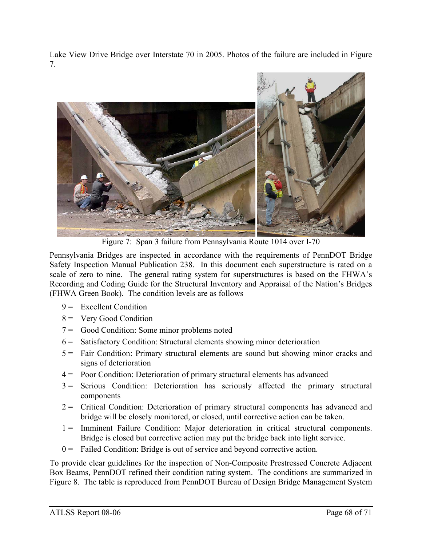Lake View Drive Bridge over Interstate 70 in 2005. Photos of the failure are included in Figure 7.



Figure 7: Span 3 failure from Pennsylvania Route 1014 over I-70

Pennsylvania Bridges are inspected in accordance with the requirements of PennDOT Bridge Safety Inspection Manual Publication 238. In this document each superstructure is rated on a scale of zero to nine. The general rating system for superstructures is based on the FHWA's Recording and Coding Guide for the Structural Inventory and Appraisal of the Nation's Bridges (FHWA Green Book). The condition levels are as follows

- $9 =$  Excellent Condition
- 8 = Very Good Condition
- 7 = Good Condition: Some minor problems noted
- 6 = Satisfactory Condition: Structural elements showing minor deterioration
- 5 = Fair Condition: Primary structural elements are sound but showing minor cracks and signs of deterioration
- 4 = Poor Condition: Deterioration of primary structural elements has advanced
- 3 = Serious Condition: Deterioration has seriously affected the primary structural components
- 2 = Critical Condition: Deterioration of primary structural components has advanced and bridge will be closely monitored, or closed, until corrective action can be taken.
- 1 = Imminent Failure Condition: Major deterioration in critical structural components. Bridge is closed but corrective action may put the bridge back into light service.
- $0 =$  Failed Condition: Bridge is out of service and beyond corrective action.

To provide clear guidelines for the inspection of Non-Composite Prestressed Concrete Adjacent Box Beams, PennDOT refined their condition rating system. The conditions are summarized in Figure 8. The table is reproduced from PennDOT Bureau of Design Bridge Management System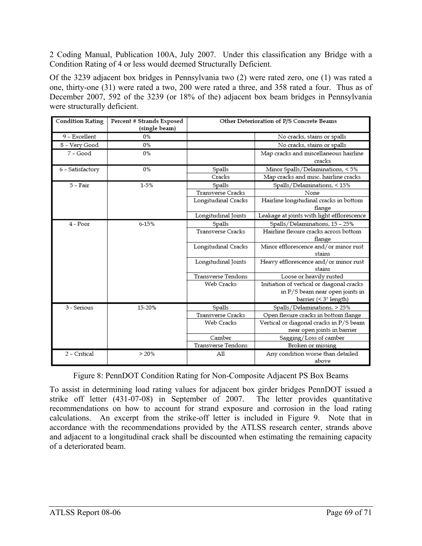2 Coding Manual, Publication 100A, July 2007. Under this classification any Bridge with a Condition Rating of 4 or less would deemed Structurally Deficient.

Of the 3239 adjacent box bridges in Pennsylvania two (2) were rated zero, one (1) was rated a one, thirty-one (31) were rated a two, 200 were rated a three, and 358 rated a four. Thus as of December 2007, 592 of the 3239 (or 18% of the) adjacent box beam bridges in Pennsylvania were structurally deficient.

| <b>Condition Rating</b> | Percent # Strands Exposed<br>(single beam) | Other Deterioration of P/S Concrete Beams |                                                                        |
|-------------------------|--------------------------------------------|-------------------------------------------|------------------------------------------------------------------------|
| 9 - Excellent           | 0%                                         |                                           | No cracks, stains or spalls                                            |
| 8 - Very Good           | 0%                                         |                                           | No cracks, stains or spalls                                            |
| 7 - Good                | 0%                                         |                                           | Map cracks and miscellaneous hairline<br>cracks                        |
| 6 – Satisfactory        | 0%                                         | Spalls                                    | Minor Spalls/Delaminations, < 5%                                       |
|                         |                                            | Cracks                                    | Map cracks and misc. hairline cracks                                   |
| $5 - Fair$              | $1 - 5%$                                   | Spalls                                    | Spalls/Delaminations, < 15%                                            |
|                         |                                            | Transverse Cracks                         | None                                                                   |
|                         |                                            | Longitudinal Cracks                       | Hairline longitudinal cracks in bottom<br>flange                       |
|                         |                                            | Longitudinal Joints                       | Leakage at joints with light efflorescence                             |
| 4 - Poor                | $6 - 15%$                                  | Spalls                                    | Spalls/Delaminations, 15 - 25%                                         |
|                         |                                            | <b>Transverse Cracks</b>                  | Hairline flexure cracks across bottom<br>flange                        |
|                         |                                            | Longitudinal Cracks                       | Minor efflorescence and/or minor rust<br>stains                        |
|                         |                                            | Longitudinal Joints                       | Heavy efflorescence and/or minor rust<br>stains                        |
|                         |                                            | Transverse Tendons                        | Loose or heavily rusted                                                |
|                         |                                            | Web Cracks                                | Initiation of vertical or diagonal cracks                              |
|                         |                                            |                                           | in P/S beam near open joints in                                        |
|                         |                                            |                                           | barrier (< 3" length)                                                  |
| 3 - Serious             | 15-20%                                     | Spalls                                    | Spalls/Delaminations, > 25%                                            |
|                         |                                            | <b>Transverse Cracks</b>                  | Open flexure cracks in bottom flange                                   |
|                         |                                            | Web Cracks                                | Vertical or diagonal cracks in P/S beam<br>near open joints in barrier |
|                         |                                            | Camber                                    | Sagging/Loss of camber                                                 |
|                         |                                            | Transverse Tendons                        | Broken or missing                                                      |
| 2 - Critical            | > 20%                                      | All                                       | Any condition worse than detailed                                      |
|                         |                                            |                                           | above                                                                  |

Figure 8: PennDOT Condition Rating for Non-Composite Adjacent PS Box Beams

To assist in determining load rating values for adjacent box girder bridges PennDOT issued a strike off letter (431-07-08) in September of 2007. The letter provides quantitative recommendations on how to account for strand exposure and corrosion in the load rating calculations. An excerpt from the strike-off letter is included in Figure 9. Note that in accordance with the recommendations provided by the ATLSS research center, strands above and adjacent to a longitudinal crack shall be discounted when estimating the remaining capacity of a deteriorated beam.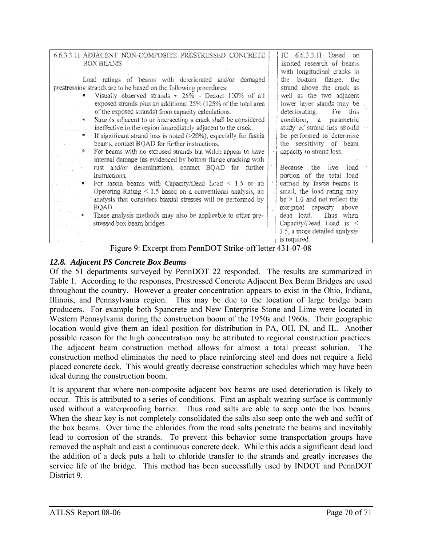| 6.6.3.3.1I ADJACENT NON-COMPOSITE PRESTRESSED CONCRETE<br><b>BOX BEAMS</b><br>Load ratings of beams with deteriorated and/or damaged<br>prestressing strands are to be based on the following procedures:<br>Visually observed strands + 25% - Deduct 100% of all<br>exposed strands plus an additional 25% (125% of the total area<br>of the exposed strands) from capacity calculations.<br>Strands adjacent to or intersecting a crack shall be considered<br>ineffective in the region immediately adjacent to the crack.<br>If significant strand loss is noted (>20%), especially for fascia | IC 6.6.3.3.11 Based on<br>limited research of beams<br>with longitudinal cracks in<br>the bottom flange, the<br>strand above the crack as<br>well as the two adjacent<br>lower layer stands may be<br>deteriorating. For this<br>condition, a parametric<br>study of strand loss should<br>be performed to determine |
|----------------------------------------------------------------------------------------------------------------------------------------------------------------------------------------------------------------------------------------------------------------------------------------------------------------------------------------------------------------------------------------------------------------------------------------------------------------------------------------------------------------------------------------------------------------------------------------------------|----------------------------------------------------------------------------------------------------------------------------------------------------------------------------------------------------------------------------------------------------------------------------------------------------------------------|
| beams, contact BQAD for further instructions.                                                                                                                                                                                                                                                                                                                                                                                                                                                                                                                                                      | the sensitivity of beam                                                                                                                                                                                                                                                                                              |
| * For beams with no exposed strands but which appear to have                                                                                                                                                                                                                                                                                                                                                                                                                                                                                                                                       | capacity to strand loss.                                                                                                                                                                                                                                                                                             |
| internal damage (as evidenced by bottom flange cracking with<br>rust and/or delamination), contact BQAD for further                                                                                                                                                                                                                                                                                                                                                                                                                                                                                | Because the live load                                                                                                                                                                                                                                                                                                |
| instructions.                                                                                                                                                                                                                                                                                                                                                                                                                                                                                                                                                                                      | portion of the total load                                                                                                                                                                                                                                                                                            |
| For fascia beams with Capacity/Dead Load $\leq 1.5$ or an                                                                                                                                                                                                                                                                                                                                                                                                                                                                                                                                          | carried by fascia beams is                                                                                                                                                                                                                                                                                           |
| Operating Rating < 1.5 based on a conventional analysis, an                                                                                                                                                                                                                                                                                                                                                                                                                                                                                                                                        | small, the load rating may                                                                                                                                                                                                                                                                                           |
| analysis that considers biaxial stresses will be performed by                                                                                                                                                                                                                                                                                                                                                                                                                                                                                                                                      | $be \geq 1.0$ and not reflect the                                                                                                                                                                                                                                                                                    |
| BQAD.<br>These analysis methods may also be applicable to other pre-                                                                                                                                                                                                                                                                                                                                                                                                                                                                                                                               | marginal capacity above<br>Thus when<br>dead load.                                                                                                                                                                                                                                                                   |
| stressed box beam bridges                                                                                                                                                                                                                                                                                                                                                                                                                                                                                                                                                                          | Capacity/Dead Load is $\leq$                                                                                                                                                                                                                                                                                         |
|                                                                                                                                                                                                                                                                                                                                                                                                                                                                                                                                                                                                    | 1.5, a more detailed analysis                                                                                                                                                                                                                                                                                        |
| ÷-<br>$\sim$ $\blacksquare$<br>001                                                                                                                                                                                                                                                                                                                                                                                                                                                                                                                                                                 | is required.<br>121.07.00                                                                                                                                                                                                                                                                                            |

Figure 9: Excerpt from PennDOT Strike-off letter 431-07-08

### *12.8. Adjacent PS Concrete Box Beams*

Of the 51 departments surveyed by PennDOT 22 responded. The results are summarized in Table 1. According to the responses, Prestressed Concrete Adjacent Box Beam Bridges are used throughout the country. However a greater concentration appears to exist in the Ohio, Indiana, Illinois, and Pennsylvania region. This may be due to the location of large bridge beam producers. For example both Spancrete and New Enterprise Stone and Lime were located in Western Pennsylvania during the construction boom of the 1950s and 1960s. Their geographic location would give them an ideal position for distribution in PA, OH, IN, and IL. Another possible reason for the high concentration may be attributed to regional construction practices. The adjacent beam construction method allows for almost a total precast solution. The construction method eliminates the need to place reinforcing steel and does not require a field placed concrete deck. This would greatly decrease construction schedules which may have been ideal during the construction boom.

It is apparent that where non-composite adjacent box beams are used deterioration is likely to occur. This is attributed to a series of conditions. First an asphalt wearing surface is commonly used without a waterproofing barrier. Thus road salts are able to seep onto the box beams. When the shear key is not completely consolidated the salts also seep onto the web and soffit of the box beams. Over time the chlorides from the road salts penetrate the beams and inevitably lead to corrosion of the strands. To prevent this behavior some transportation groups have removed the asphalt and cast a continuous concrete deck. While this adds a significant dead load the addition of a deck puts a halt to chloride transfer to the strands and greatly increases the service life of the bridge. This method has been successfully used by INDOT and PennDOT District 9.